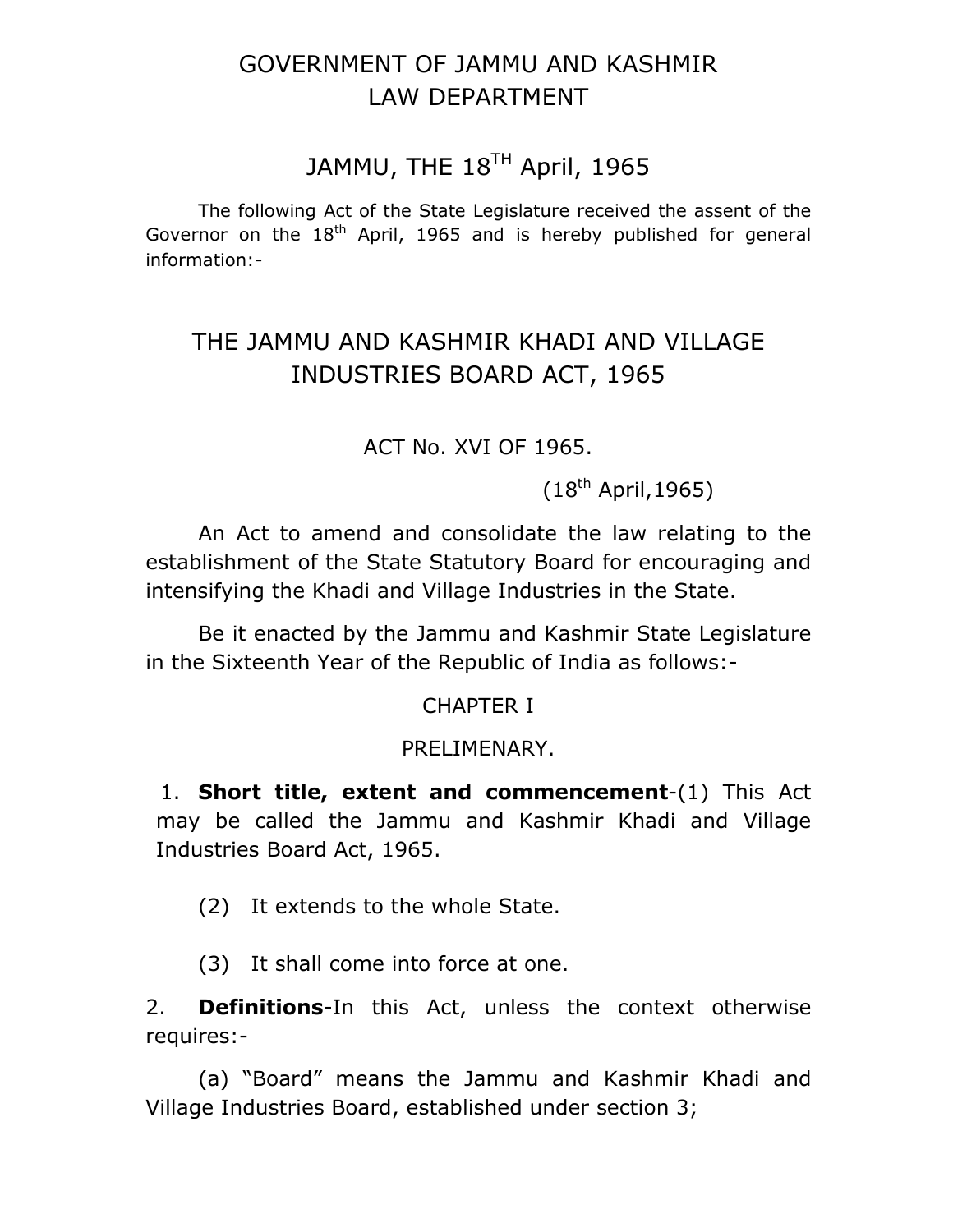# GOVERNMENT OF JAMMU AND KASHMIR LAW DEPARTMENT

# JAMMU, THE 18<sup>TH</sup> April, 1965

 The following Act of the State Legislature received the assent of the Governor on the  $18<sup>th</sup>$  April, 1965 and is hereby published for general information:-

# THE JAMMU AND KASHMIR KHADI AND VILLAGE INDUSTRIES BOARD ACT, 1965

ACT No. XVI OF 1965.

 $(18^{th}$  April, 1965)

 An Act to amend and consolidate the law relating to the establishment of the State Statutory Board for encouraging and intensifying the Khadi and Village Industries in the State.

 Be it enacted by the Jammu and Kashmir State Legislature in the Sixteenth Year of the Republic of India as follows:-

## CHAPTER I

### PRELIMENARY.

1. **Short title, extent and commencement**-(1) This Act may be called the Jammu and Kashmir Khadi and Village Industries Board Act, 1965.

(2) It extends to the whole State.

(3) It shall come into force at one.

2. **Definitions**-In this Act, unless the context otherwise requires:-

 (a) "Board" means the Jammu and Kashmir Khadi and Village Industries Board, established under section 3;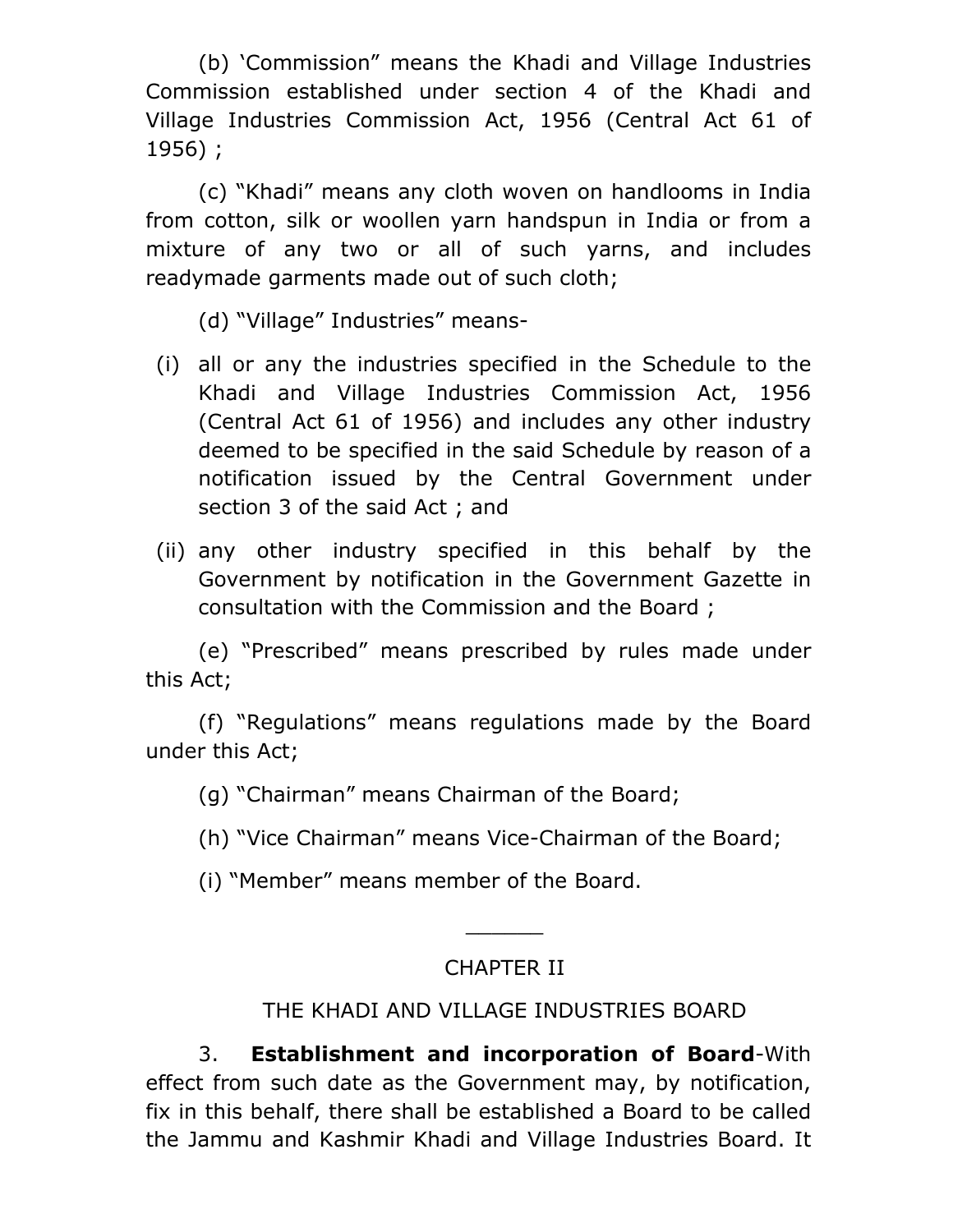(b) 'Commission" means the Khadi and Village Industries Commission established under section 4 of the Khadi and Village Industries Commission Act, 1956 (Central Act 61 of 1956) ;

 (c) "Khadi" means any cloth woven on handlooms in India from cotton, silk or woollen yarn handspun in India or from a mixture of any two or all of such yarns, and includes readymade garments made out of such cloth;

(d) "Village" Industries" means-

- (i) all or any the industries specified in the Schedule to the Khadi and Village Industries Commission Act, 1956 (Central Act 61 of 1956) and includes any other industry deemed to be specified in the said Schedule by reason of a notification issued by the Central Government under section 3 of the said Act ; and
- (ii) any other industry specified in this behalf by the Government by notification in the Government Gazette in consultation with the Commission and the Board ;

(e) "Prescribed" means prescribed by rules made under this Act;

(f) "Regulations" means regulations made by the Board under this Act;

(g) "Chairman" means Chairman of the Board;

- (h) "Vice Chairman" means Vice-Chairman of the Board;
- (i) "Member" means member of the Board.

# CHAPTER II

\_\_\_\_\_\_

# THE KHADI AND VILLAGE INDUSTRIES BOARD

3. **Establishment and incorporation of Board**-With effect from such date as the Government may, by notification, fix in this behalf, there shall be established a Board to be called the Jammu and Kashmir Khadi and Village Industries Board. It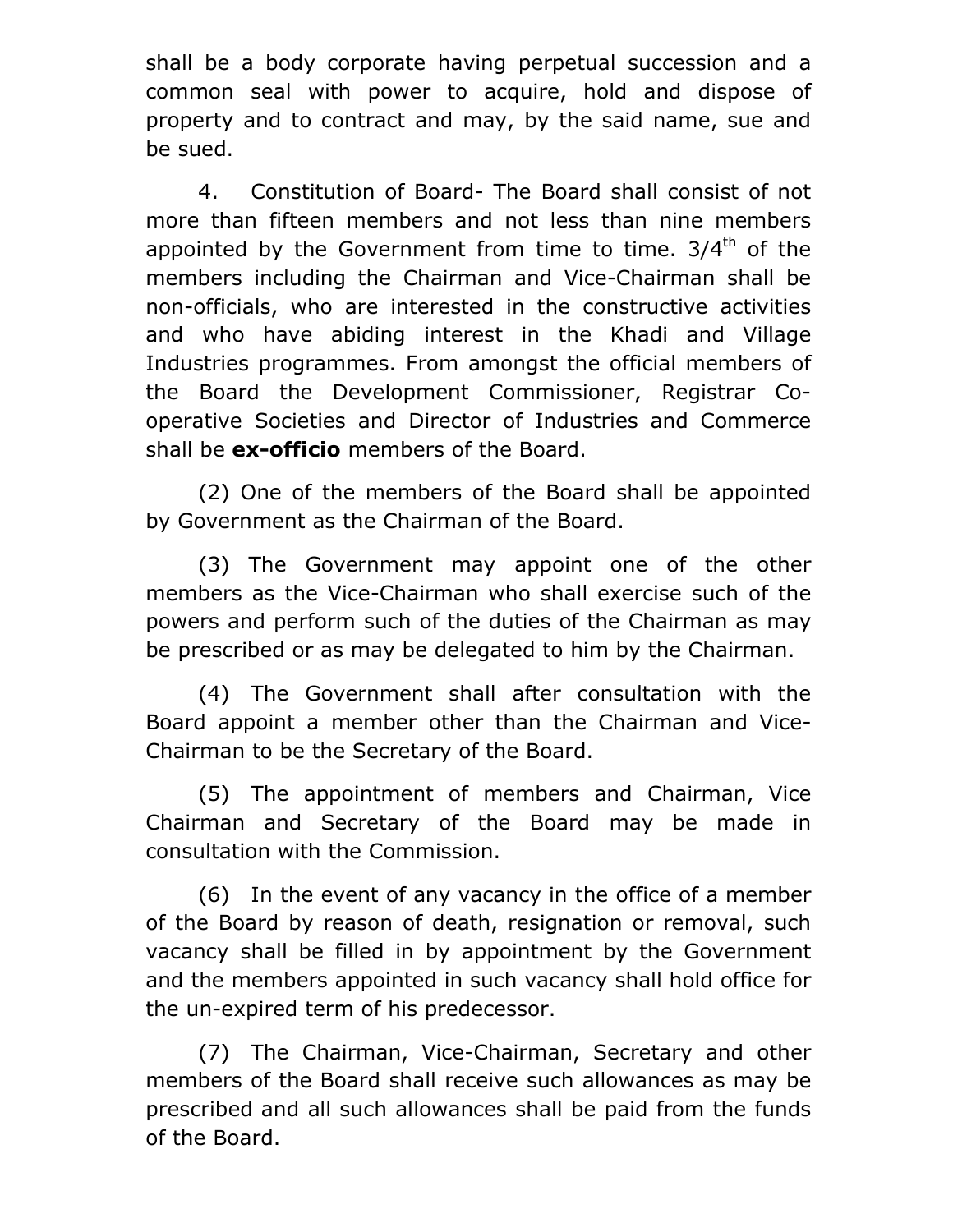shall be a body corporate having perpetual succession and a common seal with power to acquire, hold and dispose of property and to contract and may, by the said name, sue and be sued.

4. Constitution of Board- The Board shall consist of not more than fifteen members and not less than nine members appointed by the Government from time to time.  $3/4<sup>th</sup>$  of the members including the Chairman and Vice-Chairman shall be non-officials, who are interested in the constructive activities and who have abiding interest in the Khadi and Village Industries programmes. From amongst the official members of the Board the Development Commissioner, Registrar Cooperative Societies and Director of Industries and Commerce shall be **ex-officio** members of the Board.

(2) One of the members of the Board shall be appointed by Government as the Chairman of the Board.

(3) The Government may appoint one of the other members as the Vice-Chairman who shall exercise such of the powers and perform such of the duties of the Chairman as may be prescribed or as may be delegated to him by the Chairman.

(4) The Government shall after consultation with the Board appoint a member other than the Chairman and Vice-Chairman to be the Secretary of the Board.

(5) The appointment of members and Chairman, Vice Chairman and Secretary of the Board may be made in consultation with the Commission.

(6) In the event of any vacancy in the office of a member of the Board by reason of death, resignation or removal, such vacancy shall be filled in by appointment by the Government and the members appointed in such vacancy shall hold office for the un-expired term of his predecessor.

(7) The Chairman, Vice-Chairman, Secretary and other members of the Board shall receive such allowances as may be prescribed and all such allowances shall be paid from the funds of the Board.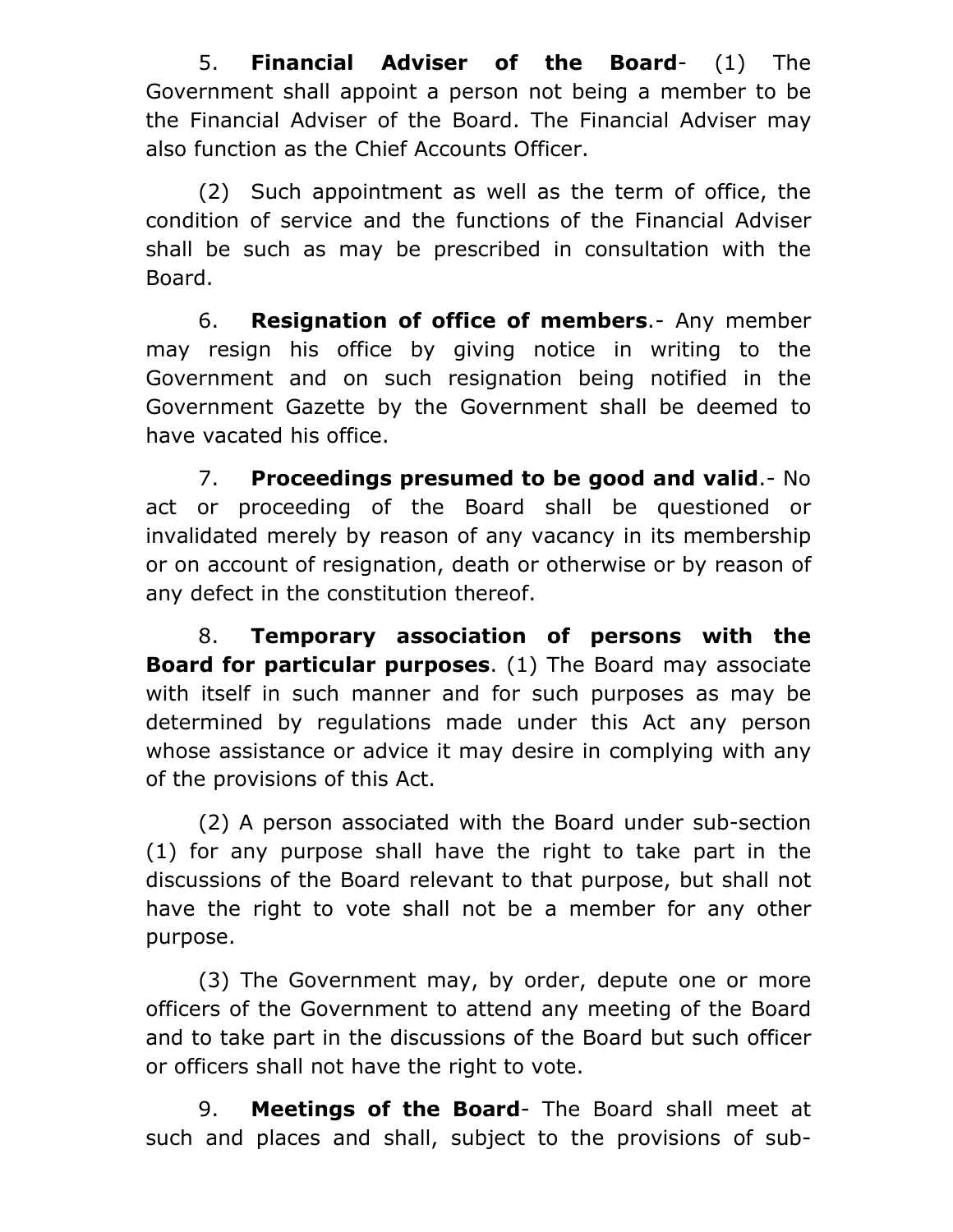5. **Financial Adviser of the Board**- (1) The Government shall appoint a person not being a member to be the Financial Adviser of the Board. The Financial Adviser may also function as the Chief Accounts Officer.

(2) Such appointment as well as the term of office, the condition of service and the functions of the Financial Adviser shall be such as may be prescribed in consultation with the Board.

6. **Resignation of office of members**.- Any member may resign his office by giving notice in writing to the Government and on such resignation being notified in the Government Gazette by the Government shall be deemed to have vacated his office.

7. **Proceedings presumed to be good and valid**.- No act or proceeding of the Board shall be questioned or invalidated merely by reason of any vacancy in its membership or on account of resignation, death or otherwise or by reason of any defect in the constitution thereof.

8. **Temporary association of persons with the Board for particular purposes**. (1) The Board may associate with itself in such manner and for such purposes as may be determined by regulations made under this Act any person whose assistance or advice it may desire in complying with any of the provisions of this Act.

(2) A person associated with the Board under sub-section (1) for any purpose shall have the right to take part in the discussions of the Board relevant to that purpose, but shall not have the right to vote shall not be a member for any other purpose.

(3) The Government may, by order, depute one or more officers of the Government to attend any meeting of the Board and to take part in the discussions of the Board but such officer or officers shall not have the right to vote.

9. **Meetings of the Board**- The Board shall meet at such and places and shall, subject to the provisions of sub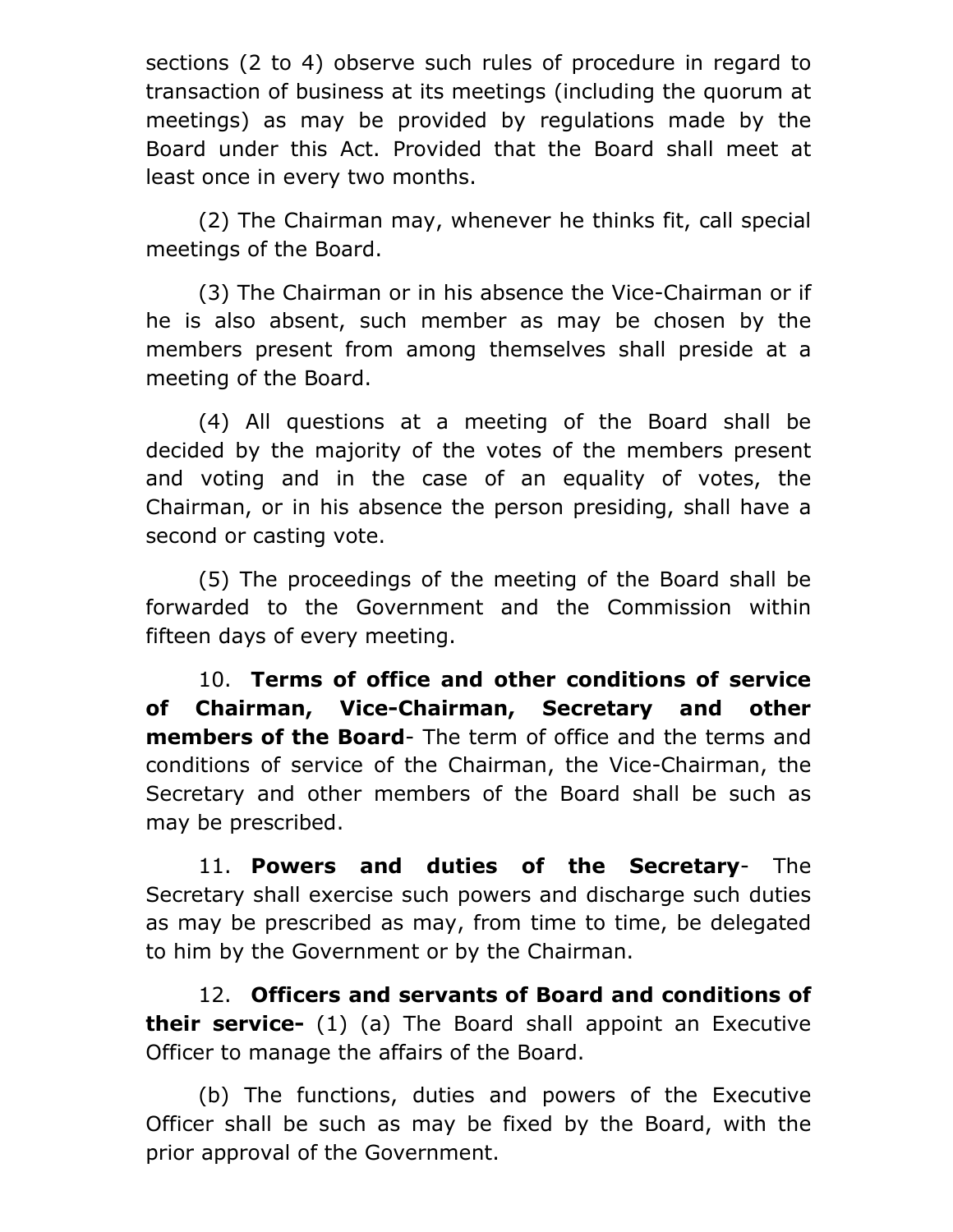sections (2 to 4) observe such rules of procedure in regard to transaction of business at its meetings (including the quorum at meetings) as may be provided by regulations made by the Board under this Act. Provided that the Board shall meet at least once in every two months.

(2) The Chairman may, whenever he thinks fit, call special meetings of the Board.

(3) The Chairman or in his absence the Vice-Chairman or if he is also absent, such member as may be chosen by the members present from among themselves shall preside at a meeting of the Board.

(4) All questions at a meeting of the Board shall be decided by the majority of the votes of the members present and voting and in the case of an equality of votes, the Chairman, or in his absence the person presiding, shall have a second or casting vote.

(5) The proceedings of the meeting of the Board shall be forwarded to the Government and the Commission within fifteen days of every meeting.

10. **Terms of office and other conditions of service of Chairman, Vice-Chairman, Secretary and other members of the Board**- The term of office and the terms and conditions of service of the Chairman, the Vice-Chairman, the Secretary and other members of the Board shall be such as may be prescribed.

11. **Powers and duties of the Secretary**- The Secretary shall exercise such powers and discharge such duties as may be prescribed as may, from time to time, be delegated to him by the Government or by the Chairman.

12. **Officers and servants of Board and conditions of their service-** (1) (a) The Board shall appoint an Executive Officer to manage the affairs of the Board.

(b) The functions, duties and powers of the Executive Officer shall be such as may be fixed by the Board, with the prior approval of the Government.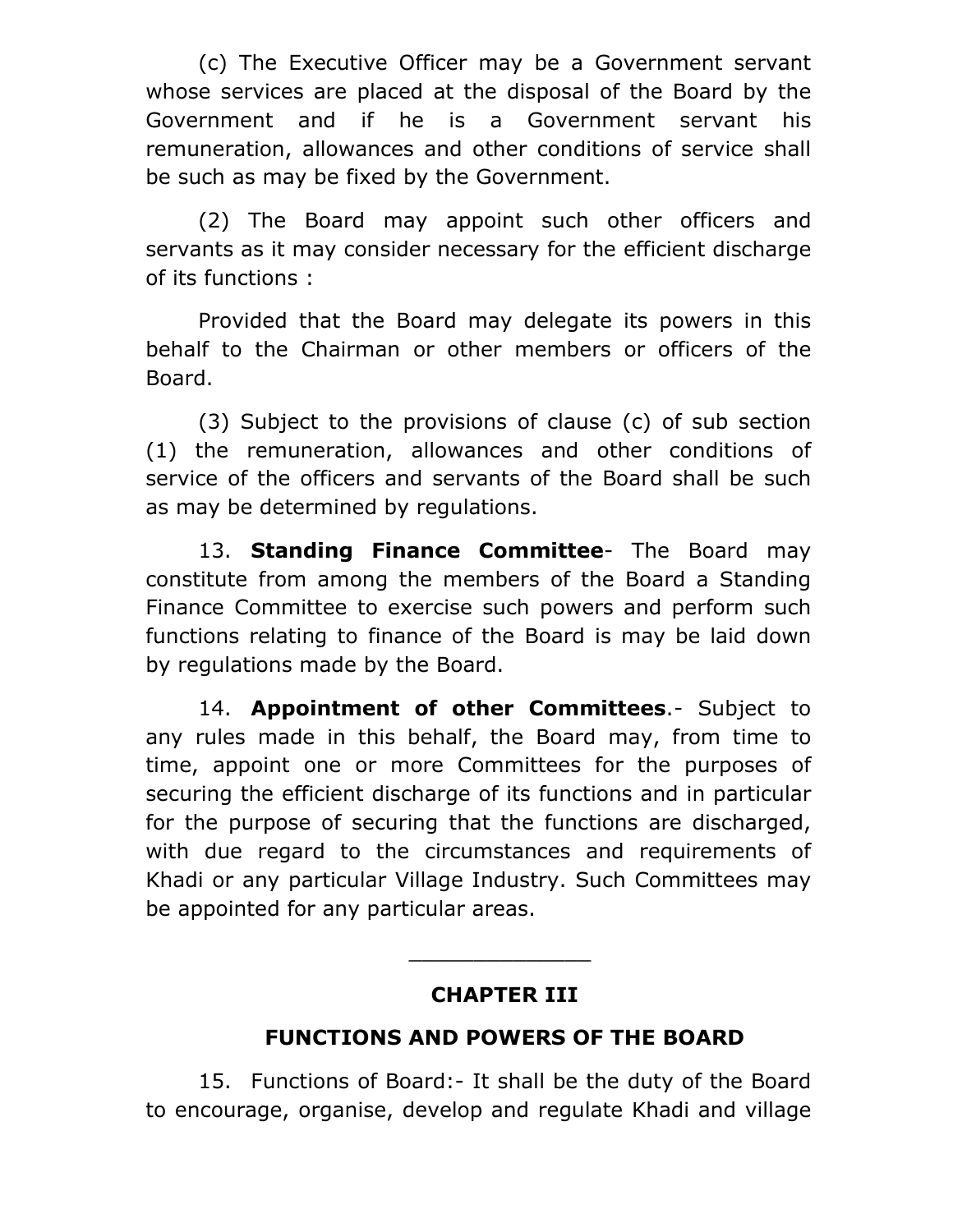(c) The Executive Officer may be a Government servant whose services are placed at the disposal of the Board by the Government and if he is a Government servant his remuneration, allowances and other conditions of service shall be such as may be fixed by the Government.

(2) The Board may appoint such other officers and servants as it may consider necessary for the efficient discharge of its functions :

Provided that the Board may delegate its powers in this behalf to the Chairman or other members or officers of the Board.

(3) Subject to the provisions of clause (c) of sub section (1) the remuneration, allowances and other conditions of service of the officers and servants of the Board shall be such as may be determined by regulations.

13. **Standing Finance Committee**- The Board may constitute from among the members of the Board a Standing Finance Committee to exercise such powers and perform such functions relating to finance of the Board is may be laid down by regulations made by the Board.

14. **Appointment of other Committees**.- Subject to any rules made in this behalf, the Board may, from time to time, appoint one or more Committees for the purposes of securing the efficient discharge of its functions and in particular for the purpose of securing that the functions are discharged, with due regard to the circumstances and requirements of Khadi or any particular Village Industry. Such Committees may be appointed for any particular areas.

## **CHAPTER III**

\_\_\_\_\_\_\_\_\_\_\_\_\_\_

# **FUNCTIONS AND POWERS OF THE BOARD**

15. Functions of Board:- It shall be the duty of the Board to encourage, organise, develop and regulate Khadi and village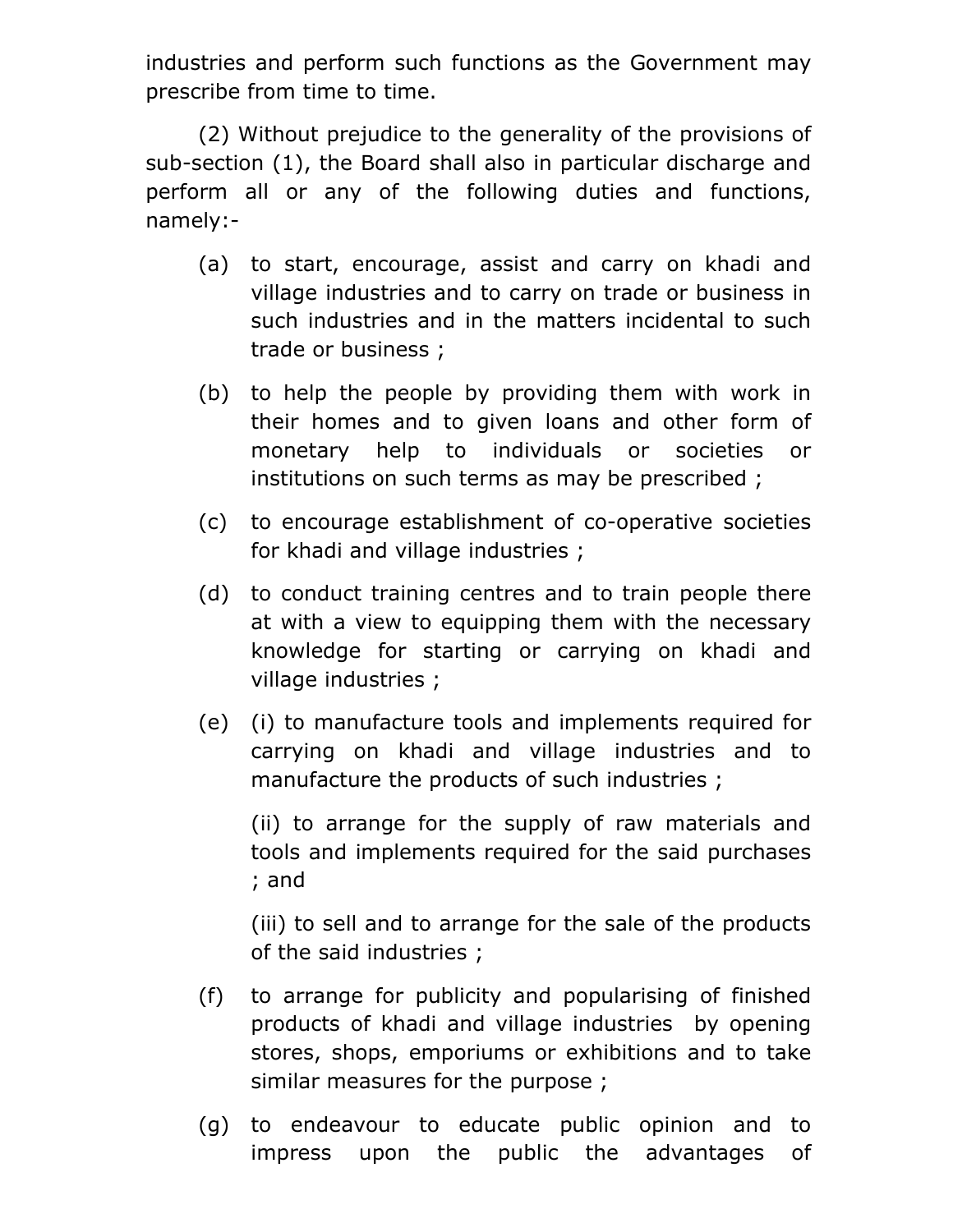industries and perform such functions as the Government may prescribe from time to time.

(2) Without prejudice to the generality of the provisions of sub-section (1), the Board shall also in particular discharge and perform all or any of the following duties and functions, namely:-

- (a) to start, encourage, assist and carry on khadi and village industries and to carry on trade or business in such industries and in the matters incidental to such trade or business ;
- (b) to help the people by providing them with work in their homes and to given loans and other form of monetary help to individuals or societies or institutions on such terms as may be prescribed ;
- (c) to encourage establishment of co-operative societies for khadi and village industries ;
- (d) to conduct training centres and to train people there at with a view to equipping them with the necessary knowledge for starting or carrying on khadi and village industries ;
- (e) (i) to manufacture tools and implements required for carrying on khadi and village industries and to manufacture the products of such industries ;

 (ii) to arrange for the supply of raw materials and tools and implements required for the said purchases ; and

 (iii) to sell and to arrange for the sale of the products of the said industries ;

- (f) to arrange for publicity and popularising of finished products of khadi and village industries by opening stores, shops, emporiums or exhibitions and to take similar measures for the purpose;
- (g) to endeavour to educate public opinion and to impress upon the public the advantages of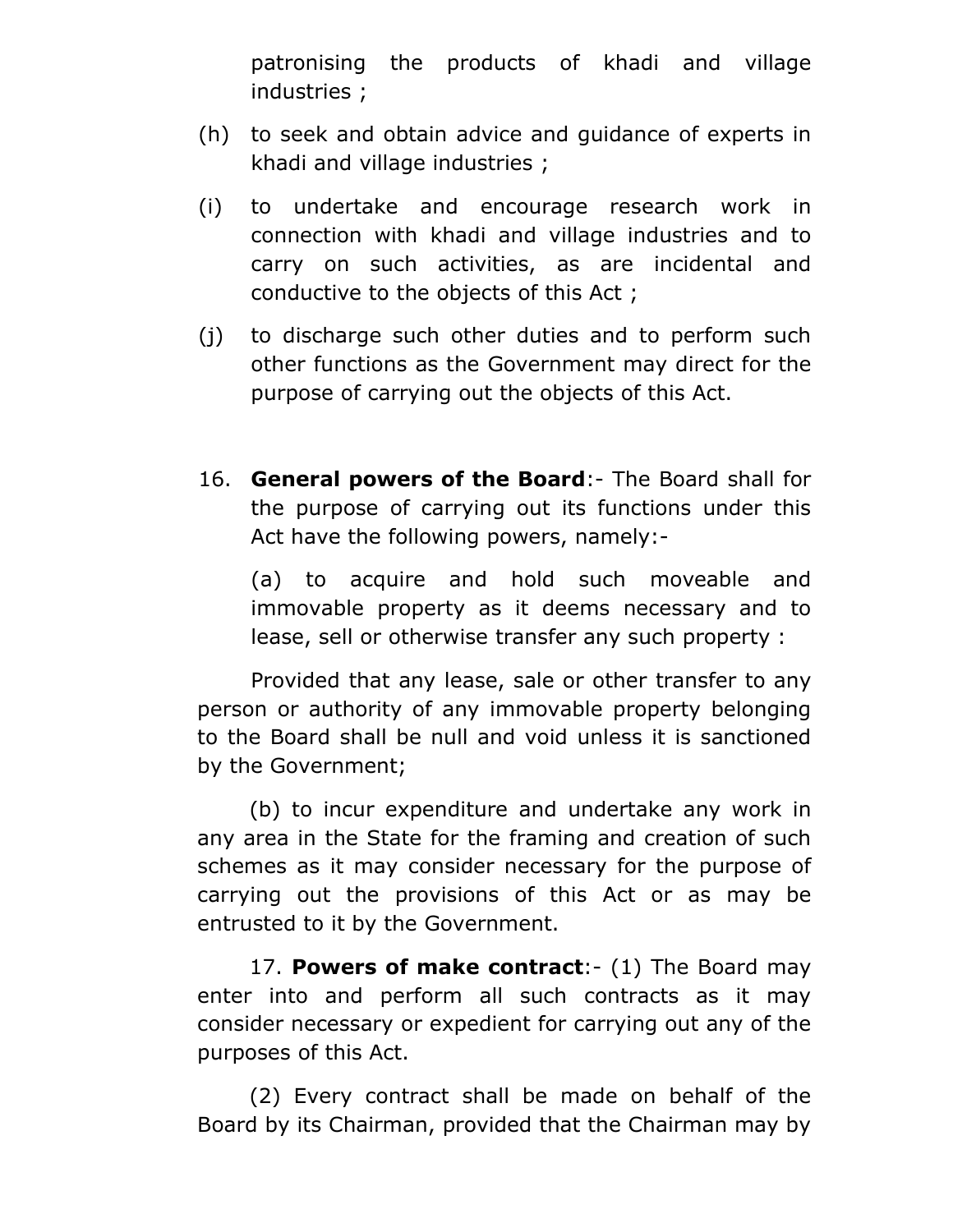patronising the products of khadi and village industries ;

- (h) to seek and obtain advice and guidance of experts in khadi and village industries ;
- (i) to undertake and encourage research work in connection with khadi and village industries and to carry on such activities, as are incidental and conductive to the objects of this Act ;
- (j) to discharge such other duties and to perform such other functions as the Government may direct for the purpose of carrying out the objects of this Act.
- 16. **General powers of the Board**:- The Board shall for the purpose of carrying out its functions under this Act have the following powers, namely:-

 (a) to acquire and hold such moveable and immovable property as it deems necessary and to lease, sell or otherwise transfer any such property :

 Provided that any lease, sale or other transfer to any person or authority of any immovable property belonging to the Board shall be null and void unless it is sanctioned by the Government;

(b) to incur expenditure and undertake any work in any area in the State for the framing and creation of such schemes as it may consider necessary for the purpose of carrying out the provisions of this Act or as may be entrusted to it by the Government.

17. **Powers of make contract**:- (1) The Board may enter into and perform all such contracts as it may consider necessary or expedient for carrying out any of the purposes of this Act.

(2) Every contract shall be made on behalf of the Board by its Chairman, provided that the Chairman may by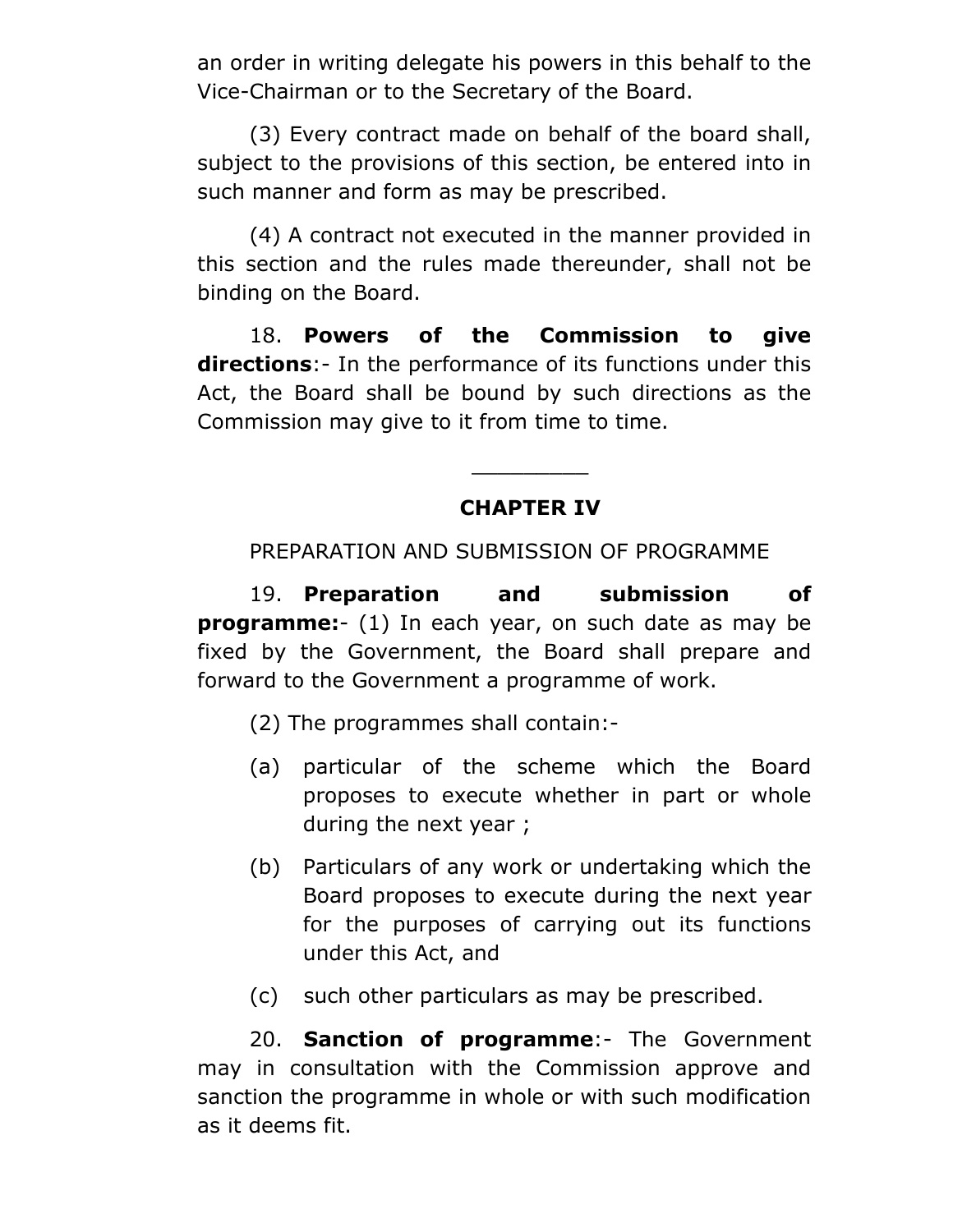an order in writing delegate his powers in this behalf to the Vice-Chairman or to the Secretary of the Board.

(3) Every contract made on behalf of the board shall, subject to the provisions of this section, be entered into in such manner and form as may be prescribed.

(4) A contract not executed in the manner provided in this section and the rules made thereunder, shall not be binding on the Board.

18. **Powers of the Commission to give directions**:- In the performance of its functions under this Act, the Board shall be bound by such directions as the Commission may give to it from time to time.

### **CHAPTER IV**

\_\_\_\_\_\_\_\_\_

PREPARATION AND SUBMISSION OF PROGRAMME

19. **Preparation and submission of programme:**- (1) In each year, on such date as may be fixed by the Government, the Board shall prepare and forward to the Government a programme of work.

- (2) The programmes shall contain:-
- (a) particular of the scheme which the Board proposes to execute whether in part or whole during the next year ;
- (b) Particulars of any work or undertaking which the Board proposes to execute during the next year for the purposes of carrying out its functions under this Act, and
- (c) such other particulars as may be prescribed.

20. **Sanction of programme**:- The Government may in consultation with the Commission approve and sanction the programme in whole or with such modification as it deems fit.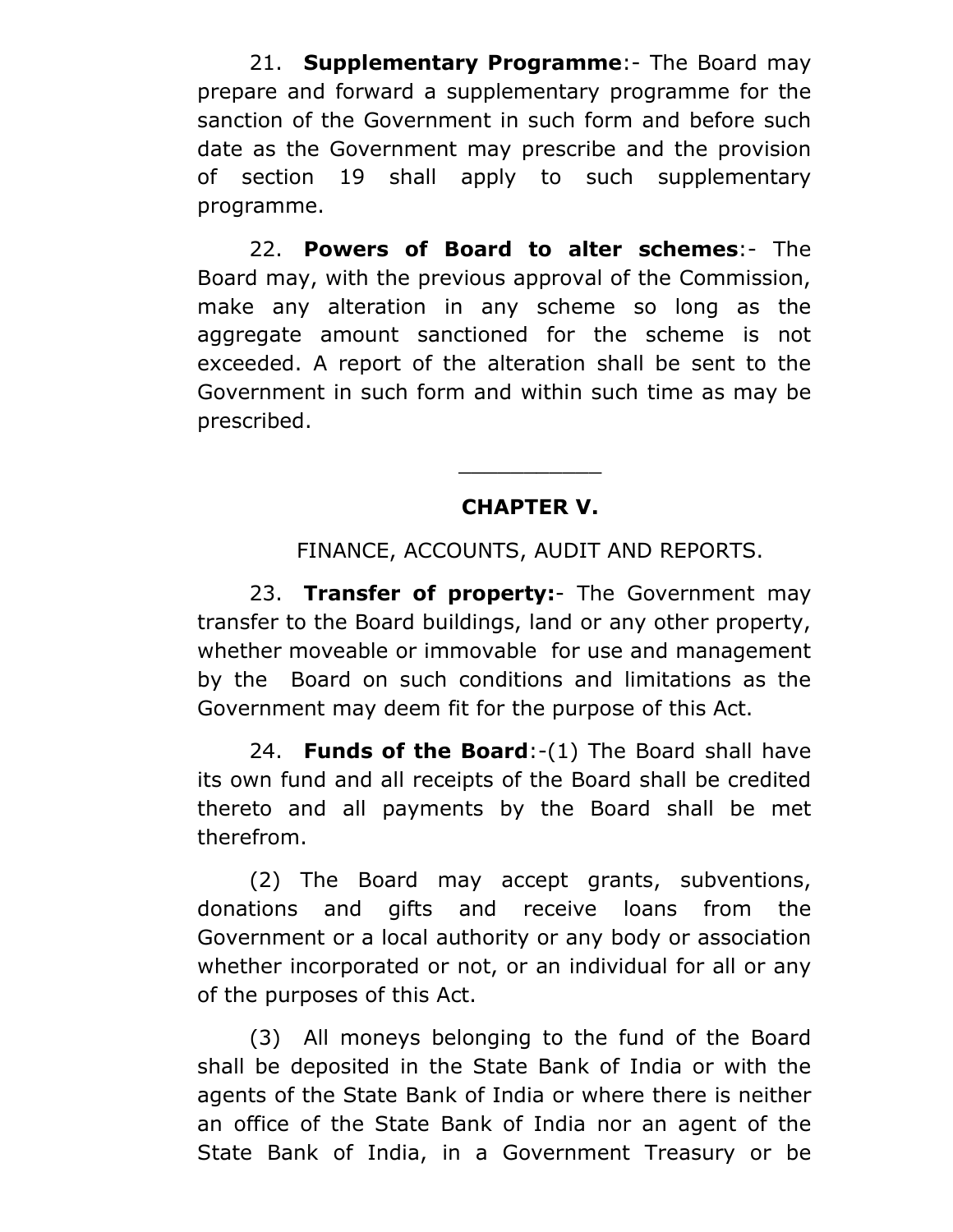21. **Supplementary Programme**:- The Board may prepare and forward a supplementary programme for the sanction of the Government in such form and before such date as the Government may prescribe and the provision of section 19 shall apply to such supplementary programme.

22. **Powers of Board to alter schemes**:- The Board may, with the previous approval of the Commission, make any alteration in any scheme so long as the aggregate amount sanctioned for the scheme is not exceeded. A report of the alteration shall be sent to the Government in such form and within such time as may be prescribed.

# **CHAPTER V.**

\_\_\_\_\_\_\_\_\_\_\_

FINANCE, ACCOUNTS, AUDIT AND REPORTS.

23. **Transfer of property:**- The Government may transfer to the Board buildings, land or any other property, whether moveable or immovable for use and management by the Board on such conditions and limitations as the Government may deem fit for the purpose of this Act.

24. **Funds of the Board**:-(1) The Board shall have its own fund and all receipts of the Board shall be credited thereto and all payments by the Board shall be met therefrom.

(2) The Board may accept grants, subventions, donations and gifts and receive loans from the Government or a local authority or any body or association whether incorporated or not, or an individual for all or any of the purposes of this Act.

(3) All moneys belonging to the fund of the Board shall be deposited in the State Bank of India or with the agents of the State Bank of India or where there is neither an office of the State Bank of India nor an agent of the State Bank of India, in a Government Treasury or be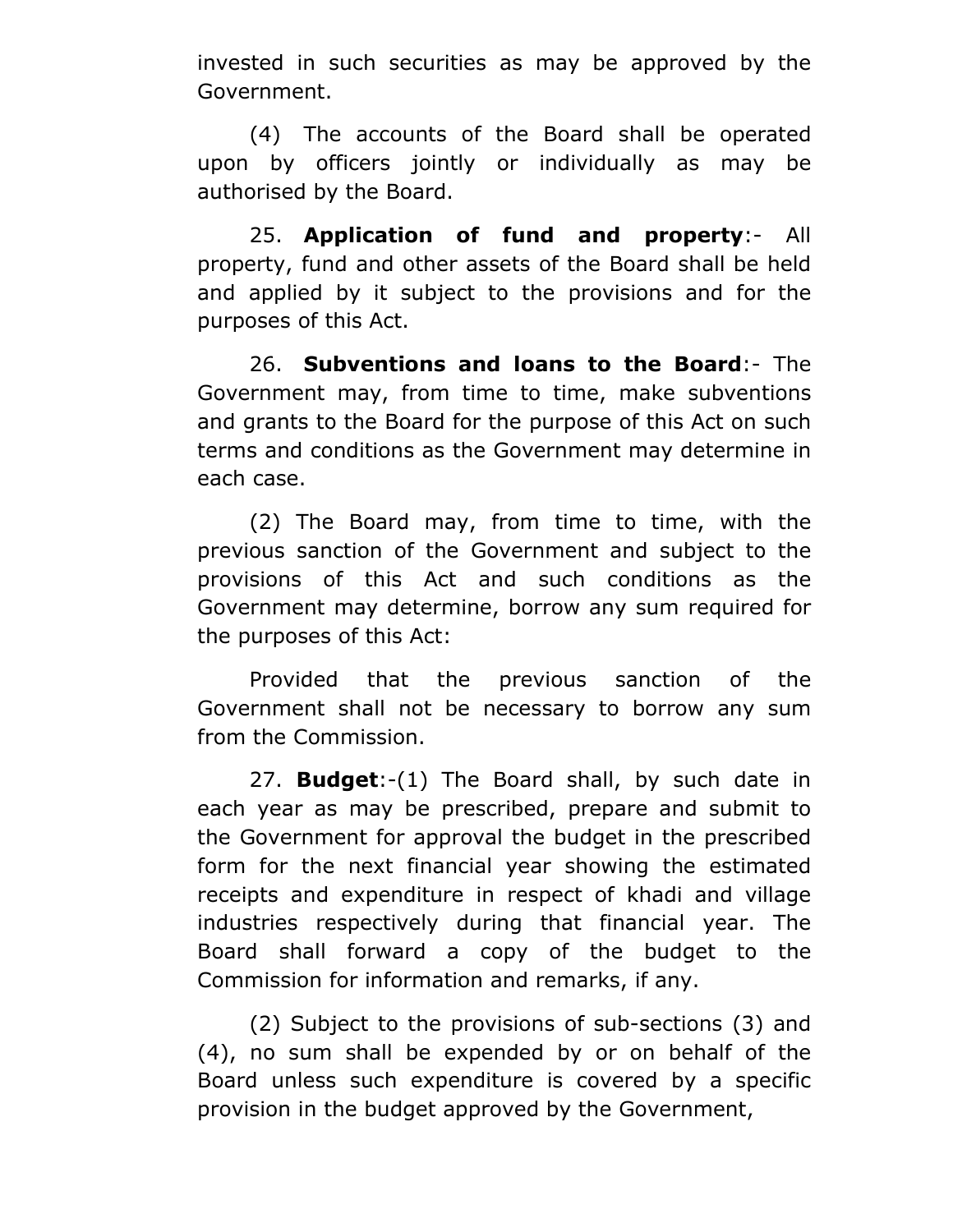invested in such securities as may be approved by the Government.

(4) The accounts of the Board shall be operated upon by officers jointly or individually as may be authorised by the Board.

25. **Application of fund and property**:- All property, fund and other assets of the Board shall be held and applied by it subject to the provisions and for the purposes of this Act.

26. **Subventions and loans to the Board**:- The Government may, from time to time, make subventions and grants to the Board for the purpose of this Act on such terms and conditions as the Government may determine in each case.

(2) The Board may, from time to time, with the previous sanction of the Government and subject to the provisions of this Act and such conditions as the Government may determine, borrow any sum required for the purposes of this Act:

Provided that the previous sanction of the Government shall not be necessary to borrow any sum from the Commission.

27. **Budget**:-(1) The Board shall, by such date in each year as may be prescribed, prepare and submit to the Government for approval the budget in the prescribed form for the next financial year showing the estimated receipts and expenditure in respect of khadi and village industries respectively during that financial year. The Board shall forward a copy of the budget to the Commission for information and remarks, if any.

(2) Subject to the provisions of sub-sections (3) and (4), no sum shall be expended by or on behalf of the Board unless such expenditure is covered by a specific provision in the budget approved by the Government,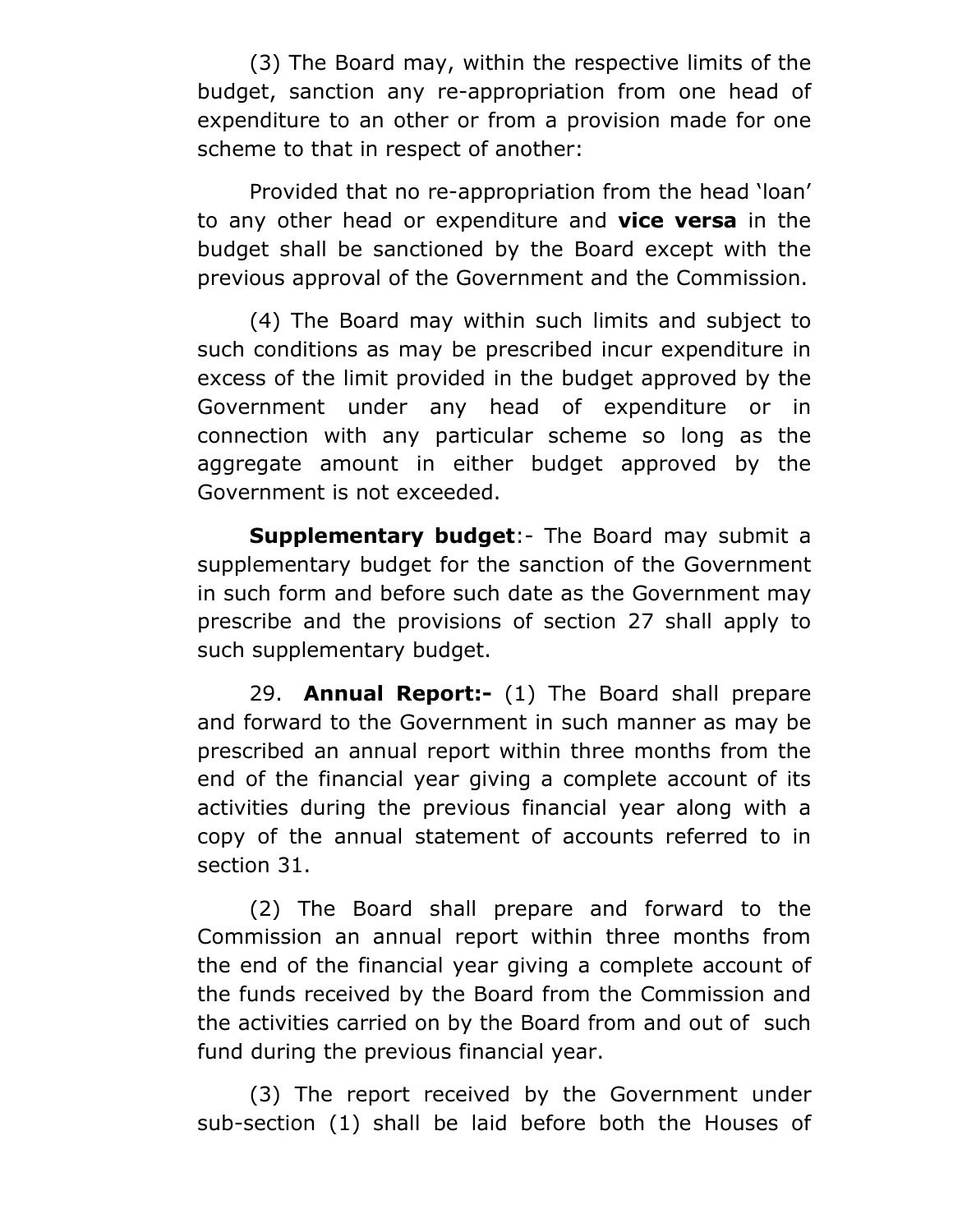(3) The Board may, within the respective limits of the budget, sanction any re-appropriation from one head of expenditure to an other or from a provision made for one scheme to that in respect of another:

Provided that no re-appropriation from the head 'loan' to any other head or expenditure and **vice versa** in the budget shall be sanctioned by the Board except with the previous approval of the Government and the Commission.

(4) The Board may within such limits and subject to such conditions as may be prescribed incur expenditure in excess of the limit provided in the budget approved by the Government under any head of expenditure or in connection with any particular scheme so long as the aggregate amount in either budget approved by the Government is not exceeded.

**Supplementary budget**:- The Board may submit a supplementary budget for the sanction of the Government in such form and before such date as the Government may prescribe and the provisions of section 27 shall apply to such supplementary budget.

29. **Annual Report:-** (1) The Board shall prepare and forward to the Government in such manner as may be prescribed an annual report within three months from the end of the financial year giving a complete account of its activities during the previous financial year along with a copy of the annual statement of accounts referred to in section 31.

(2) The Board shall prepare and forward to the Commission an annual report within three months from the end of the financial year giving a complete account of the funds received by the Board from the Commission and the activities carried on by the Board from and out of such fund during the previous financial year.

(3) The report received by the Government under sub-section (1) shall be laid before both the Houses of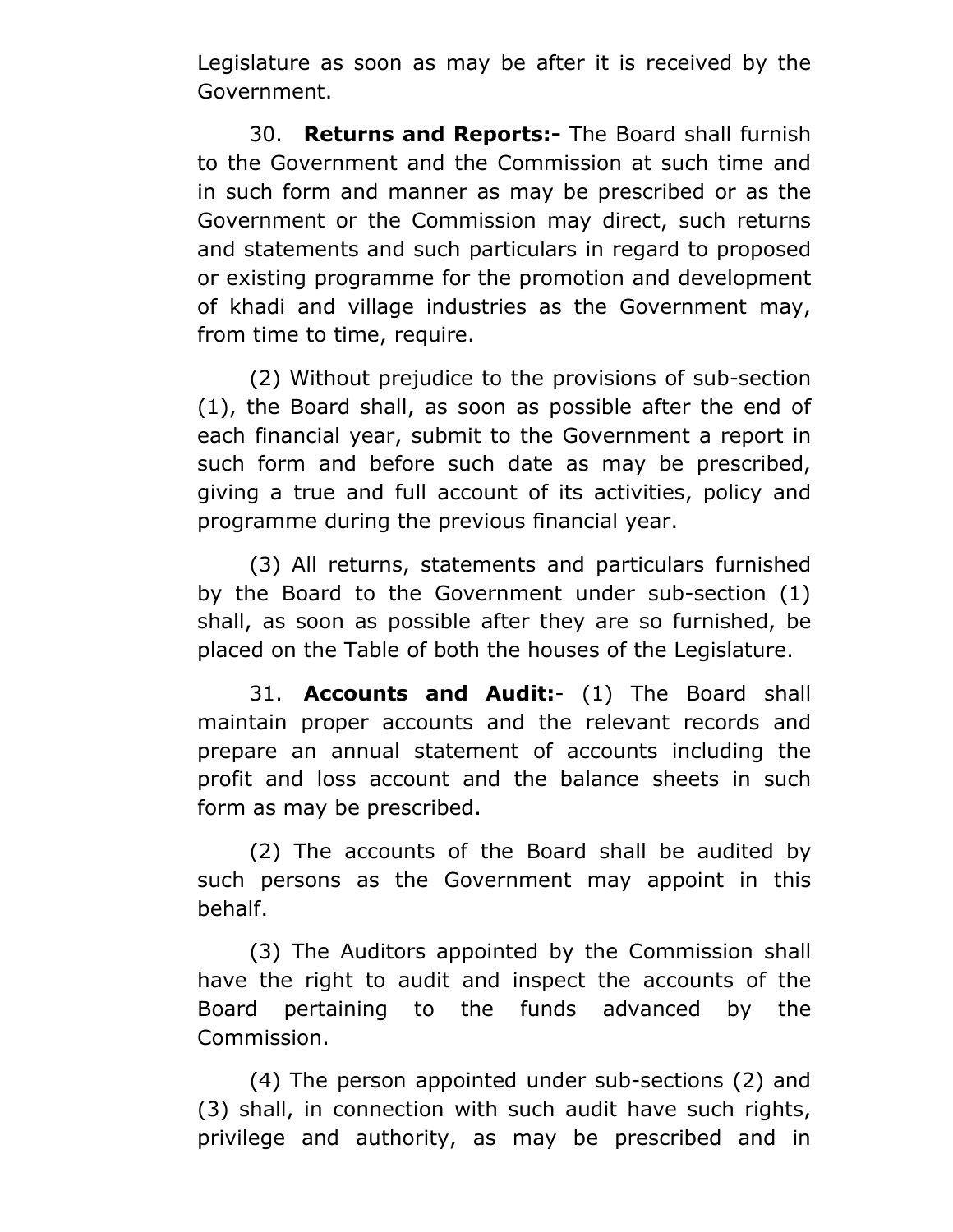Legislature as soon as may be after it is received by the Government.

30. **Returns and Reports:-** The Board shall furnish to the Government and the Commission at such time and in such form and manner as may be prescribed or as the Government or the Commission may direct, such returns and statements and such particulars in regard to proposed or existing programme for the promotion and development of khadi and village industries as the Government may, from time to time, require.

(2) Without prejudice to the provisions of sub-section (1), the Board shall, as soon as possible after the end of each financial year, submit to the Government a report in such form and before such date as may be prescribed, giving a true and full account of its activities, policy and programme during the previous financial year.

(3) All returns, statements and particulars furnished by the Board to the Government under sub-section (1) shall, as soon as possible after they are so furnished, be placed on the Table of both the houses of the Legislature.

31. **Accounts and Audit:**- (1) The Board shall maintain proper accounts and the relevant records and prepare an annual statement of accounts including the profit and loss account and the balance sheets in such form as may be prescribed.

(2) The accounts of the Board shall be audited by such persons as the Government may appoint in this behalf.

(3) The Auditors appointed by the Commission shall have the right to audit and inspect the accounts of the Board pertaining to the funds advanced by the Commission.

(4) The person appointed under sub-sections (2) and (3) shall, in connection with such audit have such rights, privilege and authority, as may be prescribed and in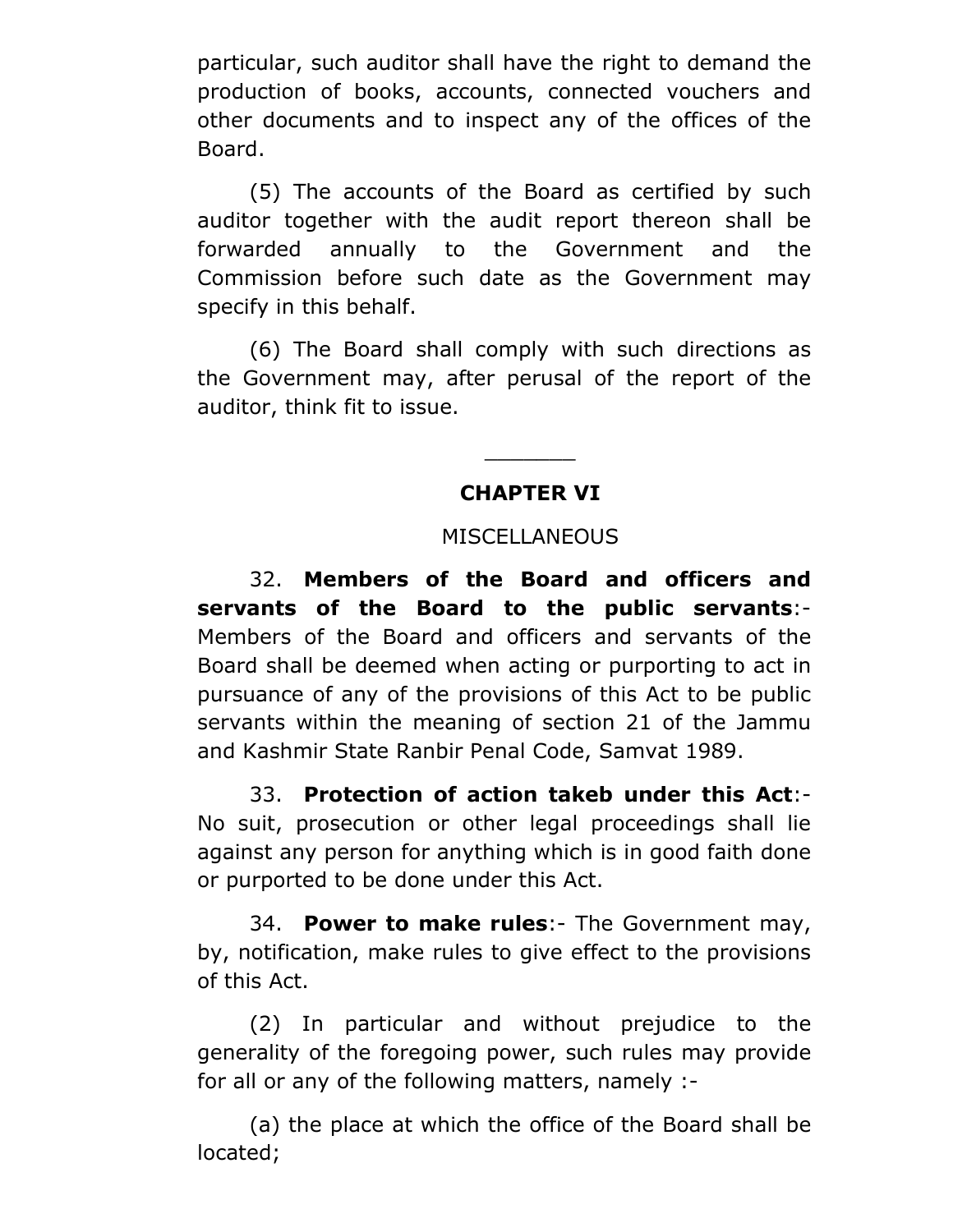particular, such auditor shall have the right to demand the production of books, accounts, connected vouchers and other documents and to inspect any of the offices of the Board.

(5) The accounts of the Board as certified by such auditor together with the audit report thereon shall be forwarded annually to the Government and the Commission before such date as the Government may specify in this behalf.

(6) The Board shall comply with such directions as the Government may, after perusal of the report of the auditor, think fit to issue.

# **CHAPTER VI**

\_\_\_\_\_\_\_

### **MISCELLANEOUS**

32. **Members of the Board and officers and servants of the Board to the public servants**:- Members of the Board and officers and servants of the Board shall be deemed when acting or purporting to act in pursuance of any of the provisions of this Act to be public servants within the meaning of section 21 of the Jammu and Kashmir State Ranbir Penal Code, Samvat 1989.

33. **Protection of action takeb under this Act**:- No suit, prosecution or other legal proceedings shall lie against any person for anything which is in good faith done or purported to be done under this Act.

34. **Power to make rules**:- The Government may, by, notification, make rules to give effect to the provisions of this Act.

(2) In particular and without prejudice to the generality of the foregoing power, such rules may provide for all or any of the following matters, namely :-

(a) the place at which the office of the Board shall be located;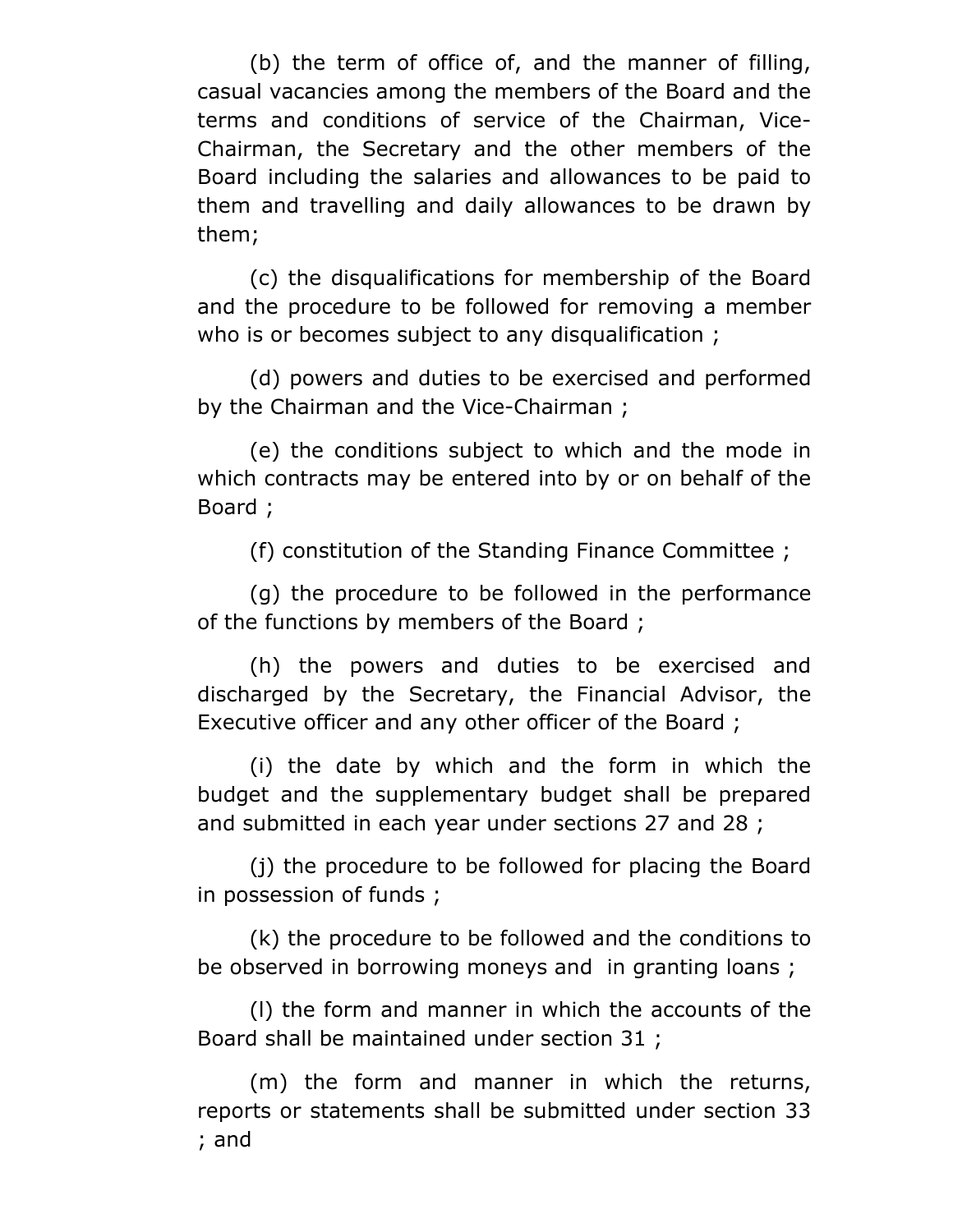(b) the term of office of, and the manner of filling, casual vacancies among the members of the Board and the terms and conditions of service of the Chairman, Vice-Chairman, the Secretary and the other members of the Board including the salaries and allowances to be paid to them and travelling and daily allowances to be drawn by them;

(c) the disqualifications for membership of the Board and the procedure to be followed for removing a member who is or becomes subject to any disqualification ;

(d) powers and duties to be exercised and performed by the Chairman and the Vice-Chairman ;

(e) the conditions subject to which and the mode in which contracts may be entered into by or on behalf of the Board ;

(f) constitution of the Standing Finance Committee ;

(g) the procedure to be followed in the performance of the functions by members of the Board ;

(h) the powers and duties to be exercised and discharged by the Secretary, the Financial Advisor, the Executive officer and any other officer of the Board ;

(i) the date by which and the form in which the budget and the supplementary budget shall be prepared and submitted in each year under sections 27 and 28 ;

(j) the procedure to be followed for placing the Board in possession of funds ;

(k) the procedure to be followed and the conditions to be observed in borrowing moneys and in granting loans ;

(l) the form and manner in which the accounts of the Board shall be maintained under section 31 ;

(m) the form and manner in which the returns, reports or statements shall be submitted under section 33 ; and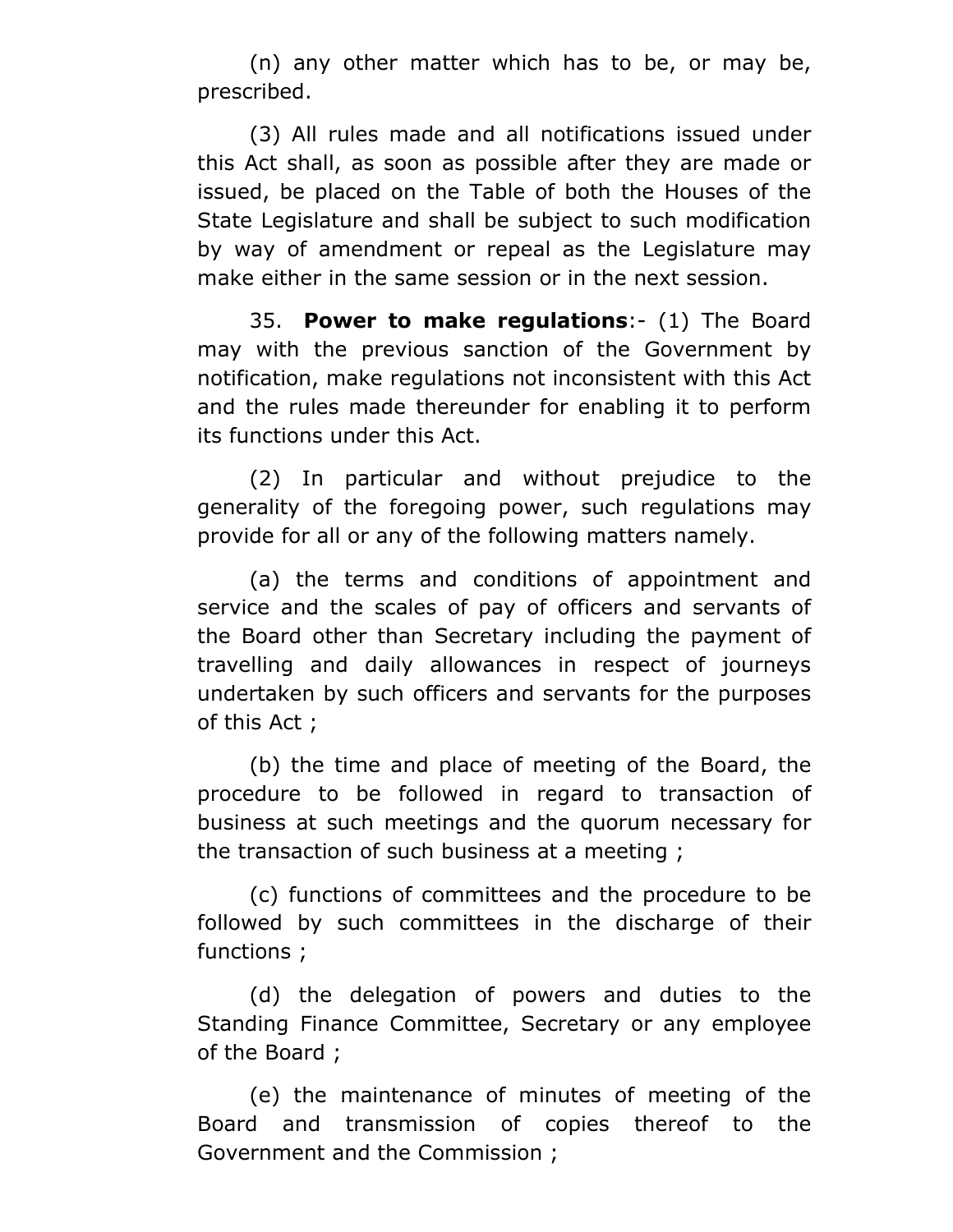(n) any other matter which has to be, or may be, prescribed.

(3) All rules made and all notifications issued under this Act shall, as soon as possible after they are made or issued, be placed on the Table of both the Houses of the State Legislature and shall be subject to such modification by way of amendment or repeal as the Legislature may make either in the same session or in the next session.

35. **Power to make regulations**:- (1) The Board may with the previous sanction of the Government by notification, make regulations not inconsistent with this Act and the rules made thereunder for enabling it to perform its functions under this Act.

(2) In particular and without prejudice to the generality of the foregoing power, such regulations may provide for all or any of the following matters namely.

(a) the terms and conditions of appointment and service and the scales of pay of officers and servants of the Board other than Secretary including the payment of travelling and daily allowances in respect of journeys undertaken by such officers and servants for the purposes of this Act ;

(b) the time and place of meeting of the Board, the procedure to be followed in regard to transaction of business at such meetings and the quorum necessary for the transaction of such business at a meeting ;

(c) functions of committees and the procedure to be followed by such committees in the discharge of their functions ;

(d) the delegation of powers and duties to the Standing Finance Committee, Secretary or any employee of the Board ;

(e) the maintenance of minutes of meeting of the Board and transmission of copies thereof to the Government and the Commission ;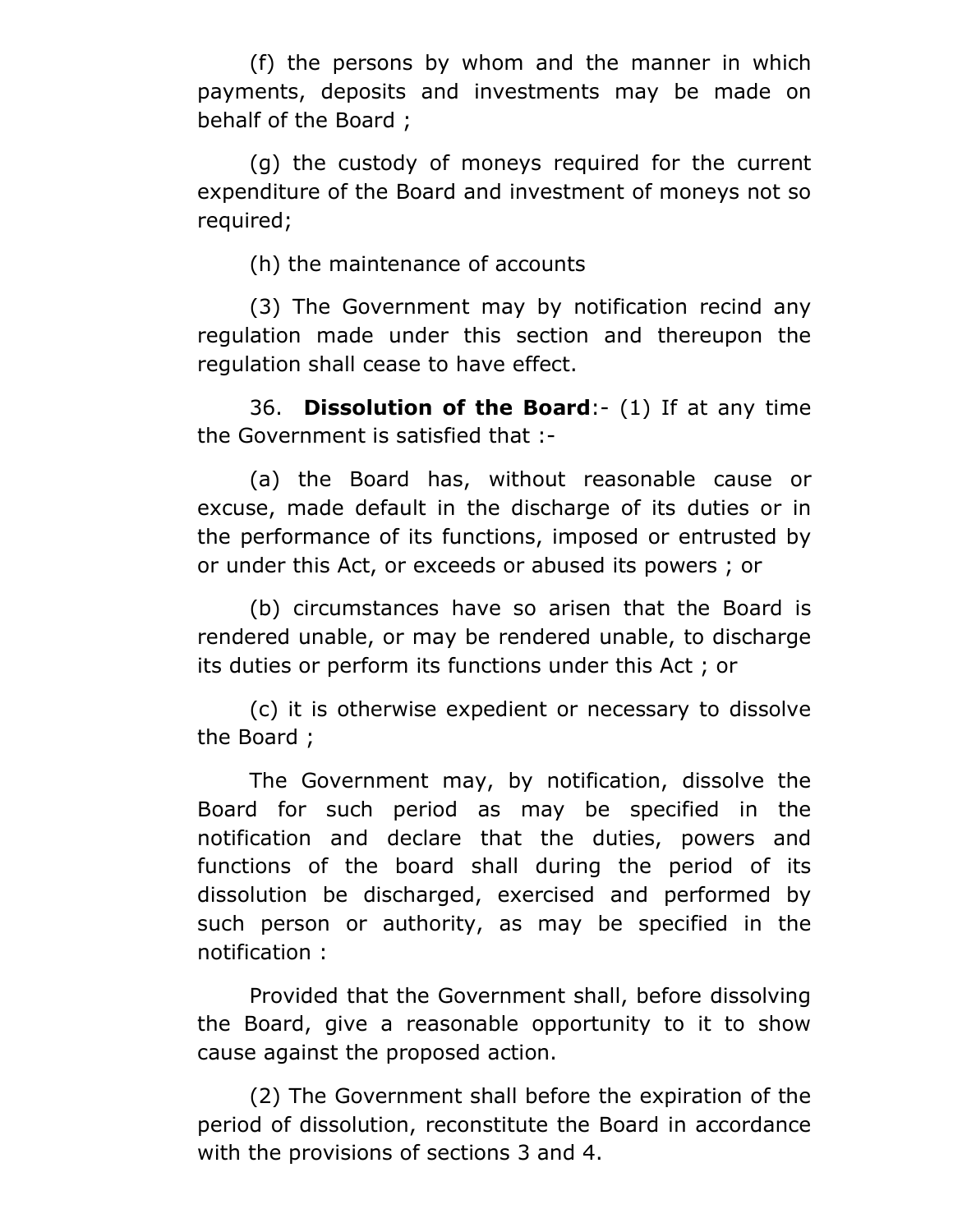(f) the persons by whom and the manner in which payments, deposits and investments may be made on behalf of the Board ;

(g) the custody of moneys required for the current expenditure of the Board and investment of moneys not so required;

(h) the maintenance of accounts

(3) The Government may by notification recind any regulation made under this section and thereupon the regulation shall cease to have effect.

36. **Dissolution of the Board**:- (1) If at any time the Government is satisfied that :-

(a) the Board has, without reasonable cause or excuse, made default in the discharge of its duties or in the performance of its functions, imposed or entrusted by or under this Act, or exceeds or abused its powers ; or

(b) circumstances have so arisen that the Board is rendered unable, or may be rendered unable, to discharge its duties or perform its functions under this Act ; or

(c) it is otherwise expedient or necessary to dissolve the Board ;

The Government may, by notification, dissolve the Board for such period as may be specified in the notification and declare that the duties, powers and functions of the board shall during the period of its dissolution be discharged, exercised and performed by such person or authority, as may be specified in the notification :

Provided that the Government shall, before dissolving the Board, give a reasonable opportunity to it to show cause against the proposed action.

(2) The Government shall before the expiration of the period of dissolution, reconstitute the Board in accordance with the provisions of sections 3 and 4.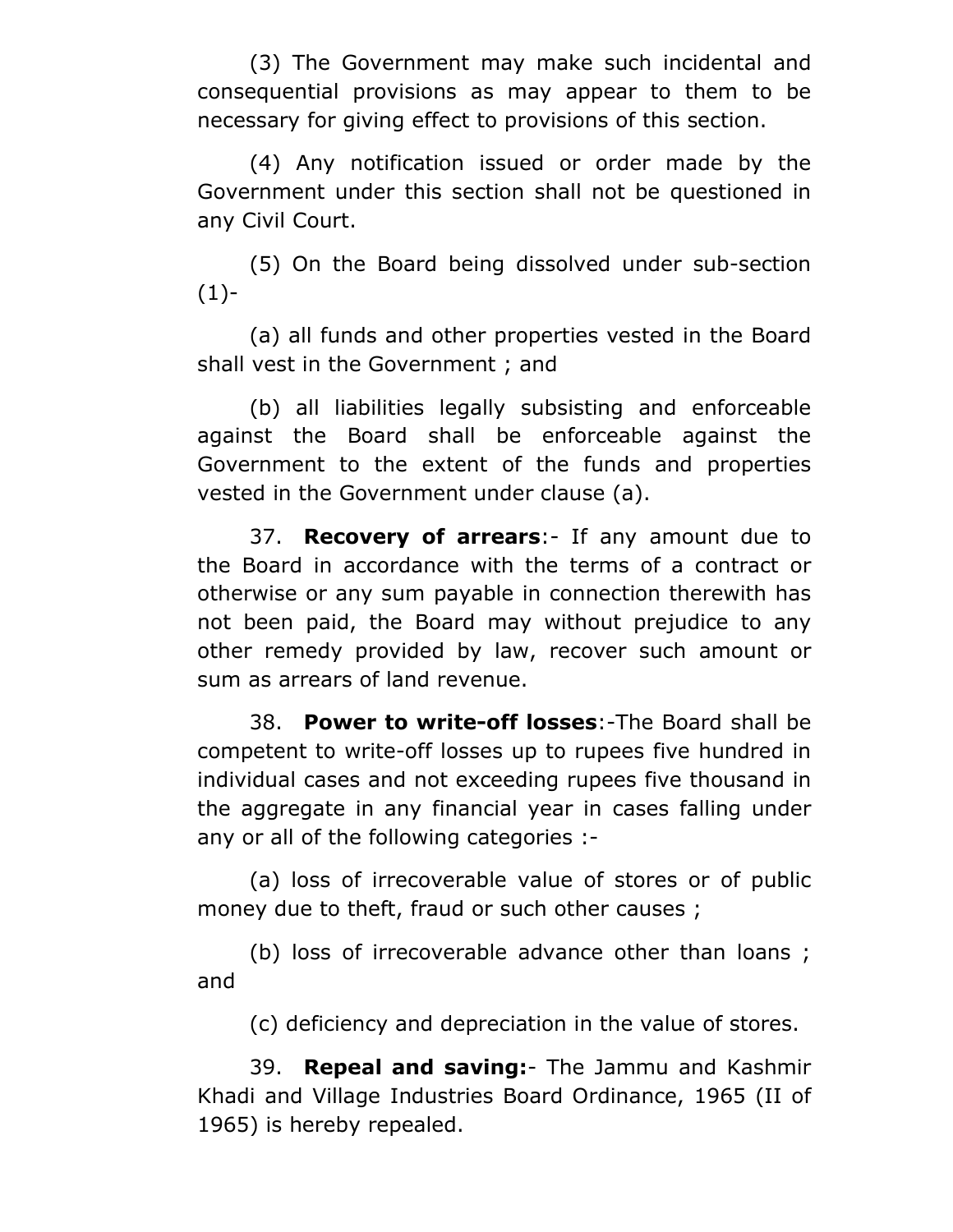(3) The Government may make such incidental and consequential provisions as may appear to them to be necessary for giving effect to provisions of this section.

(4) Any notification issued or order made by the Government under this section shall not be questioned in any Civil Court.

(5) On the Board being dissolved under sub-section  $(1)$ -

(a) all funds and other properties vested in the Board shall vest in the Government ; and

(b) all liabilities legally subsisting and enforceable against the Board shall be enforceable against the Government to the extent of the funds and properties vested in the Government under clause (a).

37. **Recovery of arrears**:- If any amount due to the Board in accordance with the terms of a contract or otherwise or any sum payable in connection therewith has not been paid, the Board may without prejudice to any other remedy provided by law, recover such amount or sum as arrears of land revenue.

38. **Power to write-off losses**:-The Board shall be competent to write-off losses up to rupees five hundred in individual cases and not exceeding rupees five thousand in the aggregate in any financial year in cases falling under any or all of the following categories :-

(a) loss of irrecoverable value of stores or of public money due to theft, fraud or such other causes ;

(b) loss of irrecoverable advance other than loans ; and

(c) deficiency and depreciation in the value of stores.

39. **Repeal and saving:**- The Jammu and Kashmir Khadi and Village Industries Board Ordinance, 1965 (II of 1965) is hereby repealed.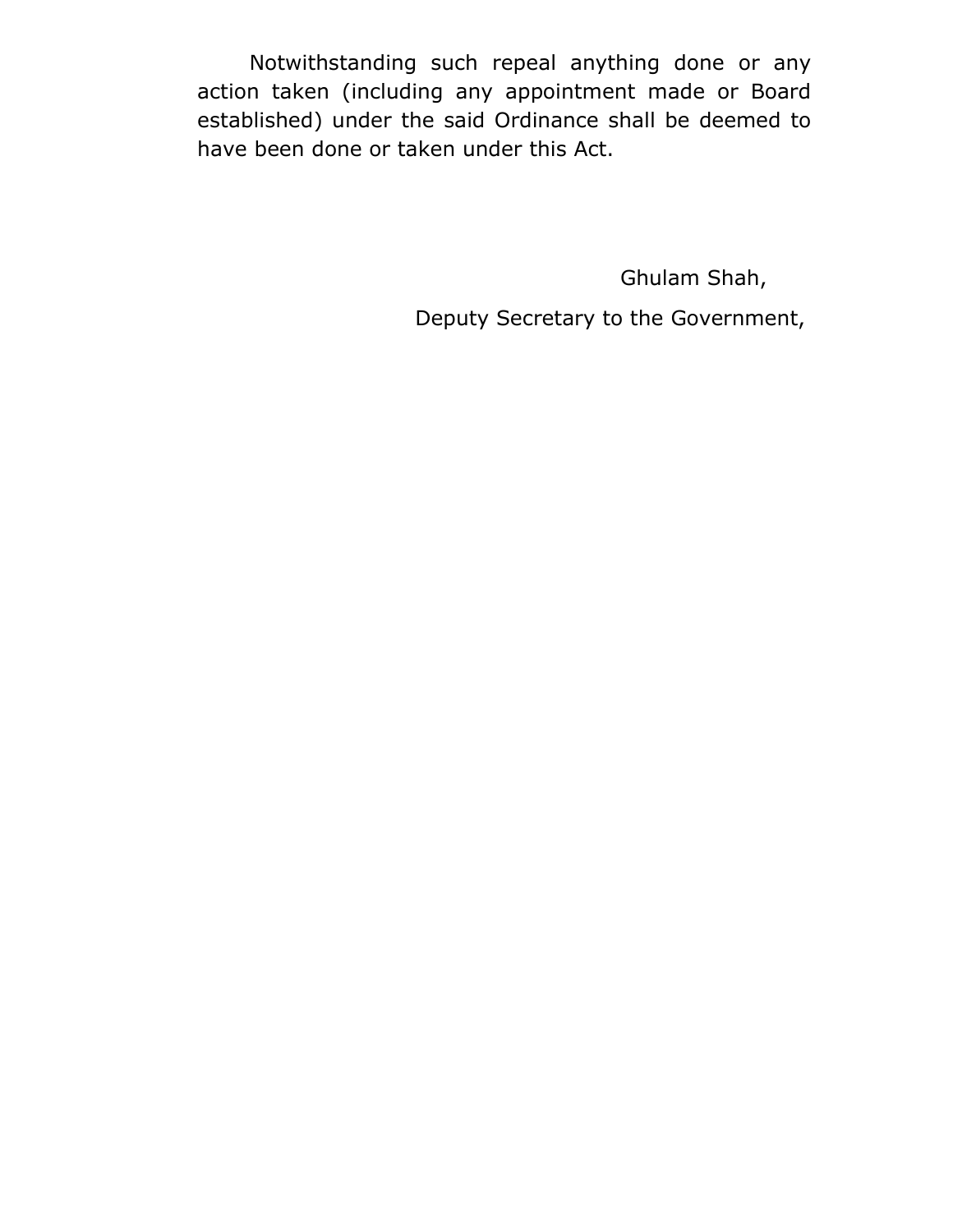Notwithstanding such repeal anything done or any action taken (including any appointment made or Board established) under the said Ordinance shall be deemed to have been done or taken under this Act.

Ghulam Shah,

Deputy Secretary to the Government,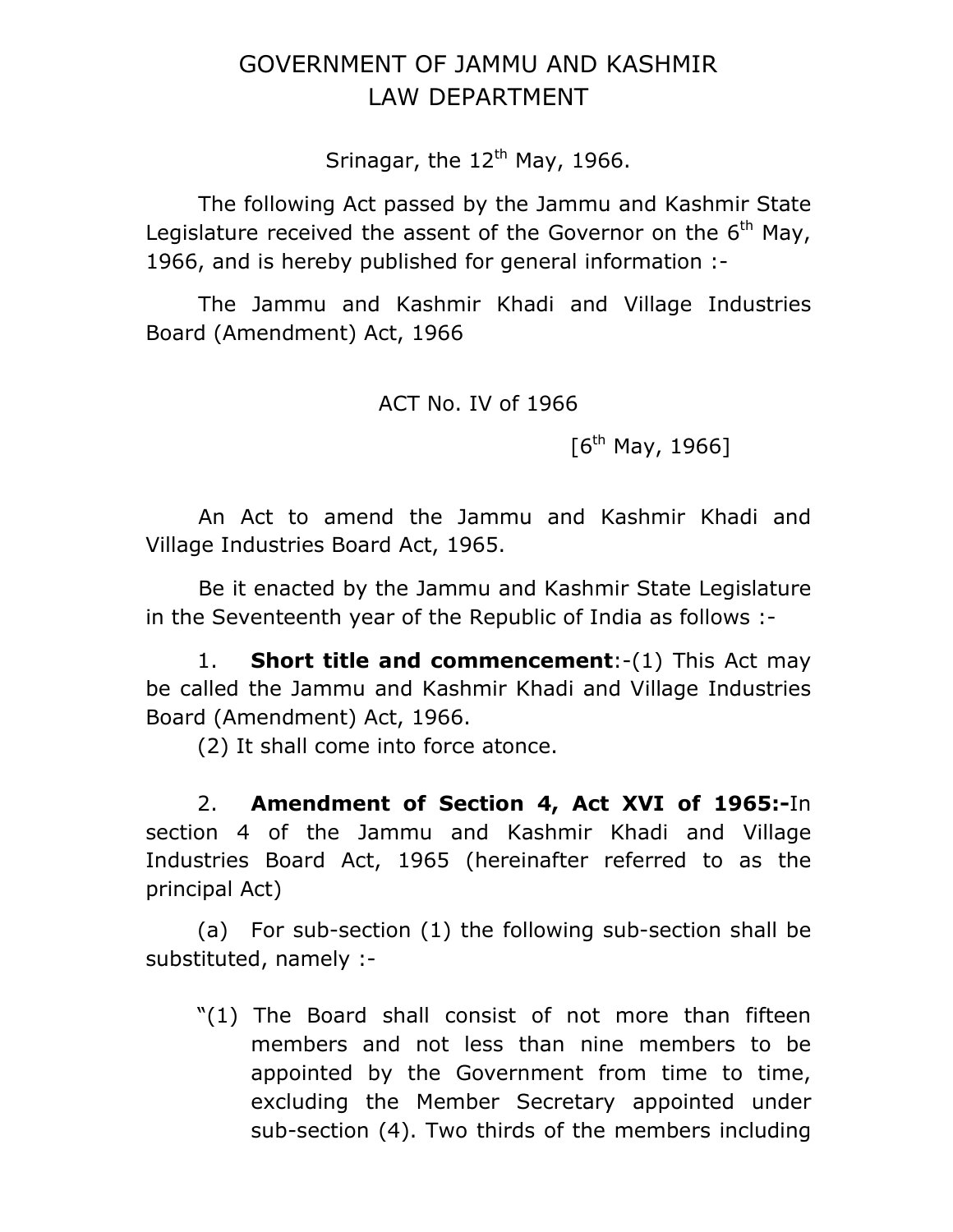# GOVERNMENT OF JAMMU AND KASHMIR LAW DEPARTMENT

Srinagar, the  $12<sup>th</sup>$  May, 1966.

 The following Act passed by the Jammu and Kashmir State Legislature received the assent of the Governor on the  $6<sup>th</sup>$  May, 1966, and is hereby published for general information :-

 The Jammu and Kashmir Khadi and Village Industries Board (Amendment) Act, 1966

ACT No. IV of 1966

 $[6^{th}$  May, 1966]

 An Act to amend the Jammu and Kashmir Khadi and Village Industries Board Act, 1965.

 Be it enacted by the Jammu and Kashmir State Legislature in the Seventeenth year of the Republic of India as follows :-

1. **Short title and commencement**:-(1) This Act may be called the Jammu and Kashmir Khadi and Village Industries Board (Amendment) Act, 1966.

(2) It shall come into force atonce.

2. **Amendment of Section 4, Act XVI of 1965:-**In section 4 of the Jammu and Kashmir Khadi and Village Industries Board Act, 1965 (hereinafter referred to as the principal Act)

(a) For sub-section (1) the following sub-section shall be substituted, namely :-

"(1) The Board shall consist of not more than fifteen members and not less than nine members to be appointed by the Government from time to time, excluding the Member Secretary appointed under sub-section (4). Two thirds of the members including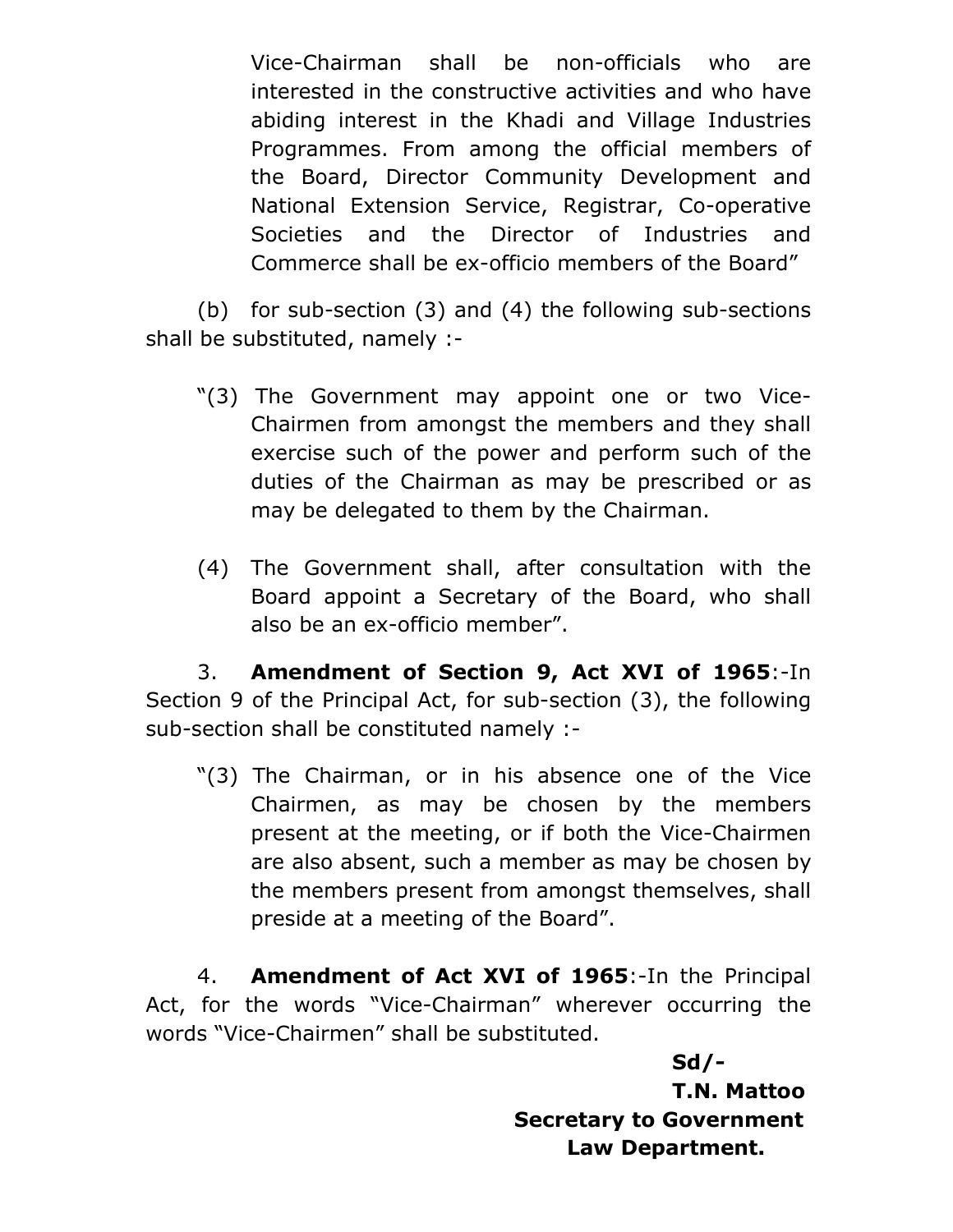Vice-Chairman shall be non-officials who are interested in the constructive activities and who have abiding interest in the Khadi and Village Industries Programmes. From among the official members of the Board, Director Community Development and National Extension Service, Registrar, Co-operative Societies and the Director of Industries and Commerce shall be ex-officio members of the Board"

(b) for sub-section (3) and (4) the following sub-sections shall be substituted, namely :-

- "(3) The Government may appoint one or two Vice-Chairmen from amongst the members and they shall exercise such of the power and perform such of the duties of the Chairman as may be prescribed or as may be delegated to them by the Chairman.
- (4) The Government shall, after consultation with the Board appoint a Secretary of the Board, who shall also be an ex-officio member".

3. **Amendment of Section 9, Act XVI of 1965**:-In Section 9 of the Principal Act, for sub-section (3), the following sub-section shall be constituted namely :-

"(3) The Chairman, or in his absence one of the Vice Chairmen, as may be chosen by the members present at the meeting, or if both the Vice-Chairmen are also absent, such a member as may be chosen by the members present from amongst themselves, shall preside at a meeting of the Board".

4. **Amendment of Act XVI of 1965**:-In the Principal Act, for the words "Vice-Chairman" wherever occurring the words "Vice-Chairmen" shall be substituted.

> **Sd/- T.N. Mattoo Secretary to Government Law Department.**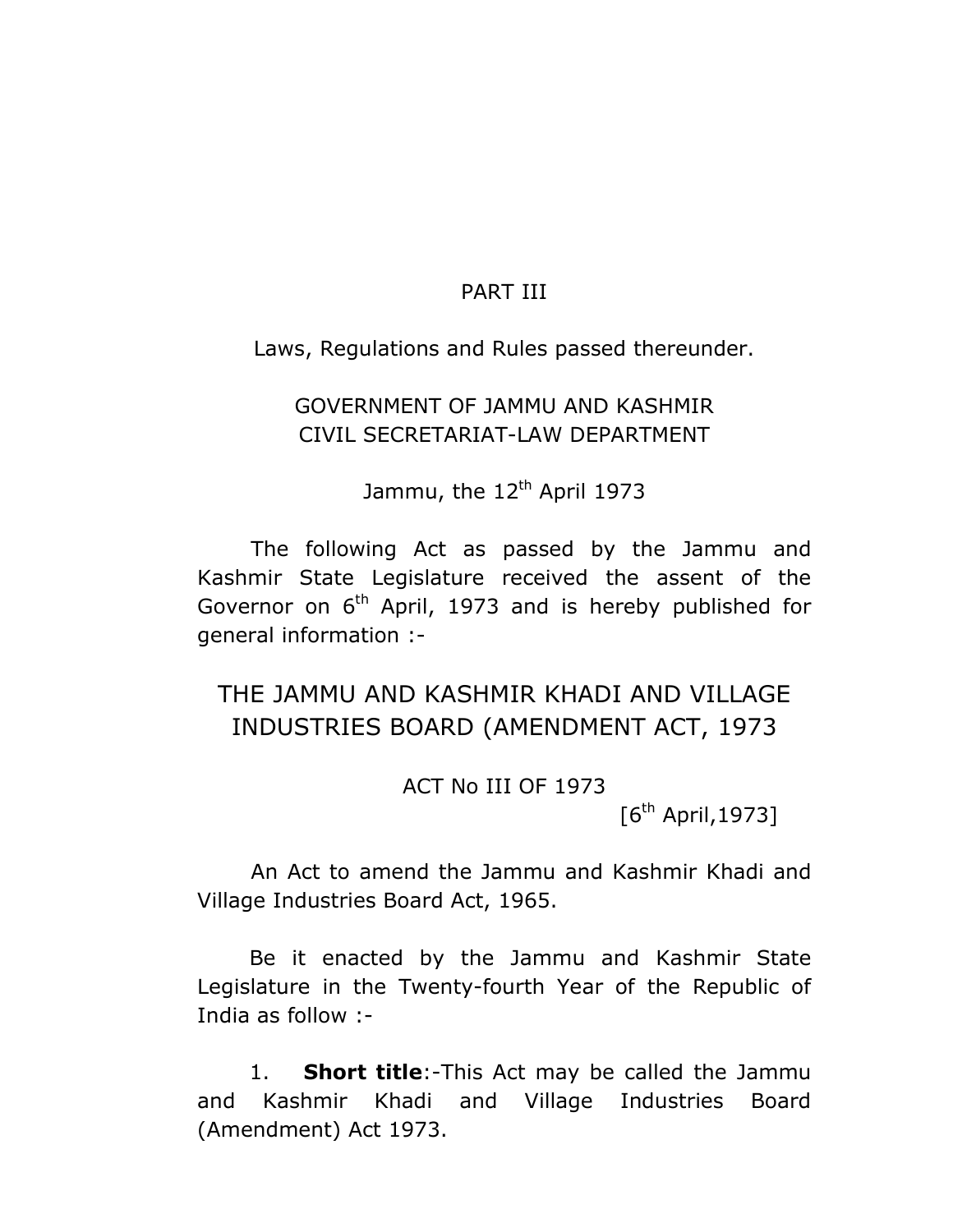### PART III

Laws, Regulations and Rules passed thereunder.

## GOVERNMENT OF JAMMU AND KASHMIR CIVIL SECRETARIAT-LAW DEPARTMENT

Jammu, the 12<sup>th</sup> April 1973

 The following Act as passed by the Jammu and Kashmir State Legislature received the assent of the Governor on  $6<sup>th</sup>$  April, 1973 and is hereby published for general information :-

# THE JAMMU AND KASHMIR KHADI AND VILLAGE INDUSTRIES BOARD (AMENDMENT ACT, 1973

ACT No III OF 1973

 $[6^{th}$  April, 1973]

 An Act to amend the Jammu and Kashmir Khadi and Village Industries Board Act, 1965.

Be it enacted by the Jammu and Kashmir State Legislature in the Twenty-fourth Year of the Republic of India as follow :-

1. **Short title**:-This Act may be called the Jammu and Kashmir Khadi and Village Industries Board (Amendment) Act 1973.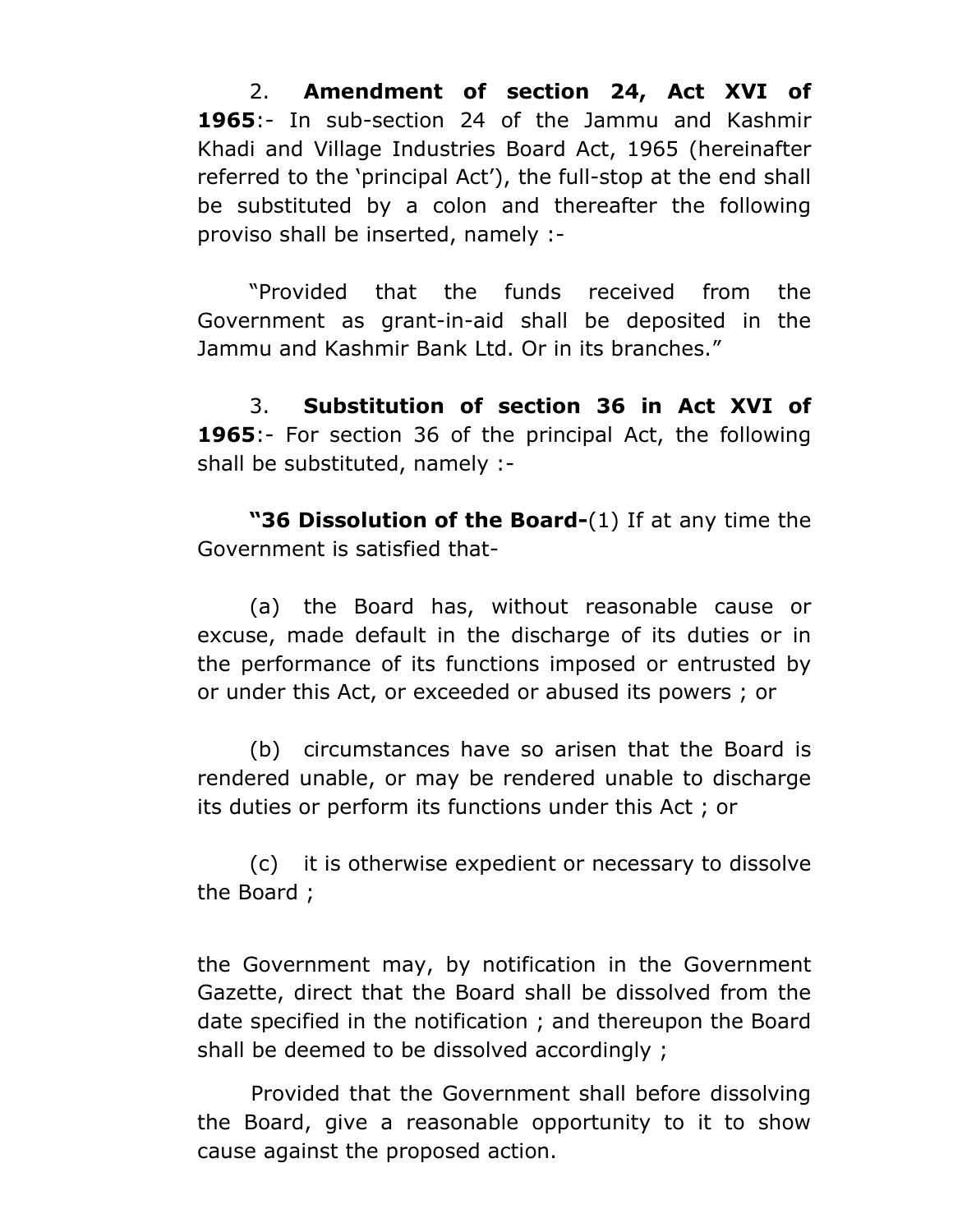2. **Amendment of section 24, Act XVI of 1965**:- In sub-section 24 of the Jammu and Kashmir Khadi and Village Industries Board Act, 1965 (hereinafter referred to the 'principal Act'), the full-stop at the end shall be substituted by a colon and thereafter the following proviso shall be inserted, namely :-

"Provided that the funds received from the Government as grant-in-aid shall be deposited in the Jammu and Kashmir Bank Ltd. Or in its branches."

3. **Substitution of section 36 in Act XVI of 1965**:- For section 36 of the principal Act, the following shall be substituted, namely :-

**"36 Dissolution of the Board-**(1) If at any time the Government is satisfied that-

(a) the Board has, without reasonable cause or excuse, made default in the discharge of its duties or in the performance of its functions imposed or entrusted by or under this Act, or exceeded or abused its powers ; or

(b) circumstances have so arisen that the Board is rendered unable, or may be rendered unable to discharge its duties or perform its functions under this Act ; or

(c) it is otherwise expedient or necessary to dissolve the Board ;

the Government may, by notification in the Government Gazette, direct that the Board shall be dissolved from the date specified in the notification ; and thereupon the Board shall be deemed to be dissolved accordingly ;

 Provided that the Government shall before dissolving the Board, give a reasonable opportunity to it to show cause against the proposed action.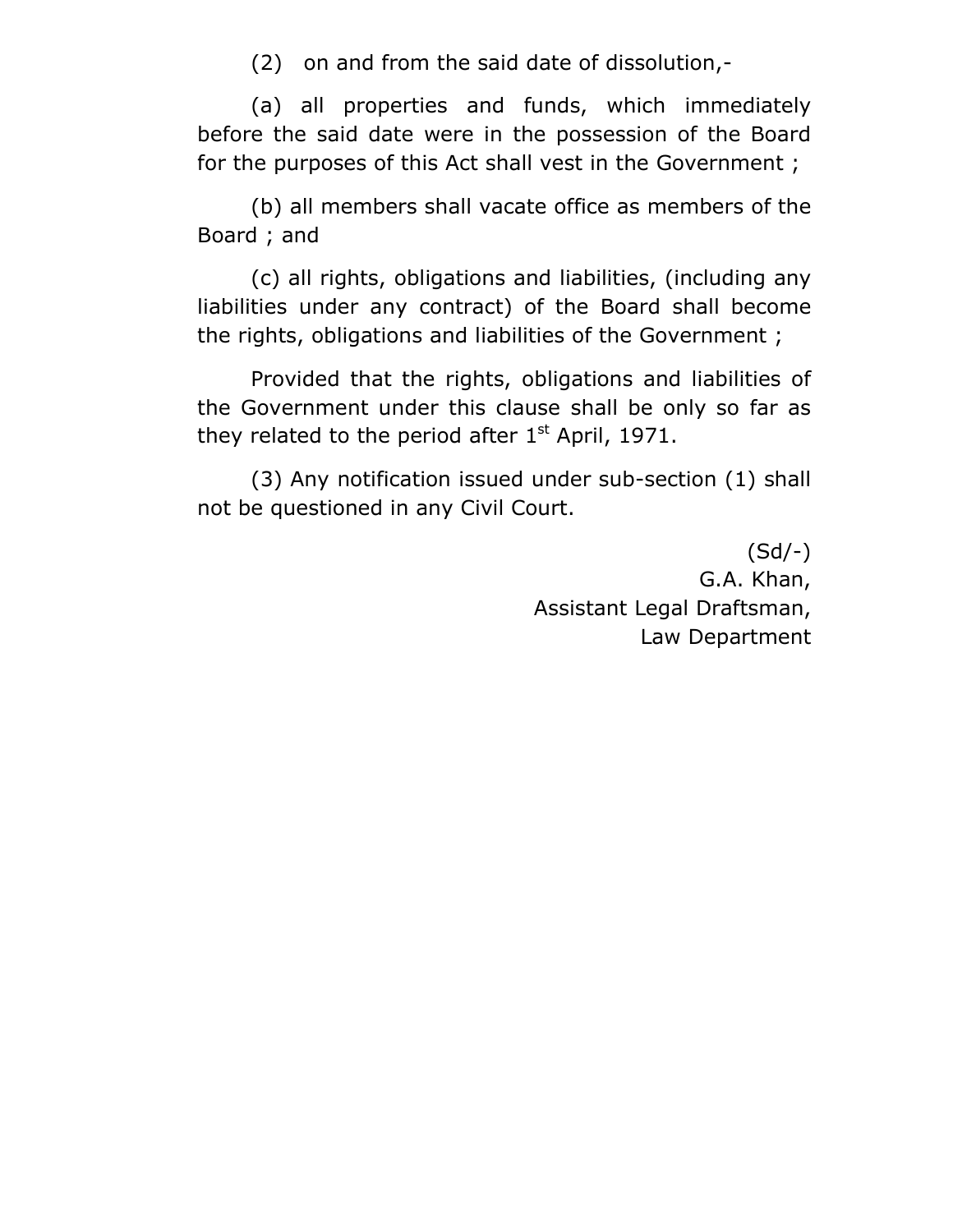(2) on and from the said date of dissolution,-

 (a) all properties and funds, which immediately before the said date were in the possession of the Board for the purposes of this Act shall vest in the Government ;

 (b) all members shall vacate office as members of the Board ; and

 (c) all rights, obligations and liabilities, (including any liabilities under any contract) of the Board shall become the rights, obligations and liabilities of the Government ;

 Provided that the rights, obligations and liabilities of the Government under this clause shall be only so far as they related to the period after  $1<sup>st</sup>$  April, 1971.

 (3) Any notification issued under sub-section (1) shall not be questioned in any Civil Court.

> (Sd/-) G.A. Khan, Assistant Legal Draftsman, Law Department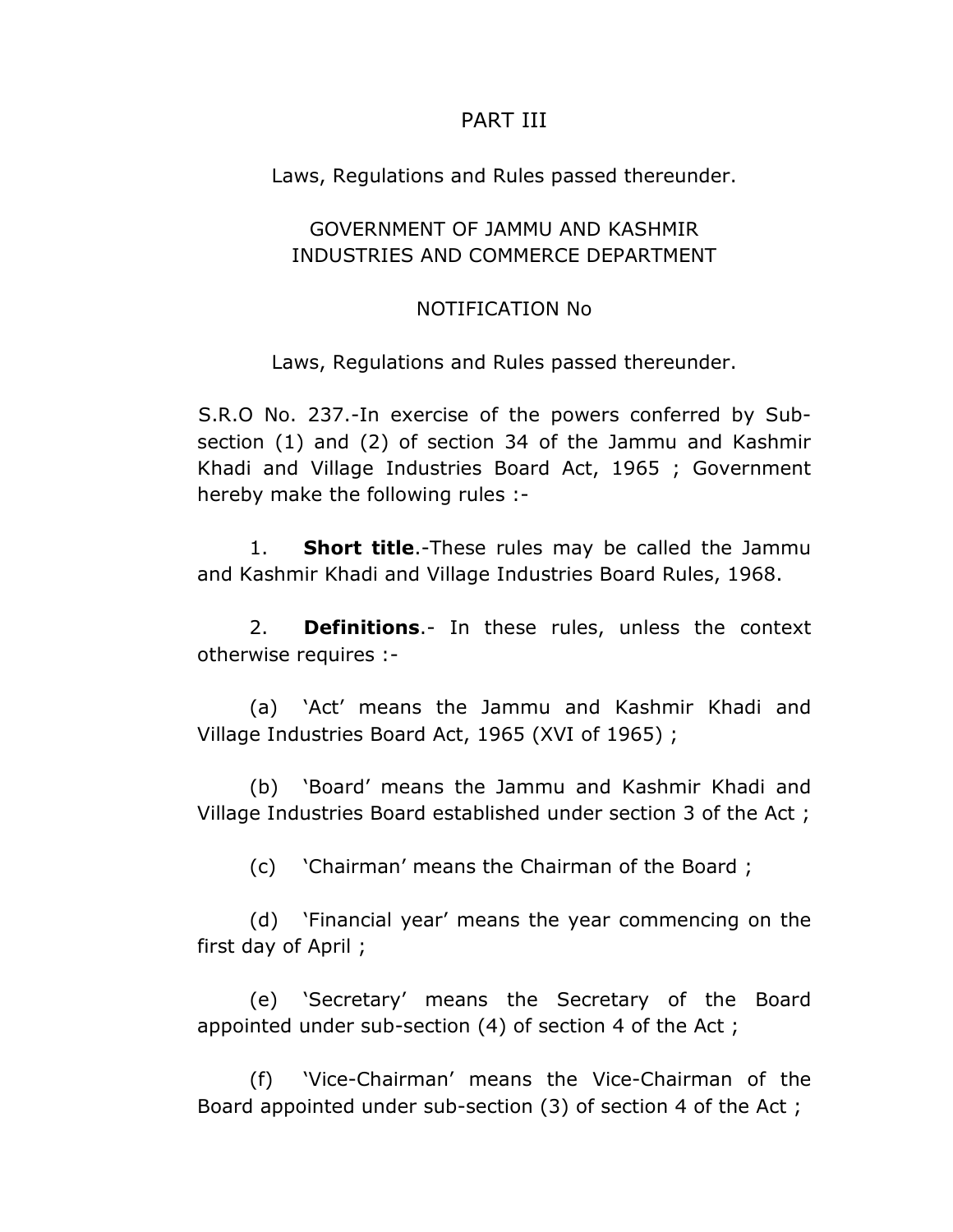### PART III

Laws, Regulations and Rules passed thereunder.

## GOVERNMENT OF JAMMU AND KASHMIR INDUSTRIES AND COMMERCE DEPARTMENT

### NOTIFICATION No

Laws, Regulations and Rules passed thereunder.

 S.R.O No. 237.-In exercise of the powers conferred by Subsection (1) and (2) of section 34 of the Jammu and Kashmir Khadi and Village Industries Board Act, 1965 ; Government hereby make the following rules :-

1. **Short title**.-These rules may be called the Jammu and Kashmir Khadi and Village Industries Board Rules, 1968.

2. **Definitions**.- In these rules, unless the context otherwise requires :-

(a) 'Act' means the Jammu and Kashmir Khadi and Village Industries Board Act, 1965 (XVI of 1965) ;

(b) 'Board' means the Jammu and Kashmir Khadi and Village Industries Board established under section 3 of the Act ;

(c) 'Chairman' means the Chairman of the Board ;

(d) 'Financial year' means the year commencing on the first day of April ;

(e) 'Secretary' means the Secretary of the Board appointed under sub-section (4) of section 4 of the Act ;

(f) 'Vice-Chairman' means the Vice-Chairman of the Board appointed under sub-section (3) of section 4 of the Act ;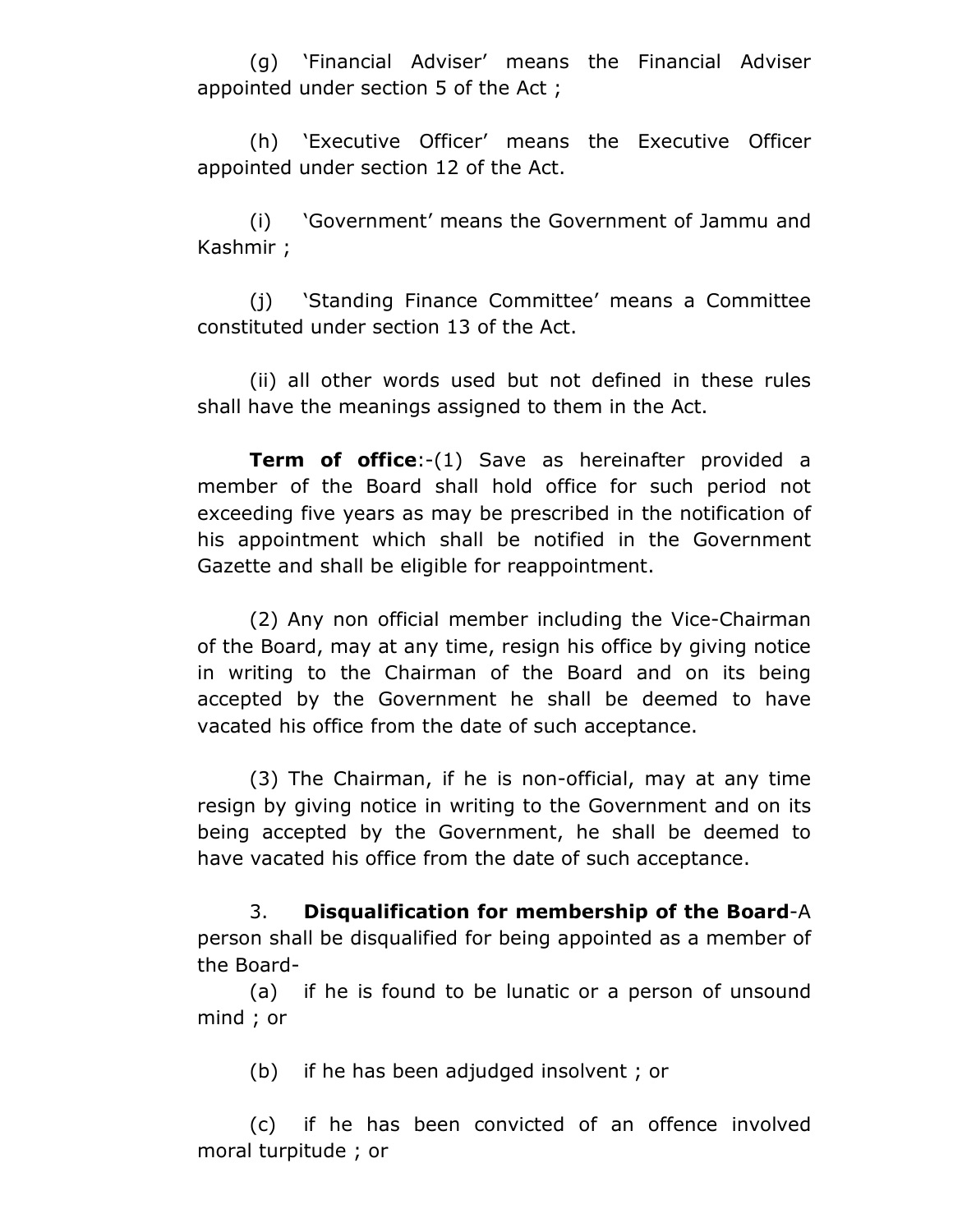(g) 'Financial Adviser' means the Financial Adviser appointed under section 5 of the Act ;

(h) 'Executive Officer' means the Executive Officer appointed under section 12 of the Act.

(i) 'Government' means the Government of Jammu and Kashmir ;

(j) 'Standing Finance Committee' means a Committee constituted under section 13 of the Act.

(ii) all other words used but not defined in these rules shall have the meanings assigned to them in the Act.

**Term of office**:-(1) Save as hereinafter provided a member of the Board shall hold office for such period not exceeding five years as may be prescribed in the notification of his appointment which shall be notified in the Government Gazette and shall be eligible for reappointment.

(2) Any non official member including the Vice-Chairman of the Board, may at any time, resign his office by giving notice in writing to the Chairman of the Board and on its being accepted by the Government he shall be deemed to have vacated his office from the date of such acceptance.

(3) The Chairman, if he is non-official, may at any time resign by giving notice in writing to the Government and on its being accepted by the Government, he shall be deemed to have vacated his office from the date of such acceptance.

3. **Disqualification for membership of the Board**-A person shall be disqualified for being appointed as a member of the Board-

(a) if he is found to be lunatic or a person of unsound mind ; or

(b) if he has been adjudged insolvent ; or

(c) if he has been convicted of an offence involved moral turpitude ; or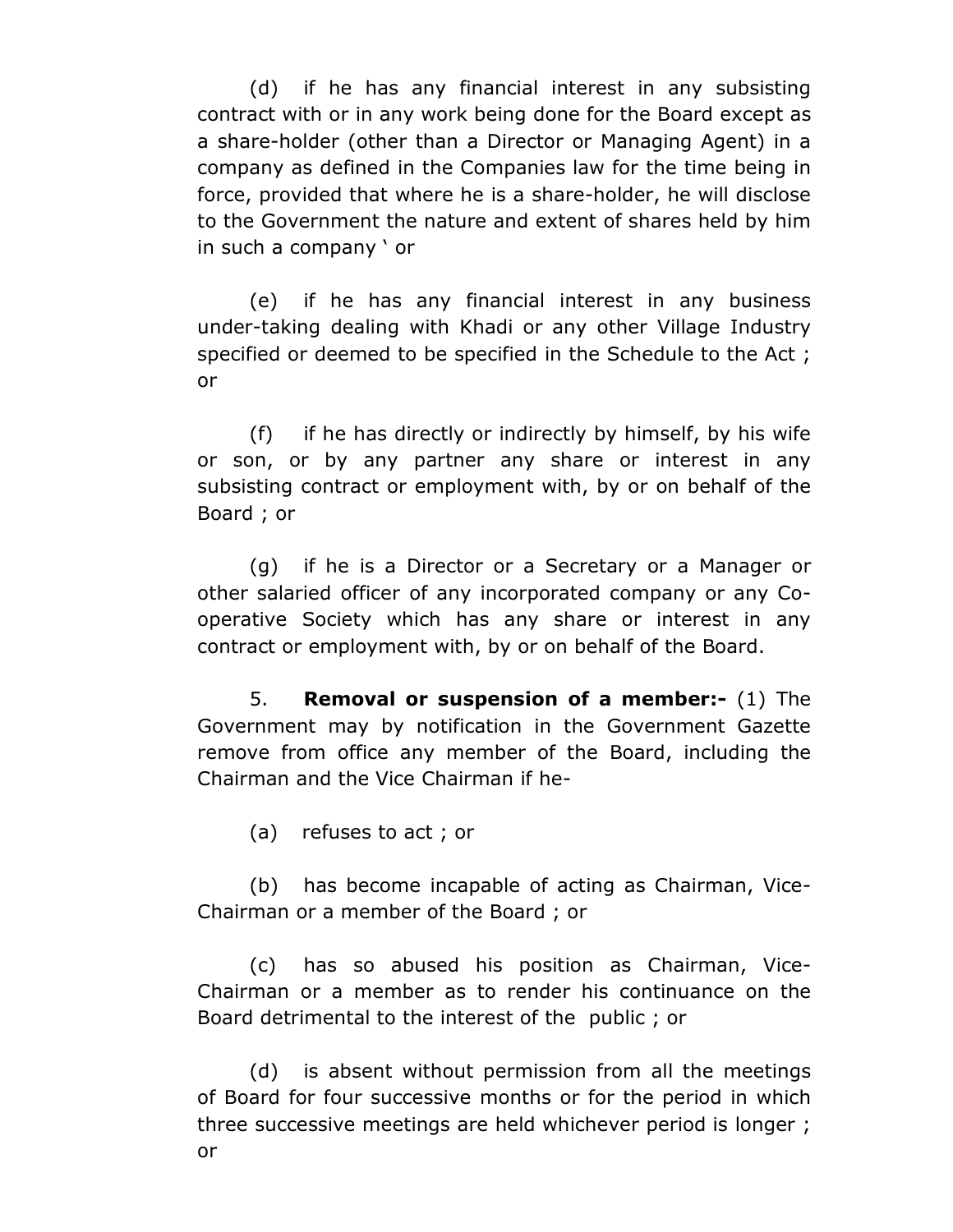(d) if he has any financial interest in any subsisting contract with or in any work being done for the Board except as a share-holder (other than a Director or Managing Agent) in a company as defined in the Companies law for the time being in force, provided that where he is a share-holder, he will disclose to the Government the nature and extent of shares held by him in such a company ' or

(e) if he has any financial interest in any business under-taking dealing with Khadi or any other Village Industry specified or deemed to be specified in the Schedule to the Act ; or

(f) if he has directly or indirectly by himself, by his wife or son, or by any partner any share or interest in any subsisting contract or employment with, by or on behalf of the Board ; or

(g) if he is a Director or a Secretary or a Manager or other salaried officer of any incorporated company or any Cooperative Society which has any share or interest in any contract or employment with, by or on behalf of the Board.

5. **Removal or suspension of a member:-** (1) The Government may by notification in the Government Gazette remove from office any member of the Board, including the Chairman and the Vice Chairman if he-

(a) refuses to act ; or

(b) has become incapable of acting as Chairman, Vice-Chairman or a member of the Board ; or

(c) has so abused his position as Chairman, Vice-Chairman or a member as to render his continuance on the Board detrimental to the interest of the public ; or

(d) is absent without permission from all the meetings of Board for four successive months or for the period in which three successive meetings are held whichever period is longer ; or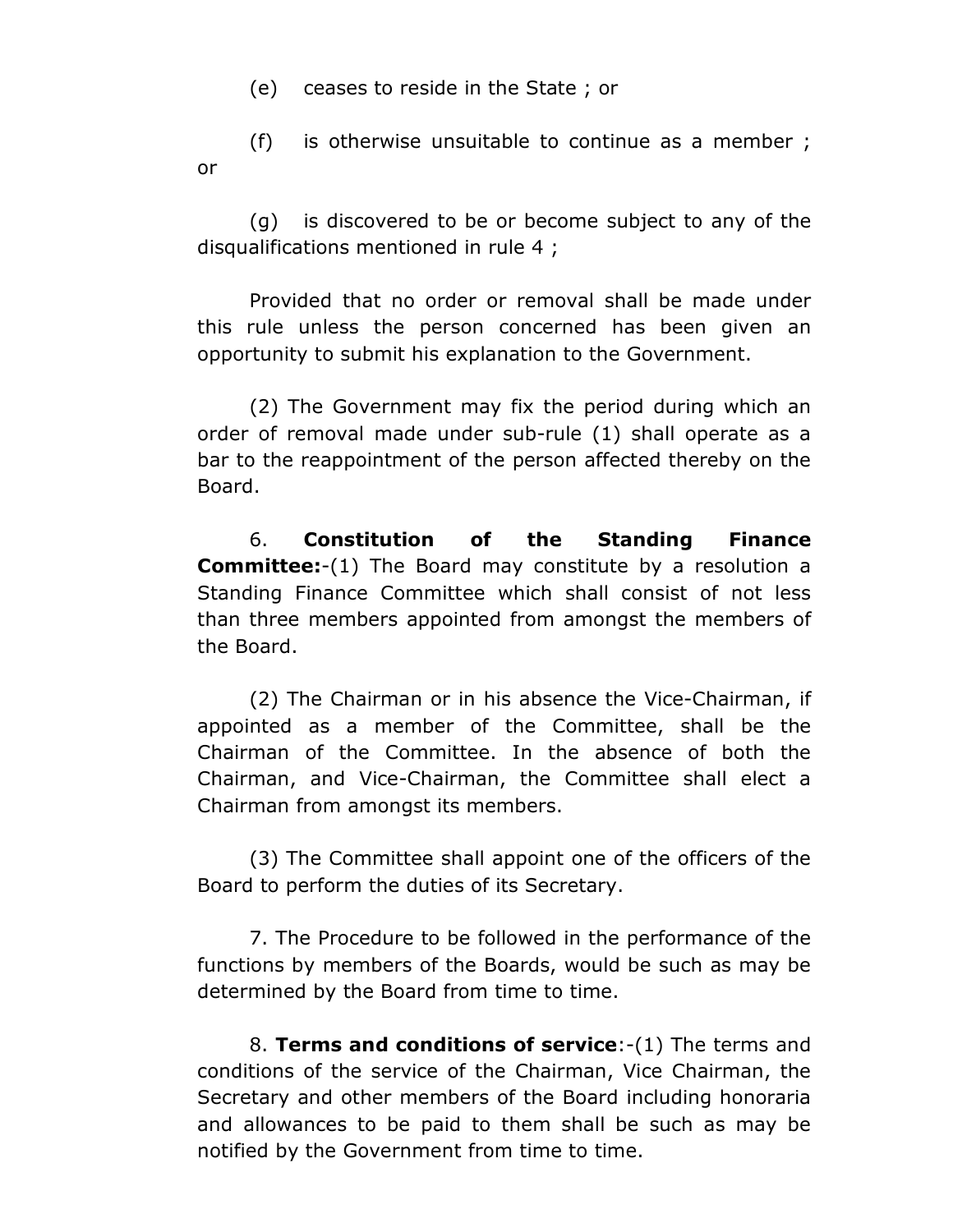(e) ceases to reside in the State ; or

(f) is otherwise unsuitable to continue as a member ; or

(g) is discovered to be or become subject to any of the disqualifications mentioned in rule 4 ;

Provided that no order or removal shall be made under this rule unless the person concerned has been given an opportunity to submit his explanation to the Government.

(2) The Government may fix the period during which an order of removal made under sub-rule (1) shall operate as a bar to the reappointment of the person affected thereby on the Board.

6. **Constitution of the Standing Finance Committee:**-(1) The Board may constitute by a resolution a Standing Finance Committee which shall consist of not less than three members appointed from amongst the members of the Board.

(2) The Chairman or in his absence the Vice-Chairman, if appointed as a member of the Committee, shall be the Chairman of the Committee. In the absence of both the Chairman, and Vice-Chairman, the Committee shall elect a Chairman from amongst its members.

(3) The Committee shall appoint one of the officers of the Board to perform the duties of its Secretary.

7. The Procedure to be followed in the performance of the functions by members of the Boards, would be such as may be determined by the Board from time to time.

8. **Terms and conditions of service**:-(1) The terms and conditions of the service of the Chairman, Vice Chairman, the Secretary and other members of the Board including honoraria and allowances to be paid to them shall be such as may be notified by the Government from time to time.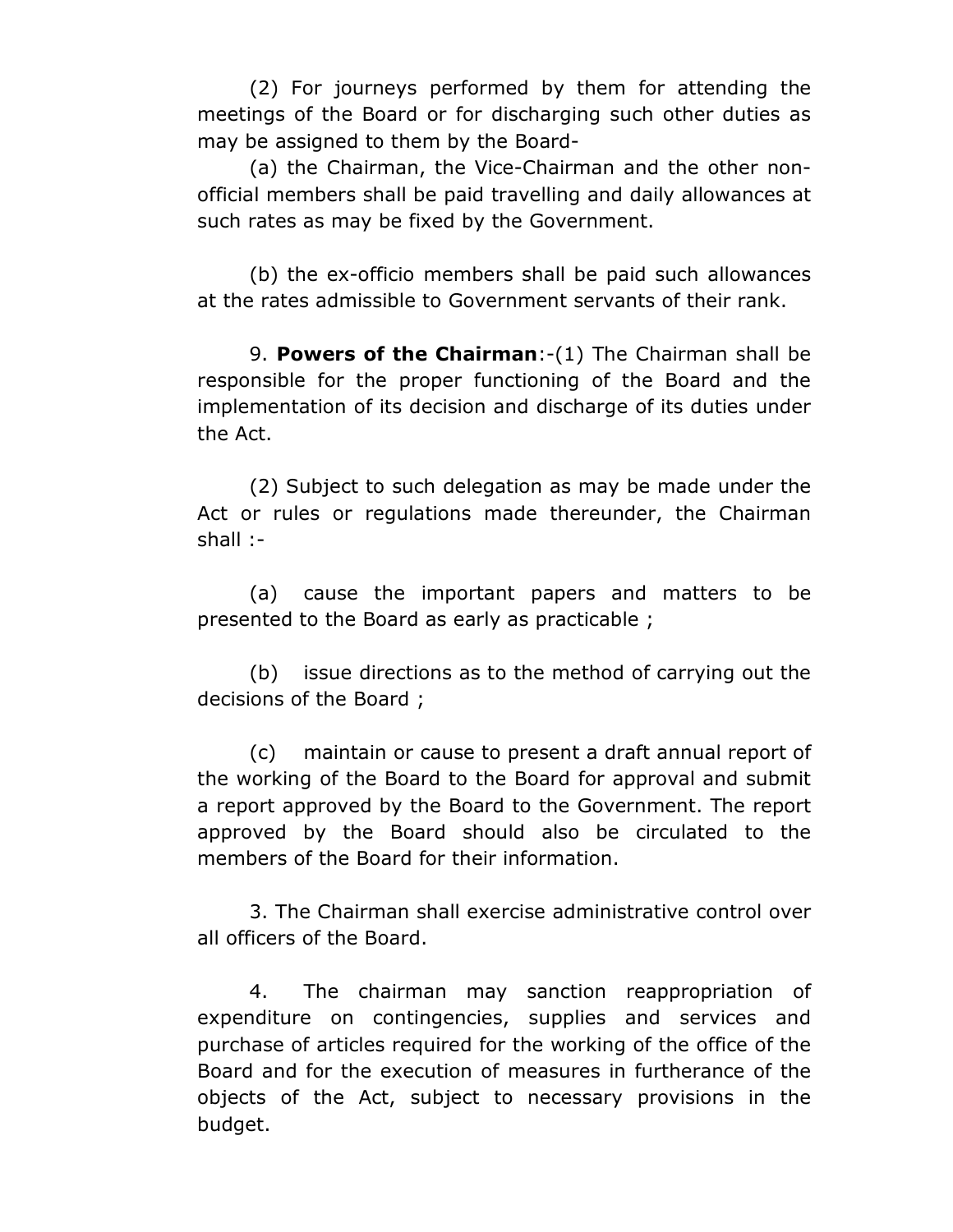(2) For journeys performed by them for attending the meetings of the Board or for discharging such other duties as may be assigned to them by the Board-

(a) the Chairman, the Vice-Chairman and the other nonofficial members shall be paid travelling and daily allowances at such rates as may be fixed by the Government.

(b) the ex-officio members shall be paid such allowances at the rates admissible to Government servants of their rank.

9. **Powers of the Chairman**:-(1) The Chairman shall be responsible for the proper functioning of the Board and the implementation of its decision and discharge of its duties under the Act.

(2) Subject to such delegation as may be made under the Act or rules or regulations made thereunder, the Chairman shall :-

(a) cause the important papers and matters to be presented to the Board as early as practicable ;

(b) issue directions as to the method of carrying out the decisions of the Board ;

(c) maintain or cause to present a draft annual report of the working of the Board to the Board for approval and submit a report approved by the Board to the Government. The report approved by the Board should also be circulated to the members of the Board for their information.

3. The Chairman shall exercise administrative control over all officers of the Board.

4. The chairman may sanction reappropriation of expenditure on contingencies, supplies and services and purchase of articles required for the working of the office of the Board and for the execution of measures in furtherance of the objects of the Act, subject to necessary provisions in the budget.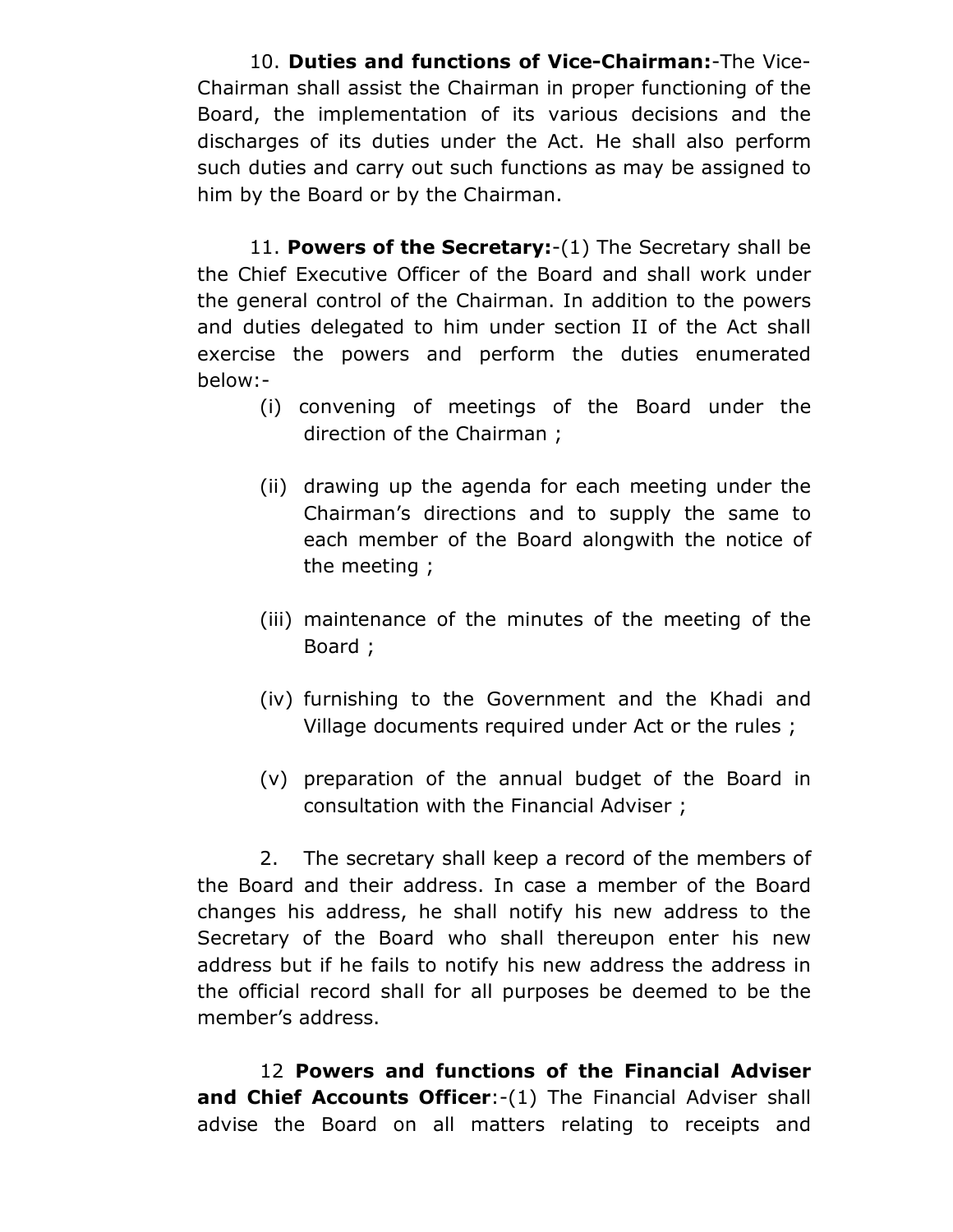10. **Duties and functions of Vice-Chairman:**-The Vice-Chairman shall assist the Chairman in proper functioning of the Board, the implementation of its various decisions and the discharges of its duties under the Act. He shall also perform such duties and carry out such functions as may be assigned to him by the Board or by the Chairman.

11. **Powers of the Secretary:**-(1) The Secretary shall be the Chief Executive Officer of the Board and shall work under the general control of the Chairman. In addition to the powers and duties delegated to him under section II of the Act shall exercise the powers and perform the duties enumerated below:-

- (i) convening of meetings of the Board under the direction of the Chairman ;
- (ii) drawing up the agenda for each meeting under the Chairman's directions and to supply the same to each member of the Board alongwith the notice of the meeting ;
- (iii) maintenance of the minutes of the meeting of the Board ;
- (iv) furnishing to the Government and the Khadi and Village documents required under Act or the rules ;
- (v) preparation of the annual budget of the Board in consultation with the Financial Adviser ;

2. The secretary shall keep a record of the members of the Board and their address. In case a member of the Board changes his address, he shall notify his new address to the Secretary of the Board who shall thereupon enter his new address but if he fails to notify his new address the address in the official record shall for all purposes be deemed to be the member's address.

12 **Powers and functions of the Financial Adviser and Chief Accounts Officer:-(1)** The Financial Adviser shall advise the Board on all matters relating to receipts and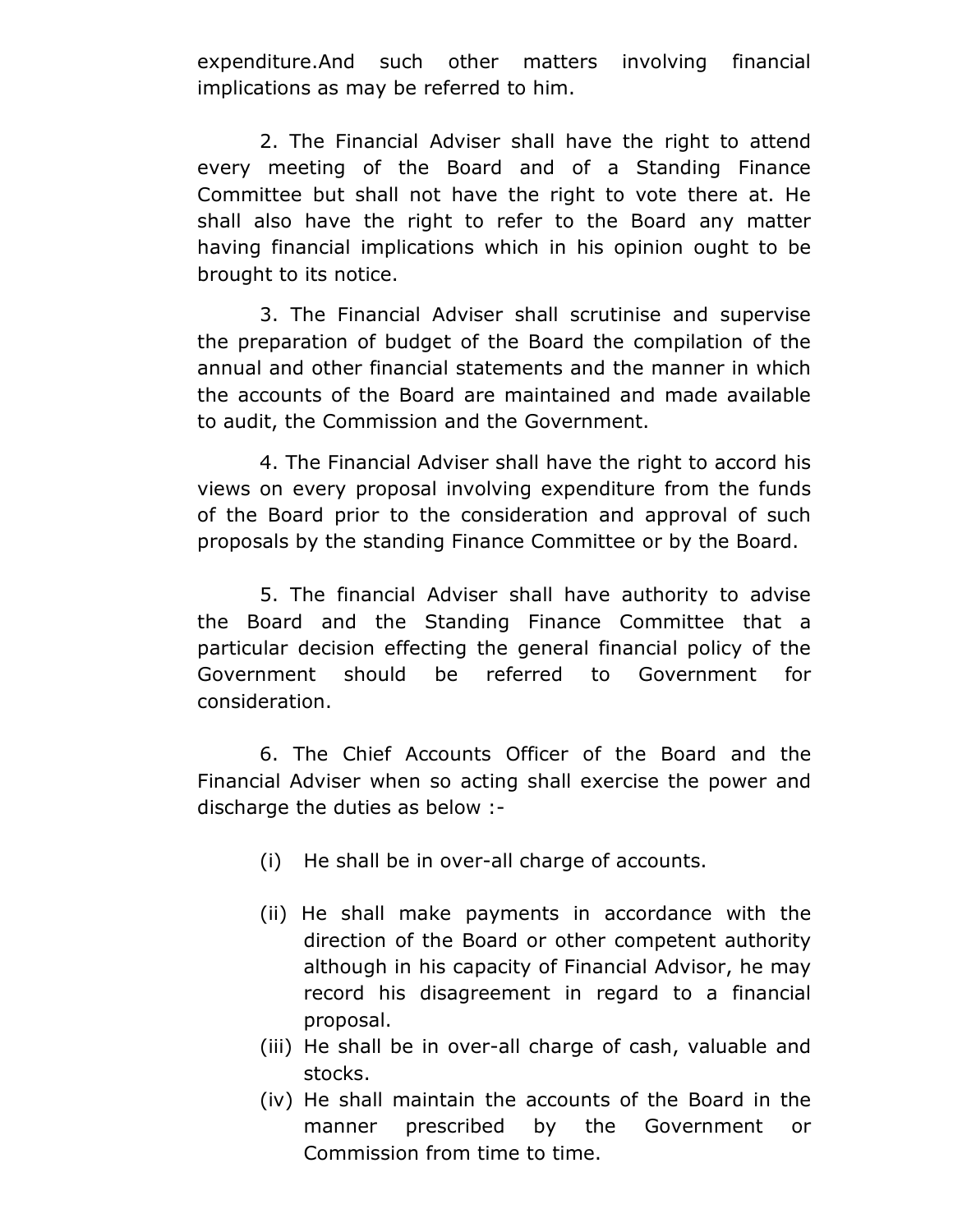expenditure.And such other matters involving financial implications as may be referred to him.

2. The Financial Adviser shall have the right to attend every meeting of the Board and of a Standing Finance Committee but shall not have the right to vote there at. He shall also have the right to refer to the Board any matter having financial implications which in his opinion ought to be brought to its notice.

3. The Financial Adviser shall scrutinise and supervise the preparation of budget of the Board the compilation of the annual and other financial statements and the manner in which the accounts of the Board are maintained and made available to audit, the Commission and the Government.

4. The Financial Adviser shall have the right to accord his views on every proposal involving expenditure from the funds of the Board prior to the consideration and approval of such proposals by the standing Finance Committee or by the Board.

5. The financial Adviser shall have authority to advise the Board and the Standing Finance Committee that a particular decision effecting the general financial policy of the Government should be referred to Government for consideration.

6. The Chief Accounts Officer of the Board and the Financial Adviser when so acting shall exercise the power and discharge the duties as below :-

- (i) He shall be in over-all charge of accounts.
- (ii) He shall make payments in accordance with the direction of the Board or other competent authority although in his capacity of Financial Advisor, he may record his disagreement in regard to a financial proposal.
- (iii) He shall be in over-all charge of cash, valuable and stocks.
- (iv) He shall maintain the accounts of the Board in the manner prescribed by the Government or Commission from time to time.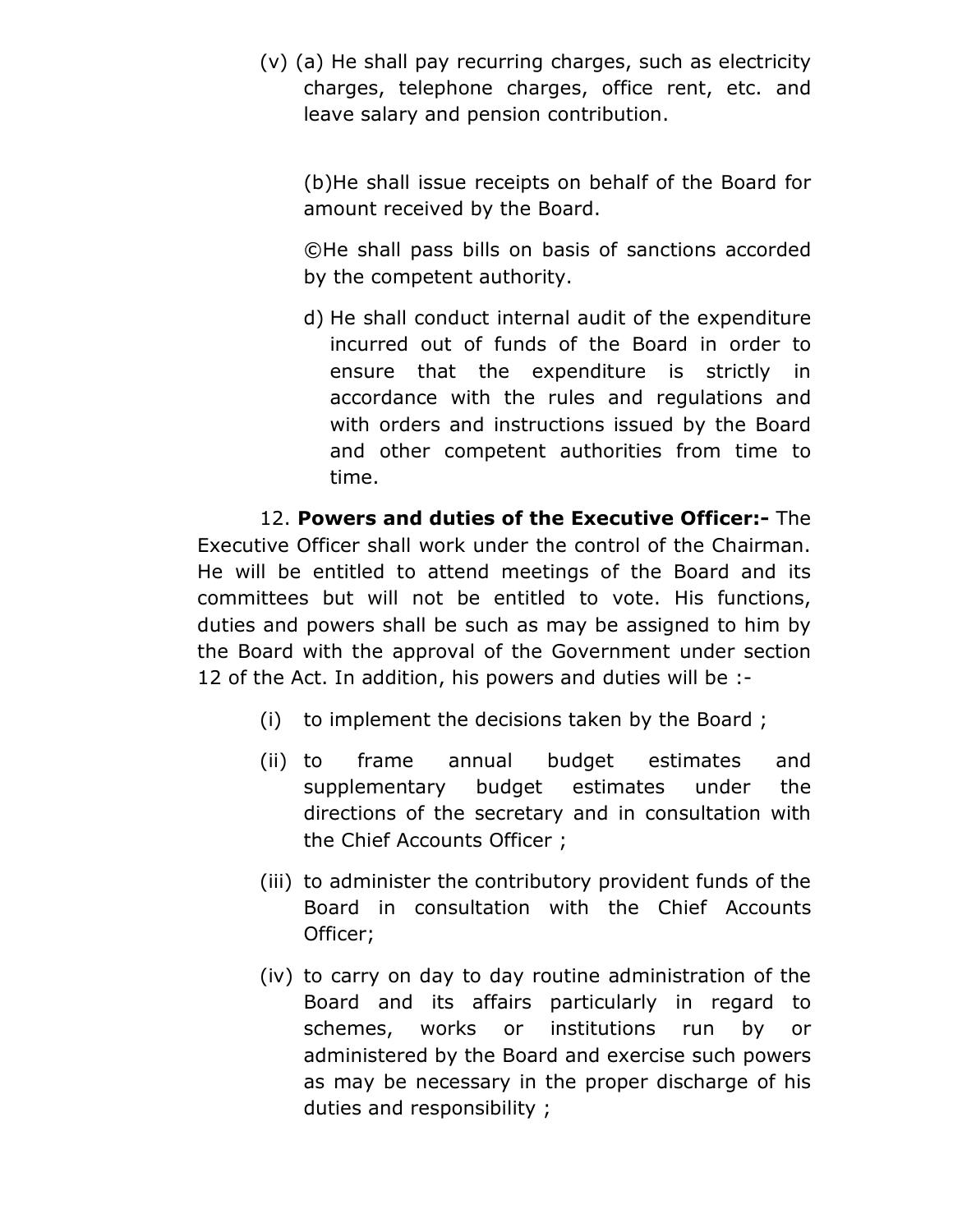(v) (a) He shall pay recurring charges, such as electricity charges, telephone charges, office rent, etc. and leave salary and pension contribution.

(b)He shall issue receipts on behalf of the Board for amount received by the Board.

©He shall pass bills on basis of sanctions accorded by the competent authority.

d) He shall conduct internal audit of the expenditure incurred out of funds of the Board in order to ensure that the expenditure is strictly in accordance with the rules and regulations and with orders and instructions issued by the Board and other competent authorities from time to time.

12. **Powers and duties of the Executive Officer:-** The Executive Officer shall work under the control of the Chairman. He will be entitled to attend meetings of the Board and its committees but will not be entitled to vote. His functions, duties and powers shall be such as may be assigned to him by the Board with the approval of the Government under section 12 of the Act. In addition, his powers and duties will be :-

- (i) to implement the decisions taken by the Board ;
- (ii) to frame annual budget estimates and supplementary budget estimates under the directions of the secretary and in consultation with the Chief Accounts Officer ;
- (iii) to administer the contributory provident funds of the Board in consultation with the Chief Accounts Officer;
- (iv) to carry on day to day routine administration of the Board and its affairs particularly in regard to schemes, works or institutions run by or administered by the Board and exercise such powers as may be necessary in the proper discharge of his duties and responsibility ;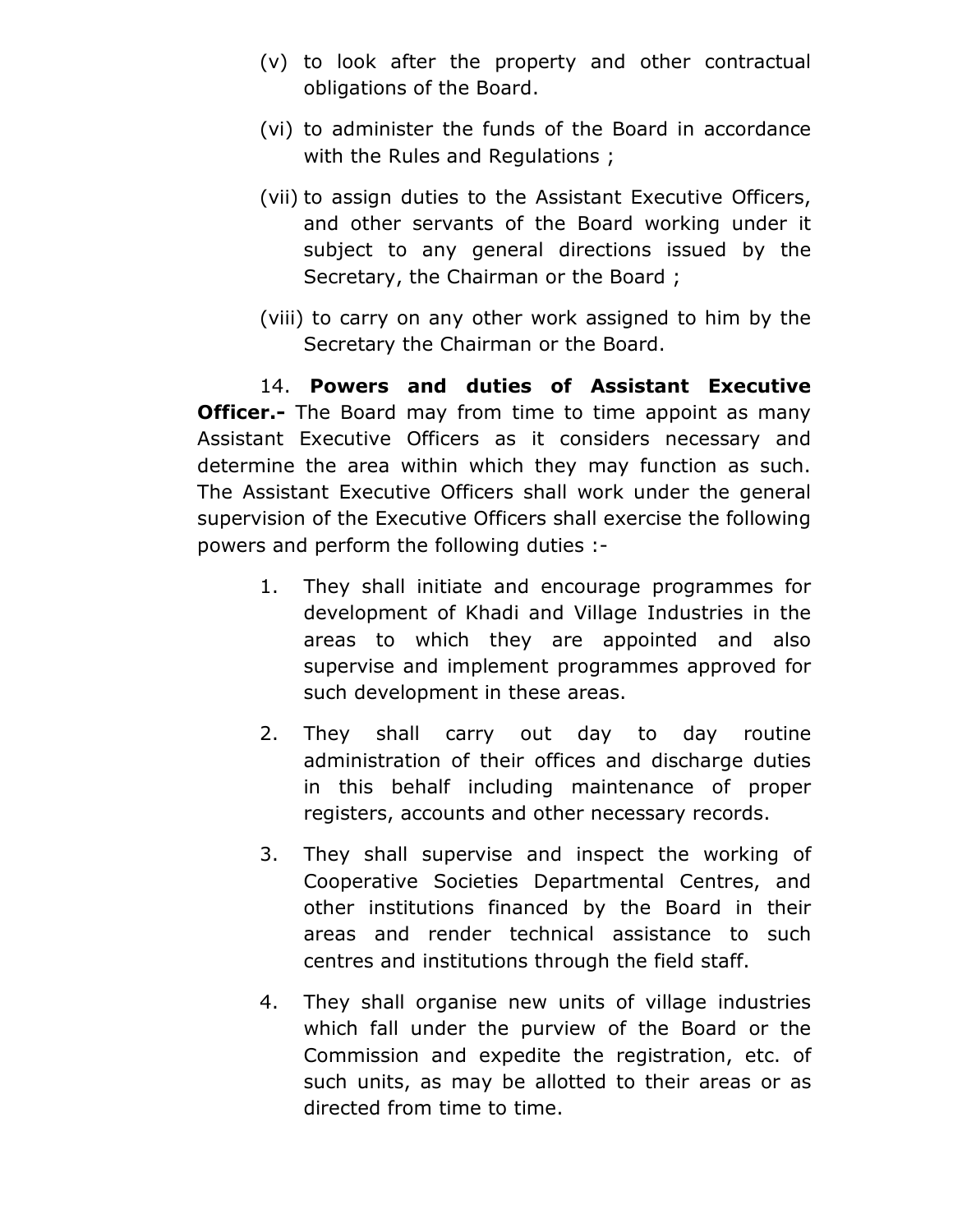- (v) to look after the property and other contractual obligations of the Board.
- (vi) to administer the funds of the Board in accordance with the Rules and Regulations ;
- (vii) to assign duties to the Assistant Executive Officers, and other servants of the Board working under it subject to any general directions issued by the Secretary, the Chairman or the Board ;
- (viii) to carry on any other work assigned to him by the Secretary the Chairman or the Board.

14. **Powers and duties of Assistant Executive Officer.-** The Board may from time to time appoint as many Assistant Executive Officers as it considers necessary and determine the area within which they may function as such. The Assistant Executive Officers shall work under the general supervision of the Executive Officers shall exercise the following powers and perform the following duties :-

- 1. They shall initiate and encourage programmes for development of Khadi and Village Industries in the areas to which they are appointed and also supervise and implement programmes approved for such development in these areas.
- 2. They shall carry out day to day routine administration of their offices and discharge duties in this behalf including maintenance of proper registers, accounts and other necessary records.
- 3. They shall supervise and inspect the working of Cooperative Societies Departmental Centres, and other institutions financed by the Board in their areas and render technical assistance to such centres and institutions through the field staff.
- 4. They shall organise new units of village industries which fall under the purview of the Board or the Commission and expedite the registration, etc. of such units, as may be allotted to their areas or as directed from time to time.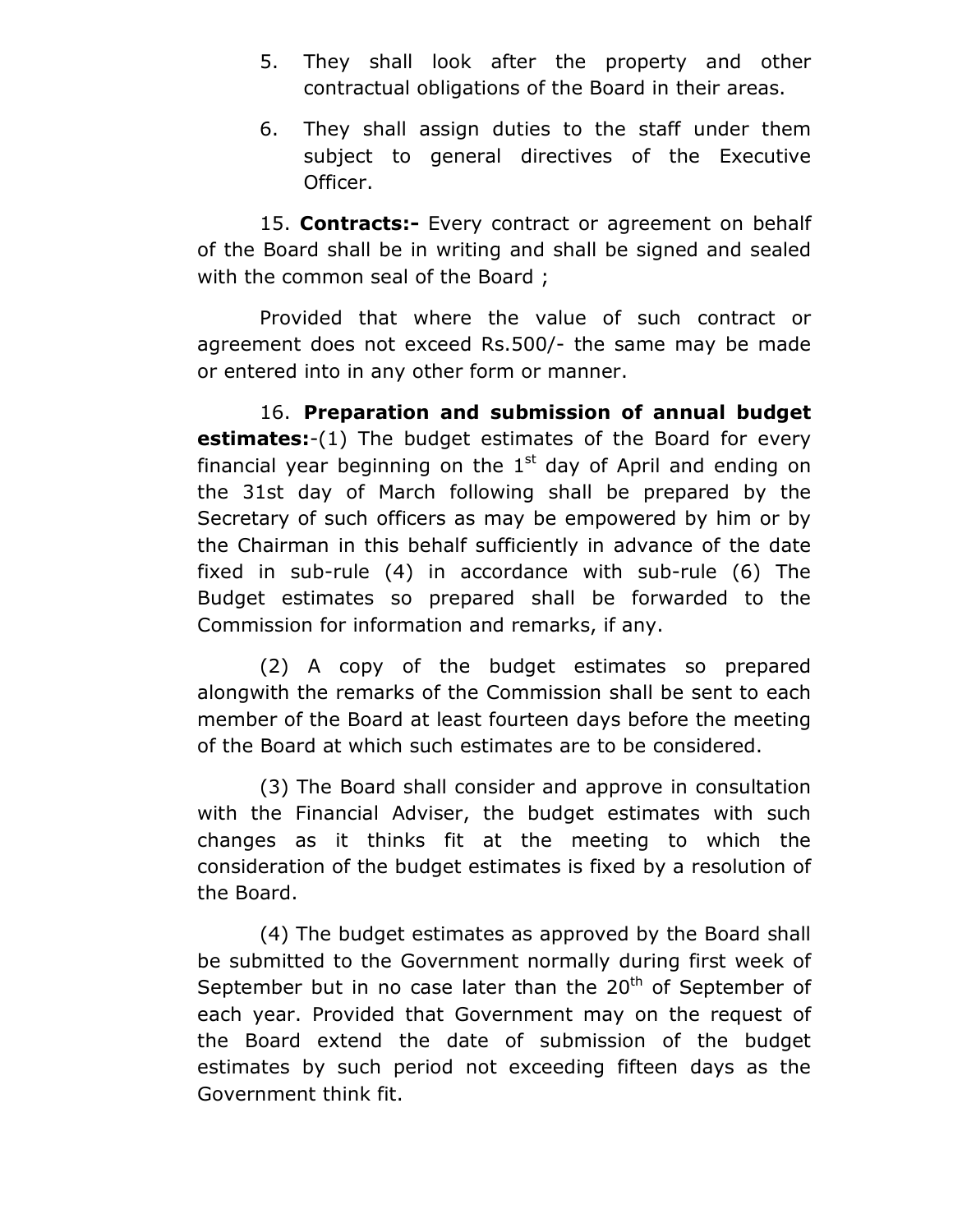- 5. They shall look after the property and other contractual obligations of the Board in their areas.
- 6. They shall assign duties to the staff under them subject to general directives of the Executive Officer.

15. **Contracts:-** Every contract or agreement on behalf of the Board shall be in writing and shall be signed and sealed with the common seal of the Board;

Provided that where the value of such contract or agreement does not exceed Rs.500/- the same may be made or entered into in any other form or manner.

16. **Preparation and submission of annual budget estimates:**-(1) The budget estimates of the Board for every financial year beginning on the  $1<sup>st</sup>$  day of April and ending on the 31st day of March following shall be prepared by the Secretary of such officers as may be empowered by him or by the Chairman in this behalf sufficiently in advance of the date fixed in sub-rule (4) in accordance with sub-rule (6) The Budget estimates so prepared shall be forwarded to the Commission for information and remarks, if any.

(2) A copy of the budget estimates so prepared alongwith the remarks of the Commission shall be sent to each member of the Board at least fourteen days before the meeting of the Board at which such estimates are to be considered.

(3) The Board shall consider and approve in consultation with the Financial Adviser, the budget estimates with such changes as it thinks fit at the meeting to which the consideration of the budget estimates is fixed by a resolution of the Board.

(4) The budget estimates as approved by the Board shall be submitted to the Government normally during first week of September but in no case later than the  $20<sup>th</sup>$  of September of each year. Provided that Government may on the request of the Board extend the date of submission of the budget estimates by such period not exceeding fifteen days as the Government think fit.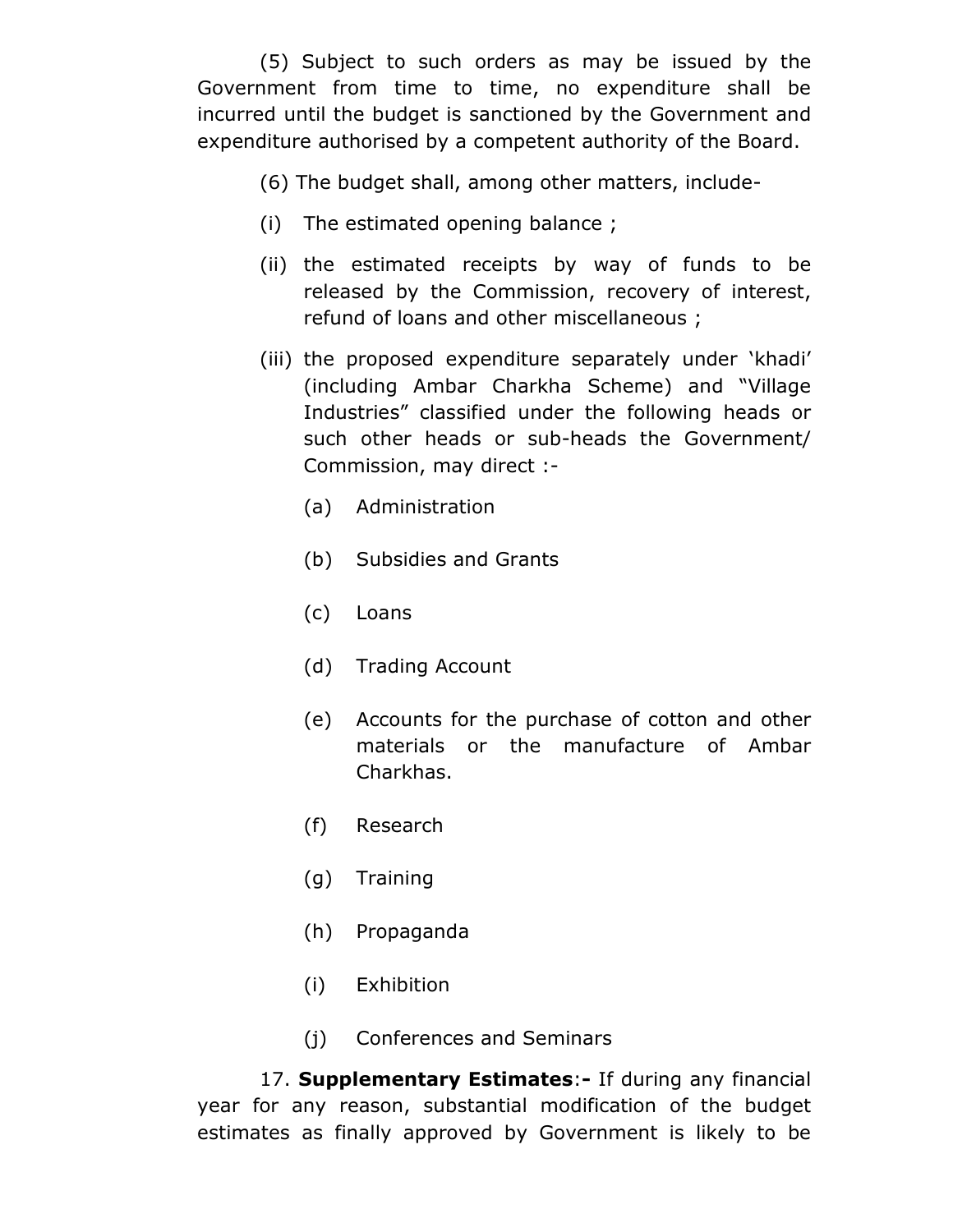(5) Subject to such orders as may be issued by the Government from time to time, no expenditure shall be incurred until the budget is sanctioned by the Government and expenditure authorised by a competent authority of the Board.

- (6) The budget shall, among other matters, include-
- (i) The estimated opening balance ;
- (ii) the estimated receipts by way of funds to be released by the Commission, recovery of interest, refund of loans and other miscellaneous ;
- (iii) the proposed expenditure separately under 'khadi' (including Ambar Charkha Scheme) and "Village Industries" classified under the following heads or such other heads or sub-heads the Government/ Commission, may direct :-
	- (a) Administration
	- (b) Subsidies and Grants
	- (c) Loans
	- (d) Trading Account
	- (e) Accounts for the purchase of cotton and other materials or the manufacture of Ambar Charkhas.
	- (f) Research
	- (g) Training
	- (h) Propaganda
	- (i) Exhibition
	- (j) Conferences and Seminars

17. **Supplementary Estimates**:**-** If during any financial year for any reason, substantial modification of the budget estimates as finally approved by Government is likely to be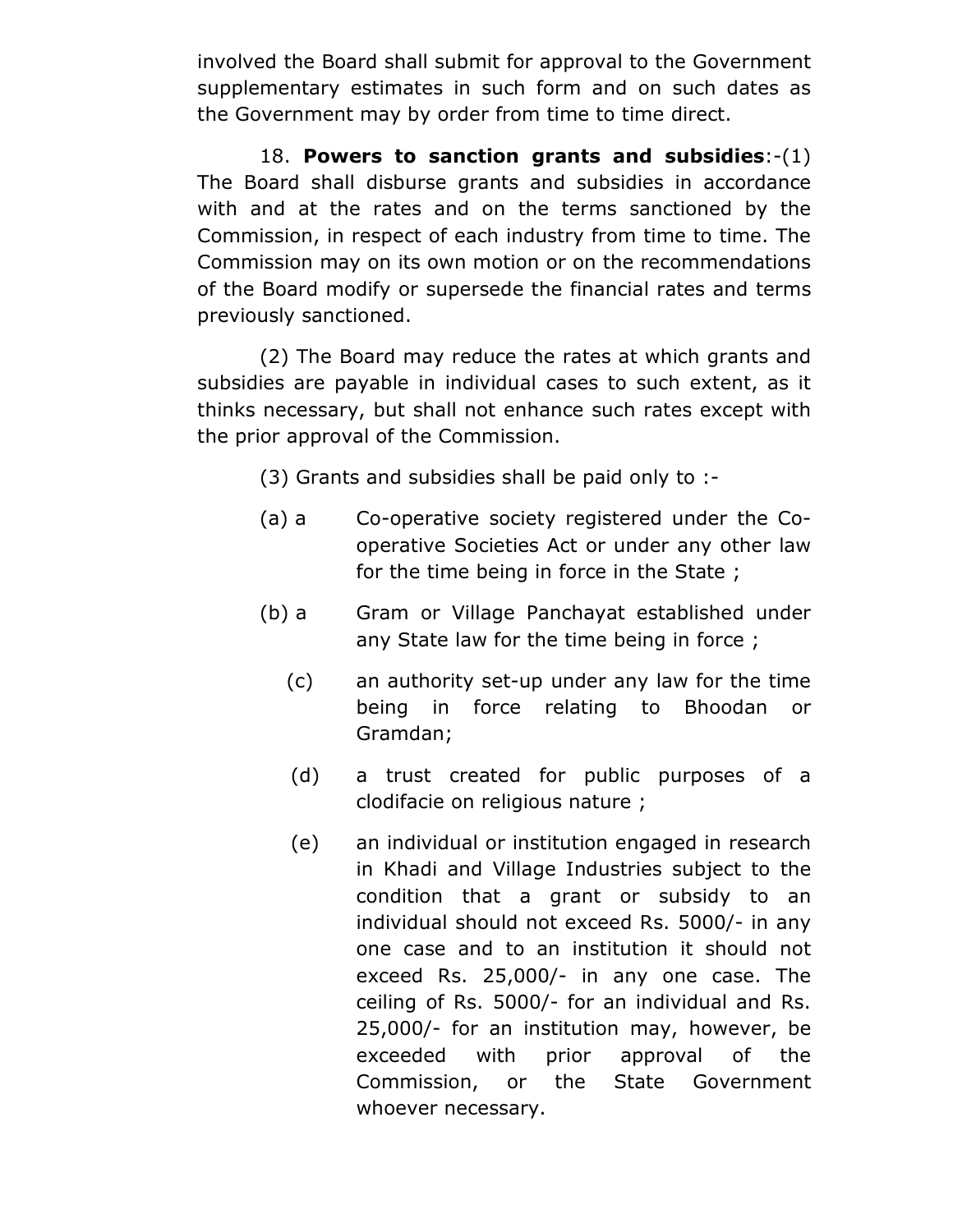involved the Board shall submit for approval to the Government supplementary estimates in such form and on such dates as the Government may by order from time to time direct.

18. **Powers to sanction grants and subsidies**:-(1) The Board shall disburse grants and subsidies in accordance with and at the rates and on the terms sanctioned by the Commission, in respect of each industry from time to time. The Commission may on its own motion or on the recommendations of the Board modify or supersede the financial rates and terms previously sanctioned.

(2) The Board may reduce the rates at which grants and subsidies are payable in individual cases to such extent, as it thinks necessary, but shall not enhance such rates except with the prior approval of the Commission.

(3) Grants and subsidies shall be paid only to :-

- (a) a Co-operative society registered under the Cooperative Societies Act or under any other law for the time being in force in the State ;
- (b) a Gram or Village Panchayat established under any State law for the time being in force ;
	- (c) an authority set-up under any law for the time being in force relating to Bhoodan or Gramdan;
	- (d) a trust created for public purposes of a clodifacie on religious nature ;
	- (e) an individual or institution engaged in research in Khadi and Village Industries subject to the condition that a grant or subsidy to an individual should not exceed Rs. 5000/- in any one case and to an institution it should not exceed Rs. 25,000/- in any one case. The ceiling of Rs. 5000/- for an individual and Rs. 25,000/- for an institution may, however, be exceeded with prior approval of the Commission, or the State Government whoever necessary.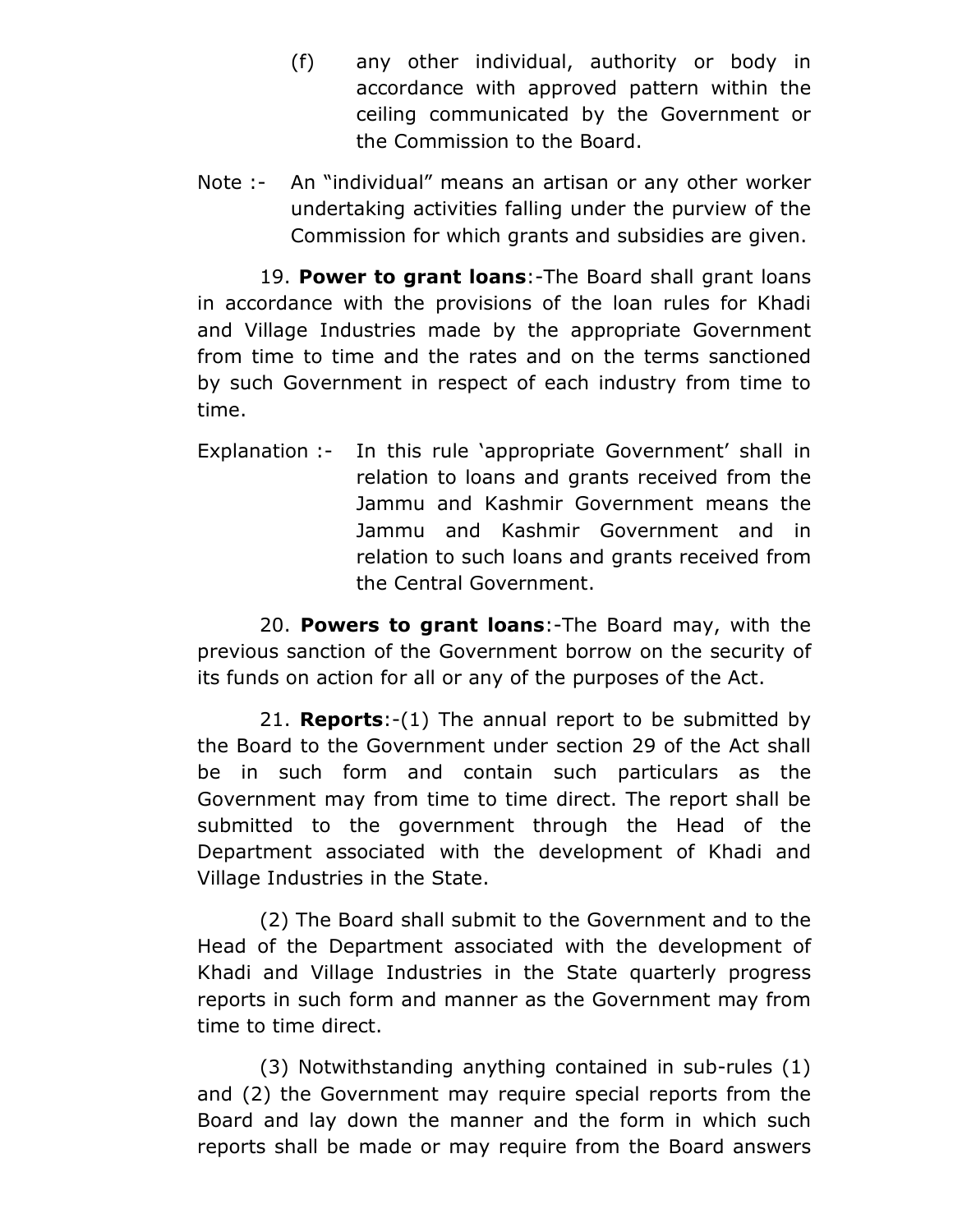- (f) any other individual, authority or body in accordance with approved pattern within the ceiling communicated by the Government or the Commission to the Board.
- Note :- An "individual" means an artisan or any other worker undertaking activities falling under the purview of the Commission for which grants and subsidies are given.

19. **Power to grant loans**:-The Board shall grant loans in accordance with the provisions of the loan rules for Khadi and Village Industries made by the appropriate Government from time to time and the rates and on the terms sanctioned by such Government in respect of each industry from time to time.

Explanation :- In this rule 'appropriate Government' shall in relation to loans and grants received from the Jammu and Kashmir Government means the Jammu and Kashmir Government and in relation to such loans and grants received from the Central Government.

20. **Powers to grant loans**:-The Board may, with the previous sanction of the Government borrow on the security of its funds on action for all or any of the purposes of the Act.

21. **Reports**:-(1) The annual report to be submitted by the Board to the Government under section 29 of the Act shall be in such form and contain such particulars as the Government may from time to time direct. The report shall be submitted to the government through the Head of the Department associated with the development of Khadi and Village Industries in the State.

(2) The Board shall submit to the Government and to the Head of the Department associated with the development of Khadi and Village Industries in the State quarterly progress reports in such form and manner as the Government may from time to time direct.

(3) Notwithstanding anything contained in sub-rules (1) and (2) the Government may require special reports from the Board and lay down the manner and the form in which such reports shall be made or may require from the Board answers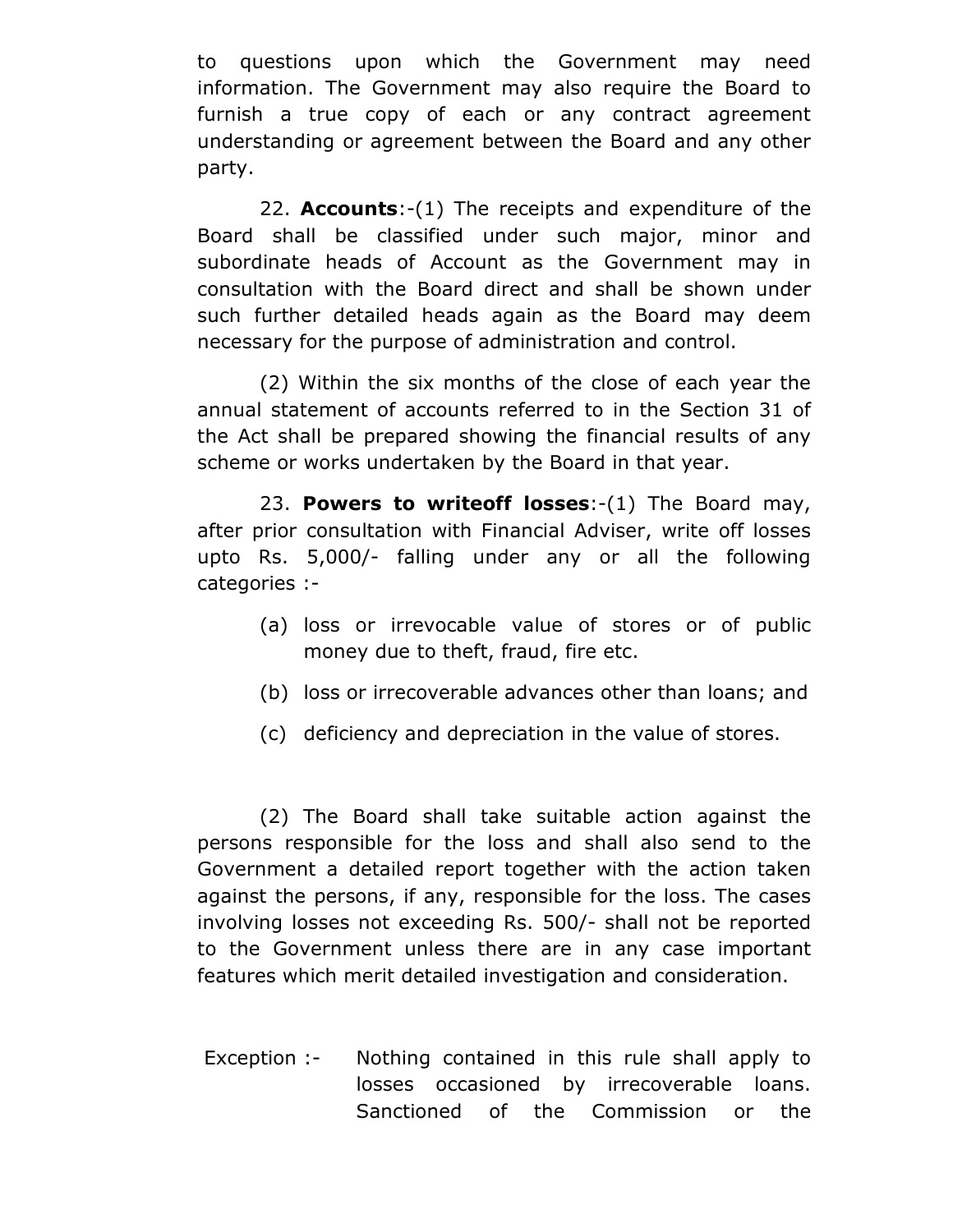to questions upon which the Government may need information. The Government may also require the Board to furnish a true copy of each or any contract agreement understanding or agreement between the Board and any other party.

22. **Accounts**:-(1) The receipts and expenditure of the Board shall be classified under such major, minor and subordinate heads of Account as the Government may in consultation with the Board direct and shall be shown under such further detailed heads again as the Board may deem necessary for the purpose of administration and control.

(2) Within the six months of the close of each year the annual statement of accounts referred to in the Section 31 of the Act shall be prepared showing the financial results of any scheme or works undertaken by the Board in that year.

23. **Powers to writeoff losses**:-(1) The Board may, after prior consultation with Financial Adviser, write off losses upto Rs. 5,000/- falling under any or all the following categories :-

- (a) loss or irrevocable value of stores or of public money due to theft, fraud, fire etc.
- (b) loss or irrecoverable advances other than loans; and
- (c) deficiency and depreciation in the value of stores.

(2) The Board shall take suitable action against the persons responsible for the loss and shall also send to the Government a detailed report together with the action taken against the persons, if any, responsible for the loss. The cases involving losses not exceeding Rs. 500/- shall not be reported to the Government unless there are in any case important features which merit detailed investigation and consideration.

 Exception :- Nothing contained in this rule shall apply to losses occasioned by irrecoverable loans. Sanctioned of the Commission or the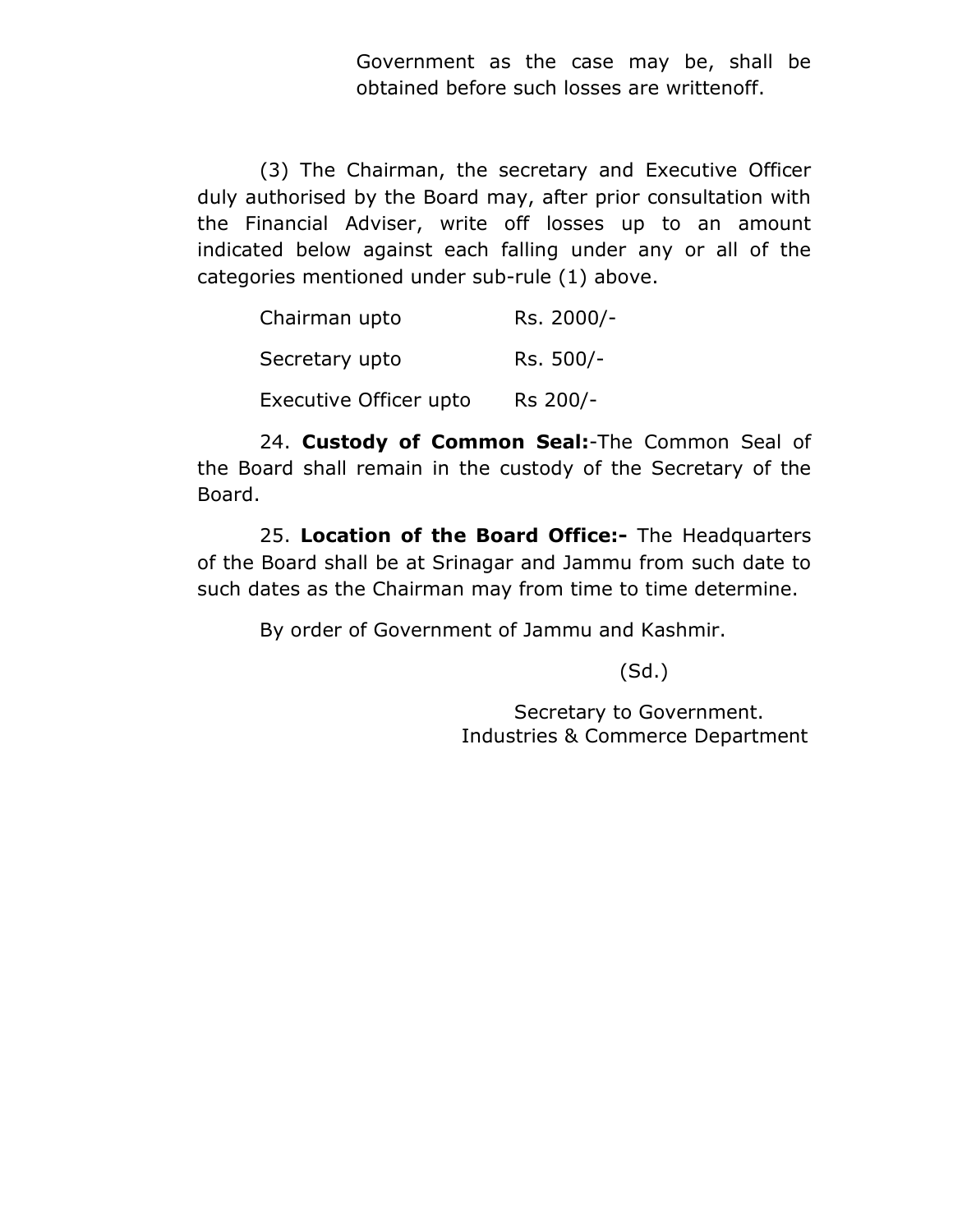Government as the case may be, shall be obtained before such losses are writtenoff.

(3) The Chairman, the secretary and Executive Officer duly authorised by the Board may, after prior consultation with the Financial Adviser, write off losses up to an amount indicated below against each falling under any or all of the categories mentioned under sub-rule (1) above.

| Chairman upto          | Rs. 2000/- |
|------------------------|------------|
| Secretary upto         | Rs. 500/-  |
| Executive Officer upto | Rs 200/-   |

24. **Custody of Common Seal:**-The Common Seal of the Board shall remain in the custody of the Secretary of the Board.

25. **Location of the Board Office:-** The Headquarters of the Board shall be at Srinagar and Jammu from such date to such dates as the Chairman may from time to time determine.

By order of Government of Jammu and Kashmir.

(Sd.)

 Secretary to Government. Industries & Commerce Department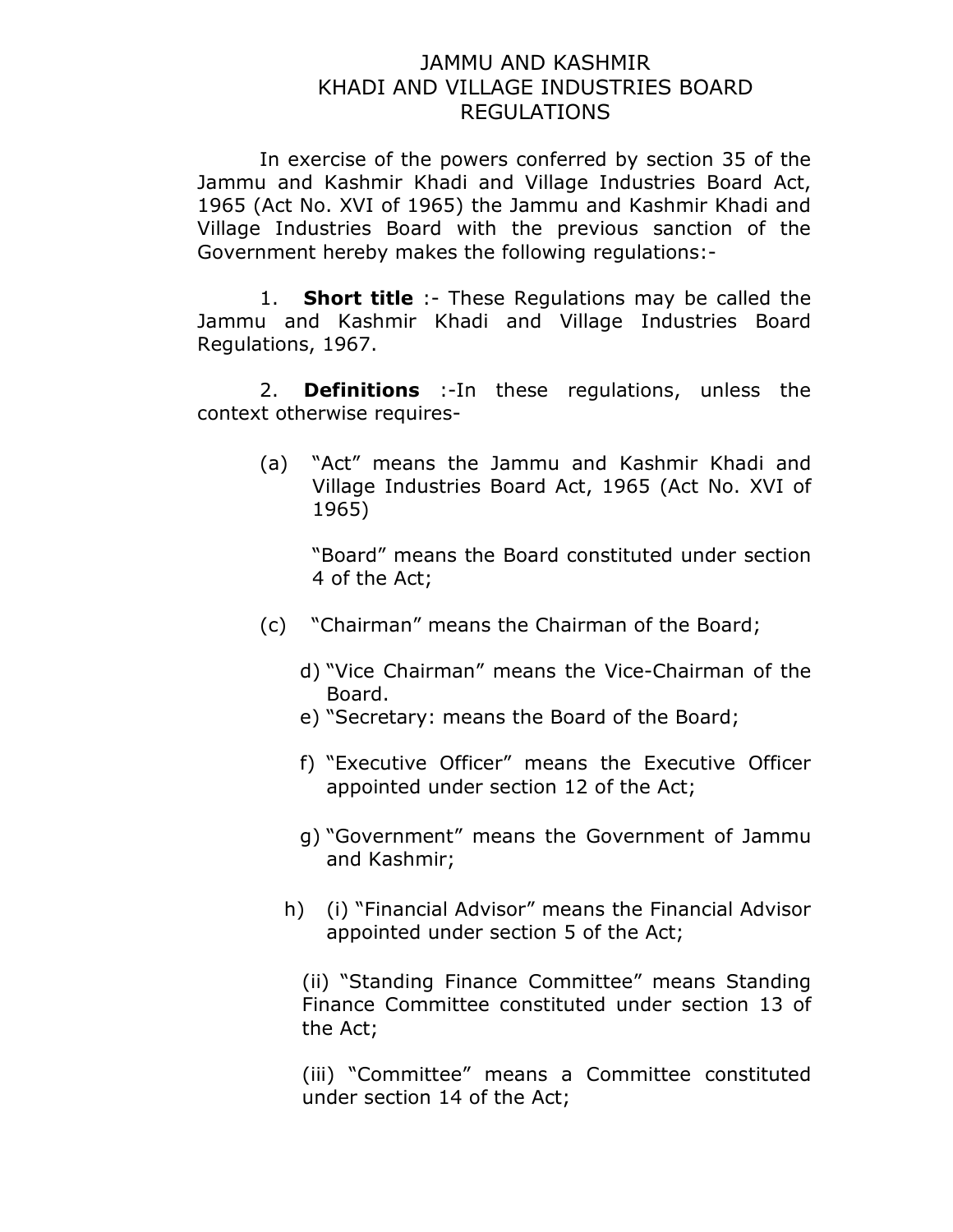### JAMMU AND KASHMIR KHADI AND VILLAGE INDUSTRIES BOARD REGULATIONS

In exercise of the powers conferred by section 35 of the Jammu and Kashmir Khadi and Village Industries Board Act, 1965 (Act No. XVI of 1965) the Jammu and Kashmir Khadi and Village Industries Board with the previous sanction of the Government hereby makes the following regulations:-

1. **Short title** :- These Regulations may be called the Jammu and Kashmir Khadi and Village Industries Board Regulations, 1967.

2. **Definitions** :-In these regulations, unless the context otherwise requires-

> (a) "Act" means the Jammu and Kashmir Khadi and Village Industries Board Act, 1965 (Act No. XVI of 1965)

"Board" means the Board constituted under section 4 of the Act;

- (c) "Chairman" means the Chairman of the Board;
	- d) "Vice Chairman" means the Vice-Chairman of the Board.
	- e) "Secretary: means the Board of the Board;
	- f) "Executive Officer" means the Executive Officer appointed under section 12 of the Act;
	- g) "Government" means the Government of Jammu and Kashmir;
	- h) (i) "Financial Advisor" means the Financial Advisor appointed under section 5 of the Act;

(ii) "Standing Finance Committee" means Standing Finance Committee constituted under section 13 of the Act;

(iii) "Committee" means a Committee constituted under section 14 of the Act;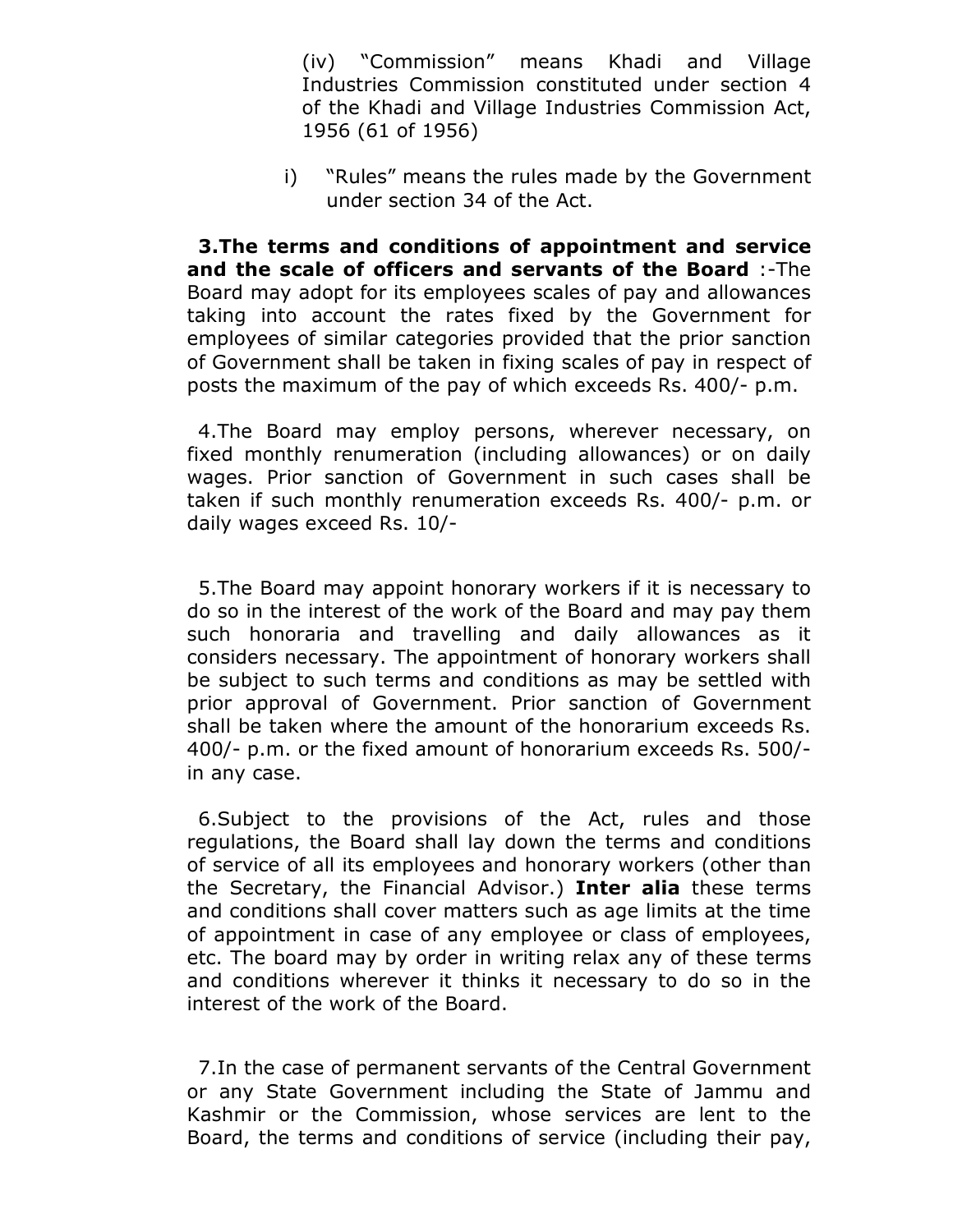(iv) "Commission" means Khadi and Village Industries Commission constituted under section 4 of the Khadi and Village Industries Commission Act, 1956 (61 of 1956)

i) "Rules" means the rules made by the Government under section 34 of the Act.

 **3.The terms and conditions of appointment and service and the scale of officers and servants of the Board** :-The Board may adopt for its employees scales of pay and allowances taking into account the rates fixed by the Government for employees of similar categories provided that the prior sanction of Government shall be taken in fixing scales of pay in respect of posts the maximum of the pay of which exceeds Rs. 400/- p.m.

 4.The Board may employ persons, wherever necessary, on fixed monthly renumeration (including allowances) or on daily wages. Prior sanction of Government in such cases shall be taken if such monthly renumeration exceeds Rs. 400/- p.m. or daily wages exceed Rs. 10/-

 5.The Board may appoint honorary workers if it is necessary to do so in the interest of the work of the Board and may pay them such honoraria and travelling and daily allowances as it considers necessary. The appointment of honorary workers shall be subject to such terms and conditions as may be settled with prior approval of Government. Prior sanction of Government shall be taken where the amount of the honorarium exceeds Rs. 400/- p.m. or the fixed amount of honorarium exceeds Rs. 500/ in any case.

 6.Subject to the provisions of the Act, rules and those regulations, the Board shall lay down the terms and conditions of service of all its employees and honorary workers (other than the Secretary, the Financial Advisor.) **Inter alia** these terms and conditions shall cover matters such as age limits at the time of appointment in case of any employee or class of employees, etc. The board may by order in writing relax any of these terms and conditions wherever it thinks it necessary to do so in the interest of the work of the Board.

 7.In the case of permanent servants of the Central Government or any State Government including the State of Jammu and Kashmir or the Commission, whose services are lent to the Board, the terms and conditions of service (including their pay,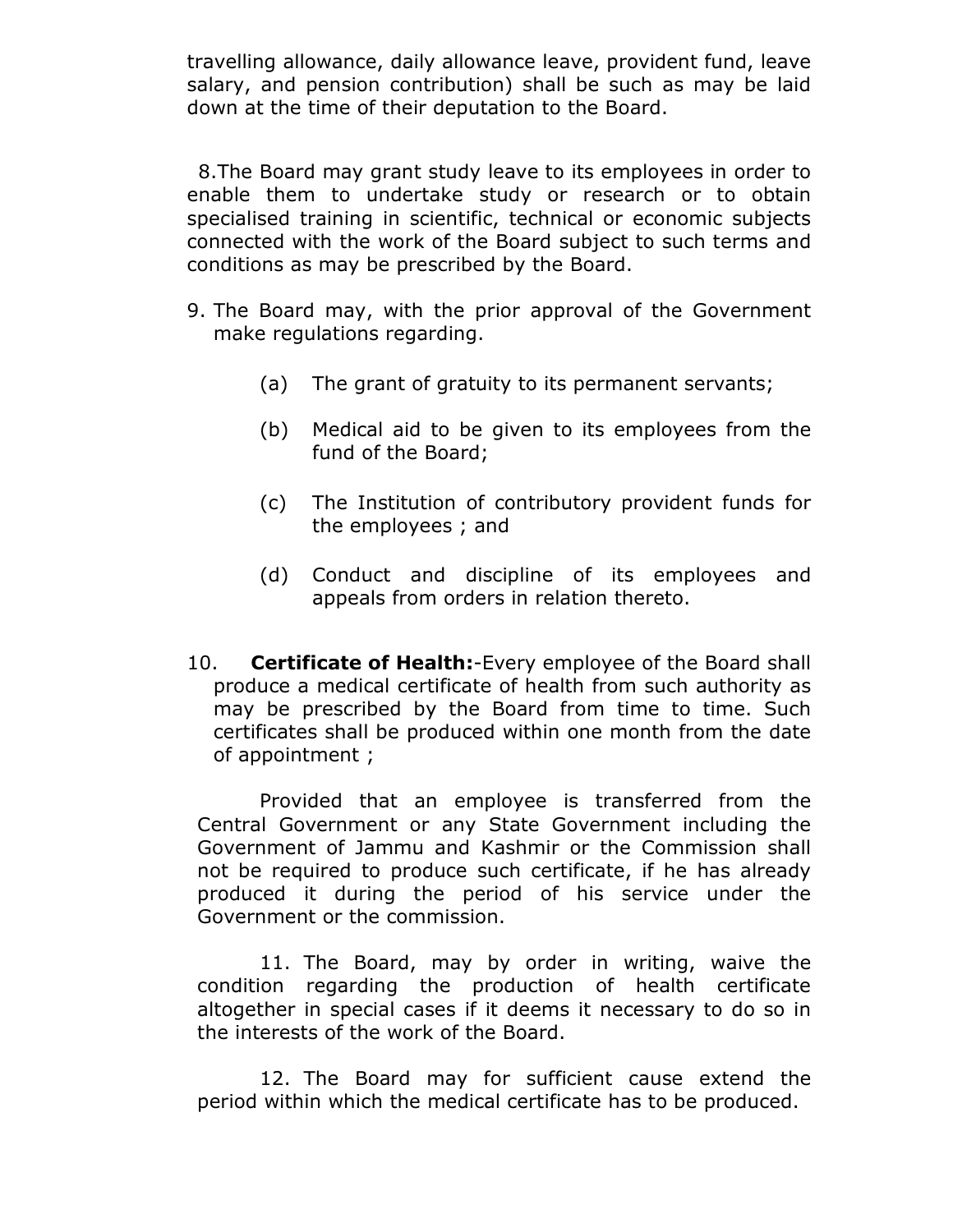travelling allowance, daily allowance leave, provident fund, leave salary, and pension contribution) shall be such as may be laid down at the time of their deputation to the Board.

 8.The Board may grant study leave to its employees in order to enable them to undertake study or research or to obtain specialised training in scientific, technical or economic subjects connected with the work of the Board subject to such terms and conditions as may be prescribed by the Board.

- 9. The Board may, with the prior approval of the Government make regulations regarding.
	- (a) The grant of gratuity to its permanent servants;
	- (b) Medical aid to be given to its employees from the fund of the Board;
	- (c) The Institution of contributory provident funds for the employees ; and
	- (d) Conduct and discipline of its employees and appeals from orders in relation thereto.
- 10. **Certificate of Health:**-Every employee of the Board shall produce a medical certificate of health from such authority as may be prescribed by the Board from time to time. Such certificates shall be produced within one month from the date of appointment ;

Provided that an employee is transferred from the Central Government or any State Government including the Government of Jammu and Kashmir or the Commission shall not be required to produce such certificate, if he has already produced it during the period of his service under the Government or the commission.

11. The Board, may by order in writing, waive the condition regarding the production of health certificate altogether in special cases if it deems it necessary to do so in the interests of the work of the Board.

12. The Board may for sufficient cause extend the period within which the medical certificate has to be produced.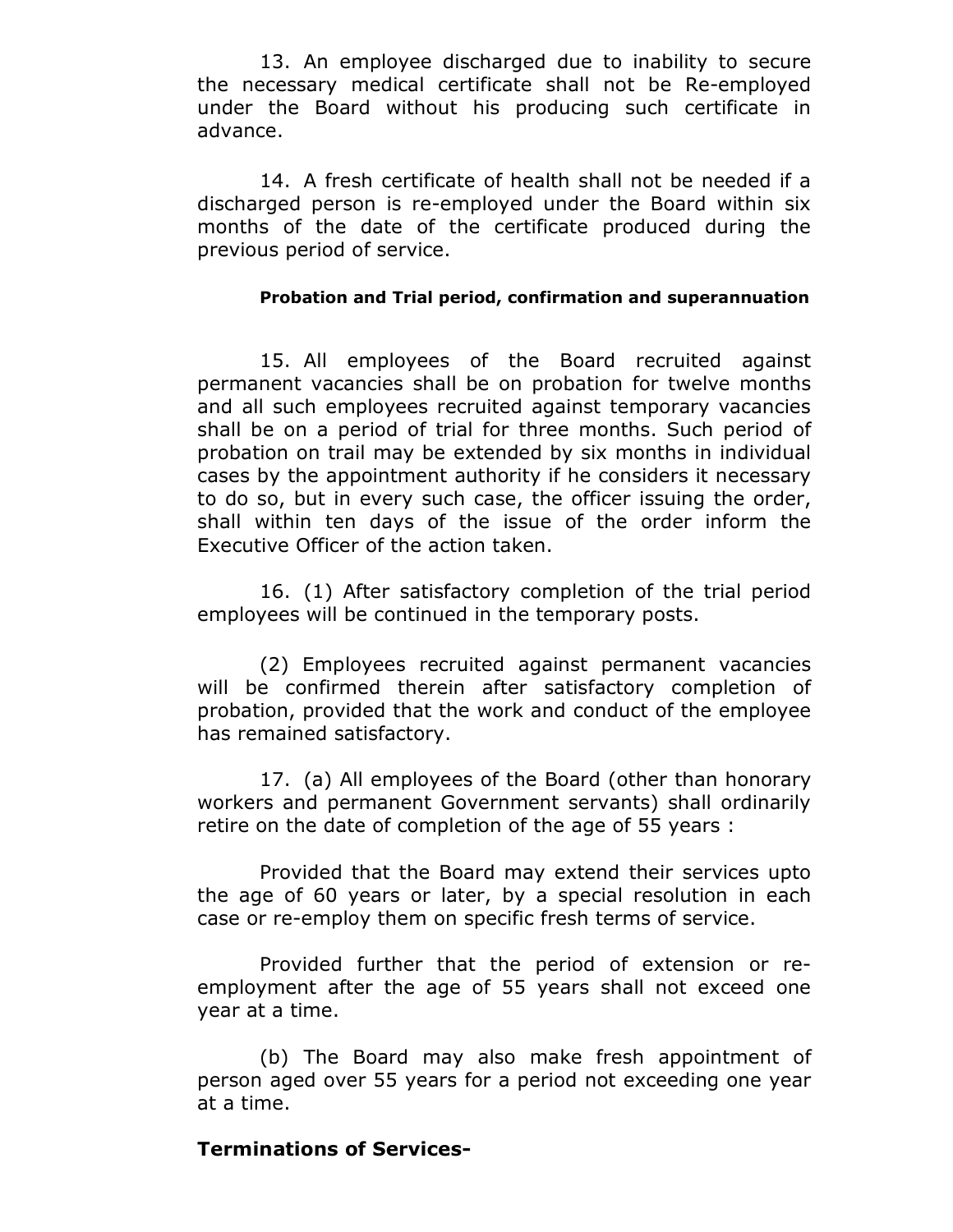13. An employee discharged due to inability to secure the necessary medical certificate shall not be Re-employed under the Board without his producing such certificate in advance.

14. A fresh certificate of health shall not be needed if a discharged person is re-employed under the Board within six months of the date of the certificate produced during the previous period of service.

#### **Probation and Trial period, confirmation and superannuation**

15. All employees of the Board recruited against permanent vacancies shall be on probation for twelve months and all such employees recruited against temporary vacancies shall be on a period of trial for three months. Such period of probation on trail may be extended by six months in individual cases by the appointment authority if he considers it necessary to do so, but in every such case, the officer issuing the order, shall within ten days of the issue of the order inform the Executive Officer of the action taken.

16. (1) After satisfactory completion of the trial period employees will be continued in the temporary posts.

(2) Employees recruited against permanent vacancies will be confirmed therein after satisfactory completion of probation, provided that the work and conduct of the employee has remained satisfactory.

17. (a) All employees of the Board (other than honorary workers and permanent Government servants) shall ordinarily retire on the date of completion of the age of 55 years :

Provided that the Board may extend their services upto the age of 60 years or later, by a special resolution in each case or re-employ them on specific fresh terms of service.

Provided further that the period of extension or reemployment after the age of 55 years shall not exceed one year at a time.

(b) The Board may also make fresh appointment of person aged over 55 years for a period not exceeding one year at a time.

### **Terminations of Services-**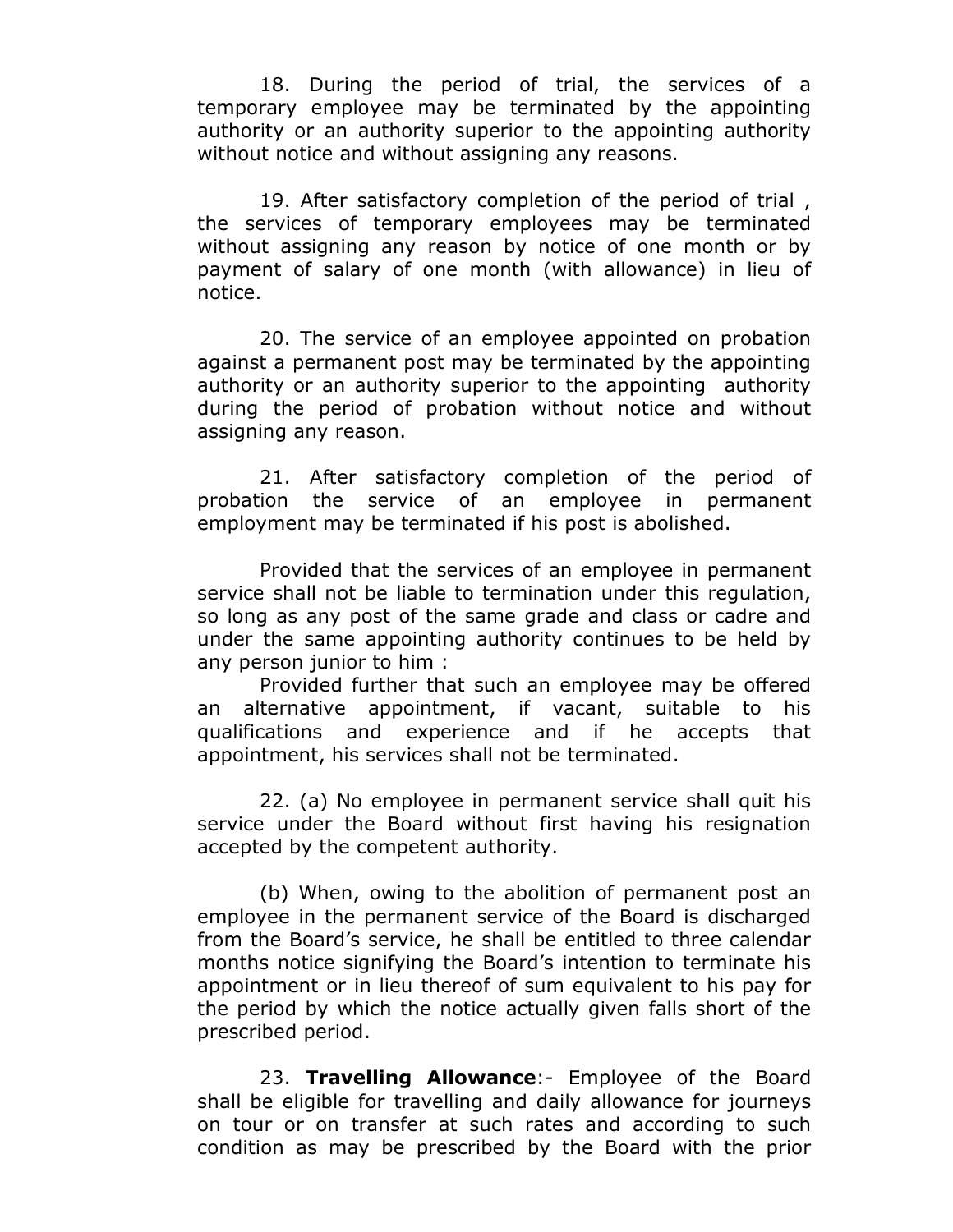18. During the period of trial, the services of a temporary employee may be terminated by the appointing authority or an authority superior to the appointing authority without notice and without assigning any reasons.

19. After satisfactory completion of the period of trial , the services of temporary employees may be terminated without assigning any reason by notice of one month or by payment of salary of one month (with allowance) in lieu of notice.

20. The service of an employee appointed on probation against a permanent post may be terminated by the appointing authority or an authority superior to the appointing authority during the period of probation without notice and without assigning any reason.

21. After satisfactory completion of the period of probation the service of an employee in permanent employment may be terminated if his post is abolished.

Provided that the services of an employee in permanent service shall not be liable to termination under this regulation, so long as any post of the same grade and class or cadre and under the same appointing authority continues to be held by any person junior to him :

Provided further that such an employee may be offered an alternative appointment, if vacant, suitable to his qualifications and experience and if he accepts that appointment, his services shall not be terminated.

22. (a) No employee in permanent service shall quit his service under the Board without first having his resignation accepted by the competent authority.

(b) When, owing to the abolition of permanent post an employee in the permanent service of the Board is discharged from the Board's service, he shall be entitled to three calendar months notice signifying the Board's intention to terminate his appointment or in lieu thereof of sum equivalent to his pay for the period by which the notice actually given falls short of the prescribed period.

23. **Travelling Allowance**:- Employee of the Board shall be eligible for travelling and daily allowance for journeys on tour or on transfer at such rates and according to such condition as may be prescribed by the Board with the prior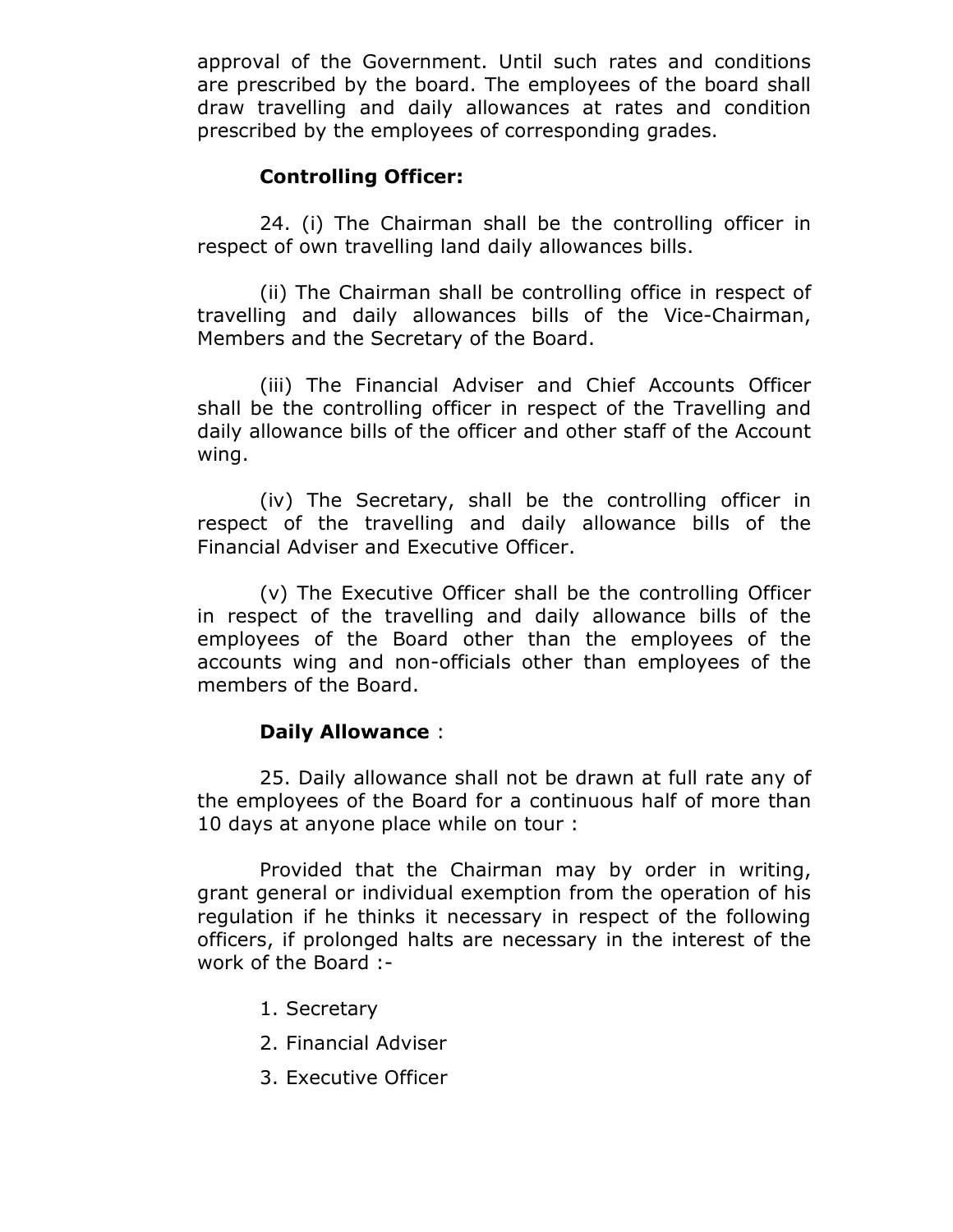approval of the Government. Until such rates and conditions are prescribed by the board. The employees of the board shall draw travelling and daily allowances at rates and condition prescribed by the employees of corresponding grades.

### **Controlling Officer:**

24. (i) The Chairman shall be the controlling officer in respect of own travelling land daily allowances bills.

(ii) The Chairman shall be controlling office in respect of travelling and daily allowances bills of the Vice-Chairman, Members and the Secretary of the Board.

(iii) The Financial Adviser and Chief Accounts Officer shall be the controlling officer in respect of the Travelling and daily allowance bills of the officer and other staff of the Account wing.

(iv) The Secretary, shall be the controlling officer in respect of the travelling and daily allowance bills of the Financial Adviser and Executive Officer.

(v) The Executive Officer shall be the controlling Officer in respect of the travelling and daily allowance bills of the employees of the Board other than the employees of the accounts wing and non-officials other than employees of the members of the Board.

### **Daily Allowance** :

25. Daily allowance shall not be drawn at full rate any of the employees of the Board for a continuous half of more than 10 days at anyone place while on tour :

Provided that the Chairman may by order in writing, grant general or individual exemption from the operation of his regulation if he thinks it necessary in respect of the following officers, if prolonged halts are necessary in the interest of the work of the Board :-

- 1. Secretary
- 2. Financial Adviser
- 3. Executive Officer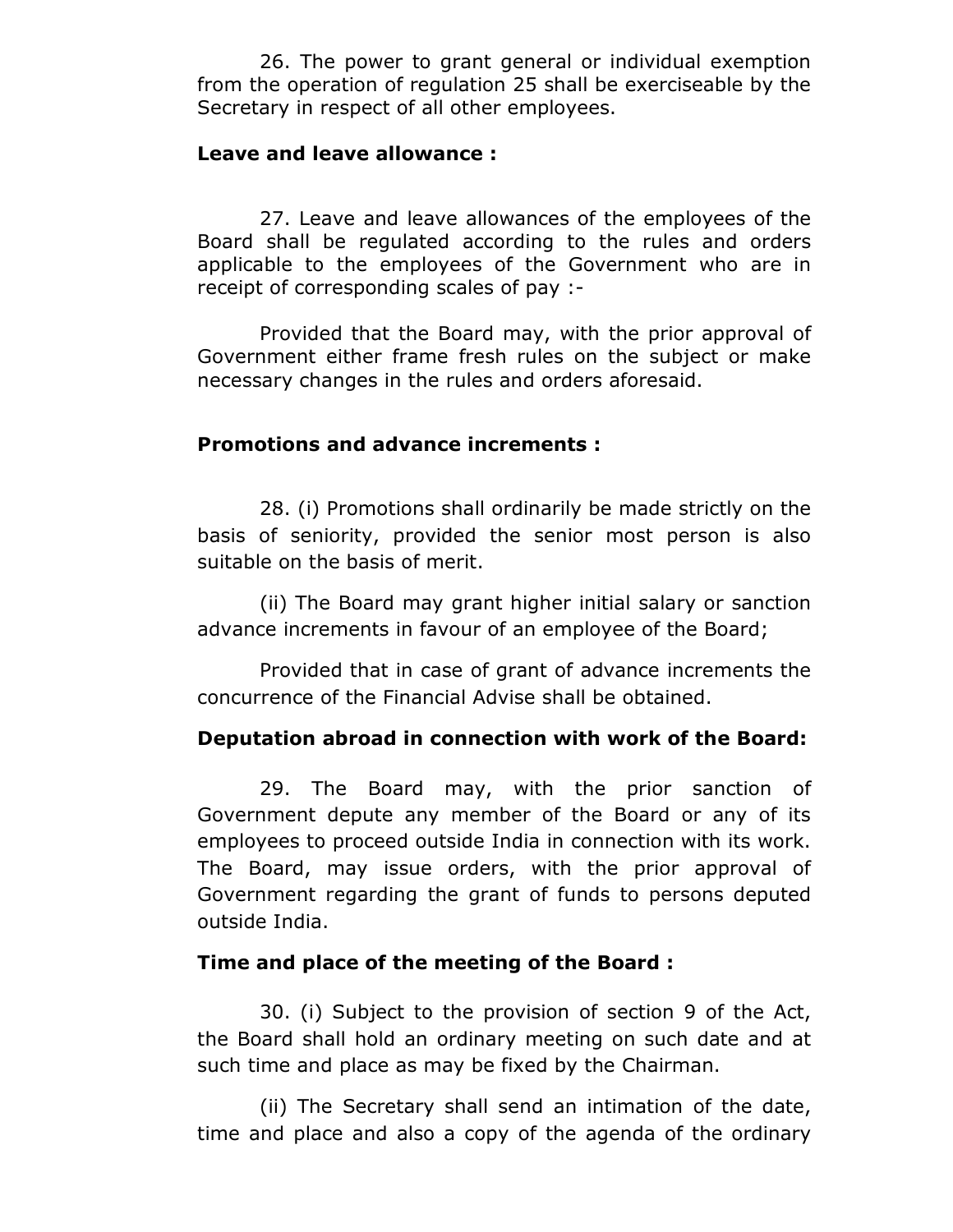26. The power to grant general or individual exemption from the operation of regulation 25 shall be exerciseable by the Secretary in respect of all other employees.

#### **Leave and leave allowance :**

27. Leave and leave allowances of the employees of the Board shall be regulated according to the rules and orders applicable to the employees of the Government who are in receipt of corresponding scales of pay :-

Provided that the Board may, with the prior approval of Government either frame fresh rules on the subject or make necessary changes in the rules and orders aforesaid.

### **Promotions and advance increments :**

28. (i) Promotions shall ordinarily be made strictly on the basis of seniority, provided the senior most person is also suitable on the basis of merit.

(ii) The Board may grant higher initial salary or sanction advance increments in favour of an employee of the Board;

Provided that in case of grant of advance increments the concurrence of the Financial Advise shall be obtained.

### **Deputation abroad in connection with work of the Board:**

29. The Board may, with the prior sanction of Government depute any member of the Board or any of its employees to proceed outside India in connection with its work. The Board, may issue orders, with the prior approval of Government regarding the grant of funds to persons deputed outside India.

#### **Time and place of the meeting of the Board :**

30. (i) Subject to the provision of section 9 of the Act, the Board shall hold an ordinary meeting on such date and at such time and place as may be fixed by the Chairman.

(ii) The Secretary shall send an intimation of the date, time and place and also a copy of the agenda of the ordinary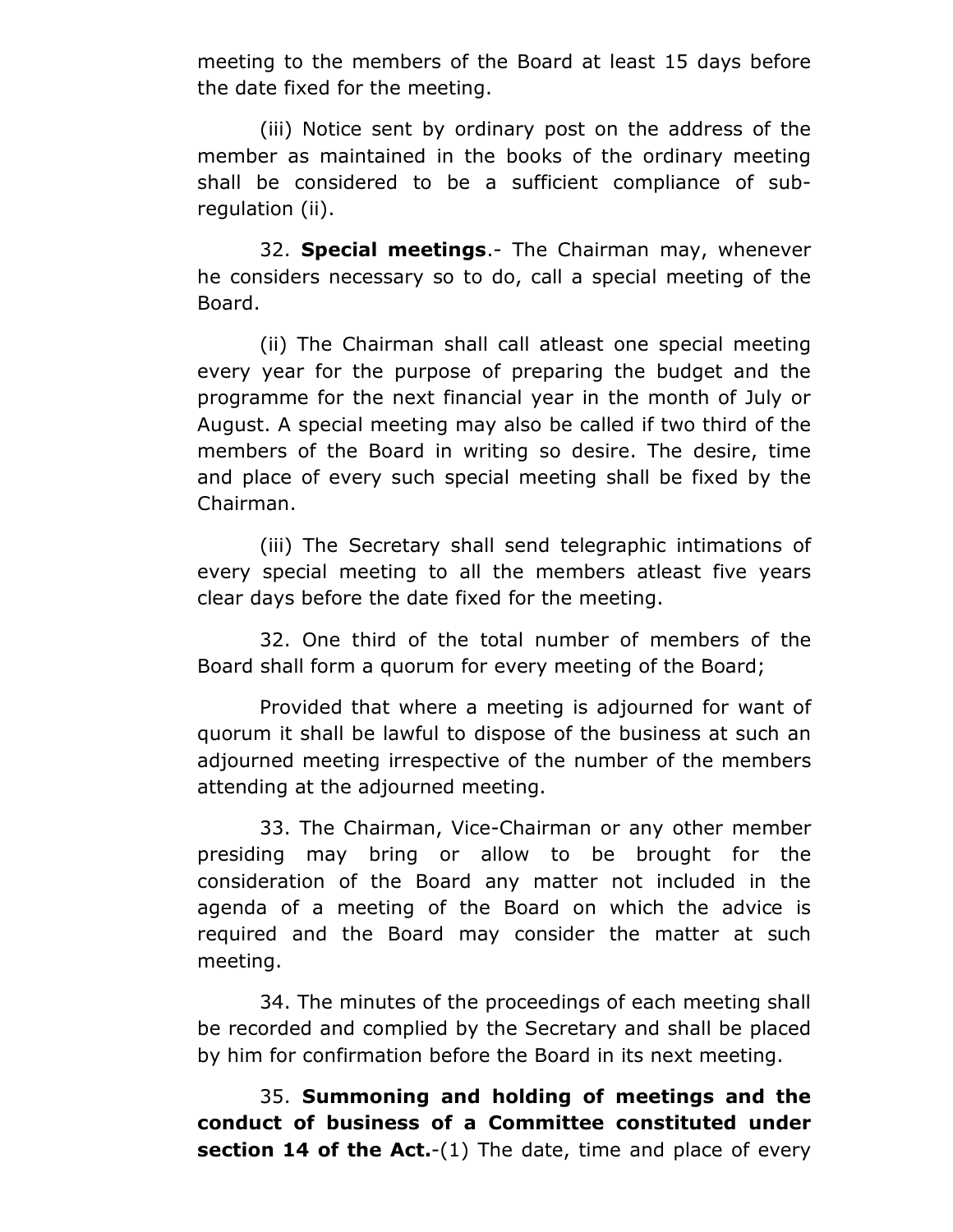meeting to the members of the Board at least 15 days before the date fixed for the meeting.

(iii) Notice sent by ordinary post on the address of the member as maintained in the books of the ordinary meeting shall be considered to be a sufficient compliance of subregulation (ii).

32. **Special meetings**.- The Chairman may, whenever he considers necessary so to do, call a special meeting of the Board.

(ii) The Chairman shall call atleast one special meeting every year for the purpose of preparing the budget and the programme for the next financial year in the month of July or August. A special meeting may also be called if two third of the members of the Board in writing so desire. The desire, time and place of every such special meeting shall be fixed by the Chairman.

(iii) The Secretary shall send telegraphic intimations of every special meeting to all the members atleast five years clear days before the date fixed for the meeting.

32. One third of the total number of members of the Board shall form a quorum for every meeting of the Board;

Provided that where a meeting is adjourned for want of quorum it shall be lawful to dispose of the business at such an adjourned meeting irrespective of the number of the members attending at the adjourned meeting.

33. The Chairman, Vice-Chairman or any other member presiding may bring or allow to be brought for the consideration of the Board any matter not included in the agenda of a meeting of the Board on which the advice is required and the Board may consider the matter at such meeting.

34. The minutes of the proceedings of each meeting shall be recorded and complied by the Secretary and shall be placed by him for confirmation before the Board in its next meeting.

35. **Summoning and holding of meetings and the conduct of business of a Committee constituted under section 14 of the Act.**-(1) The date, time and place of every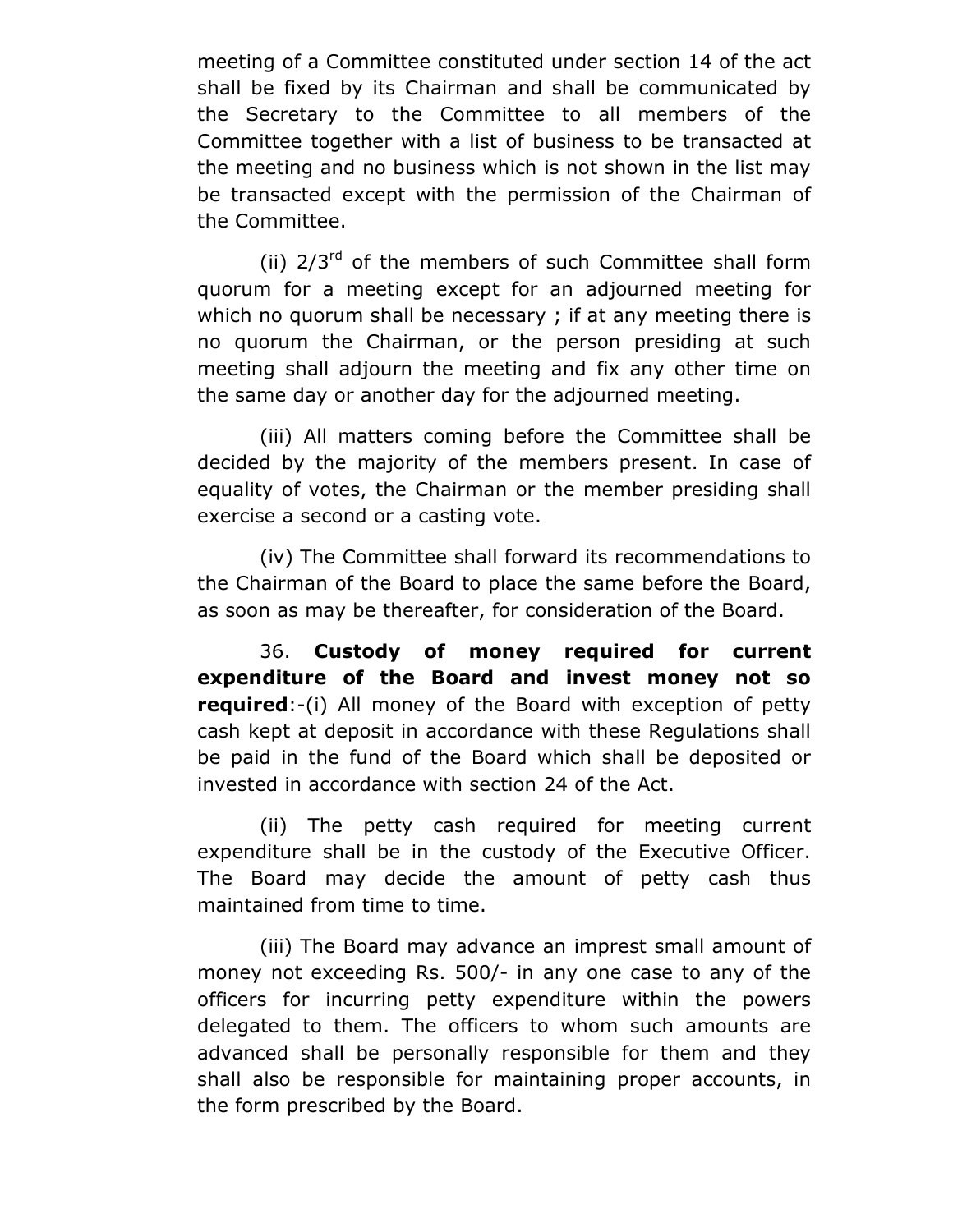meeting of a Committee constituted under section 14 of the act shall be fixed by its Chairman and shall be communicated by the Secretary to the Committee to all members of the Committee together with a list of business to be transacted at the meeting and no business which is not shown in the list may be transacted except with the permission of the Chairman of the Committee.

(ii)  $2/3^{rd}$  of the members of such Committee shall form quorum for a meeting except for an adjourned meeting for which no quorum shall be necessary; if at any meeting there is no quorum the Chairman, or the person presiding at such meeting shall adjourn the meeting and fix any other time on the same day or another day for the adjourned meeting.

(iii) All matters coming before the Committee shall be decided by the majority of the members present. In case of equality of votes, the Chairman or the member presiding shall exercise a second or a casting vote.

(iv) The Committee shall forward its recommendations to the Chairman of the Board to place the same before the Board, as soon as may be thereafter, for consideration of the Board.

36. **Custody of money required for current expenditure of the Board and invest money not so required**:-(i) All money of the Board with exception of petty cash kept at deposit in accordance with these Regulations shall be paid in the fund of the Board which shall be deposited or invested in accordance with section 24 of the Act.

(ii) The petty cash required for meeting current expenditure shall be in the custody of the Executive Officer. The Board may decide the amount of petty cash thus maintained from time to time.

(iii) The Board may advance an imprest small amount of money not exceeding Rs. 500/- in any one case to any of the officers for incurring petty expenditure within the powers delegated to them. The officers to whom such amounts are advanced shall be personally responsible for them and they shall also be responsible for maintaining proper accounts, in the form prescribed by the Board.